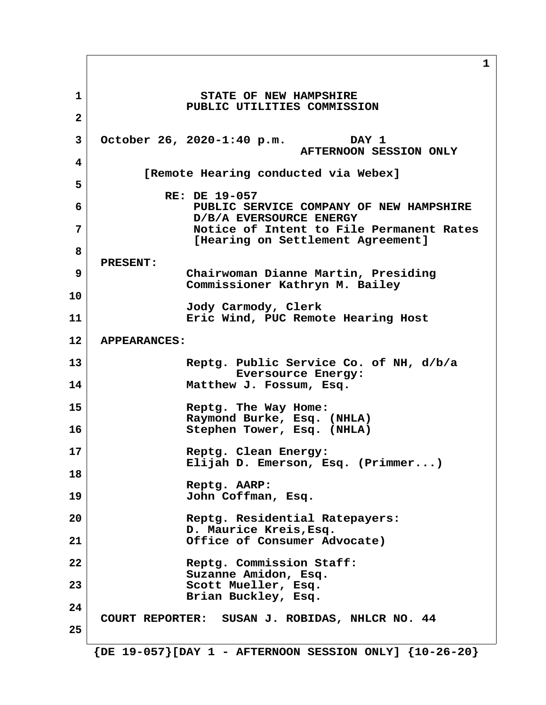**1** STATE OF NEW HAMPSHIRE  **PUBLIC UTILITIES COMMISSION 2 3 October 26, 2020-1:40 p.m. DAY 1 AFTERNOON SESSION ONLY 4 [Remote Hearing conducted via Webex] 5 RE: DE 19-057 6 PUBLIC SERVICE COMPANY OF NEW HAMPSHIRE D/B/A EVERSOURCE ENERGY 7 Notice of Intent to File Permanent Rates [Hearing on Settlement Agreement] 8 PRESENT: 9 Chairwoman Dianne Martin, Presiding Commissioner Kathryn M. Bailey 10 Jody Carmody, Clerk 11 Eric Wind, PUC Remote Hearing Host 12 APPEARANCES: 13 Reptg. Public Service Co. of NH, d/b/a Eversource Energy: 14 Matthew J. Fossum, Esq. 15 Reptg. The Way Home: Raymond Burke, Esq. (NHLA) 16 Stephen Tower, Esq. (NHLA) 17 Reptg. Clean Energy: Elijah D. Emerson, Esq. (Primmer...) 18 Reptg. AARP: 19 John Coffman, Esq. 20 Reptg. Residential Ratepayers: D. Maurice Kreis,Esq. 21 Office of Consumer Advocate) 22 Reptg. Commission Staff: Suzanne Amidon, Esq.** 23 Scott Mueller, Esq.  **Brian Buckley, Esq. 24 COURT REPORTER: SUSAN J. ROBIDAS, NHLCR NO. 44 25 {DE 19-057}[DAY 1 - AFTERNOON SESSION ONLY] {10-26-20}**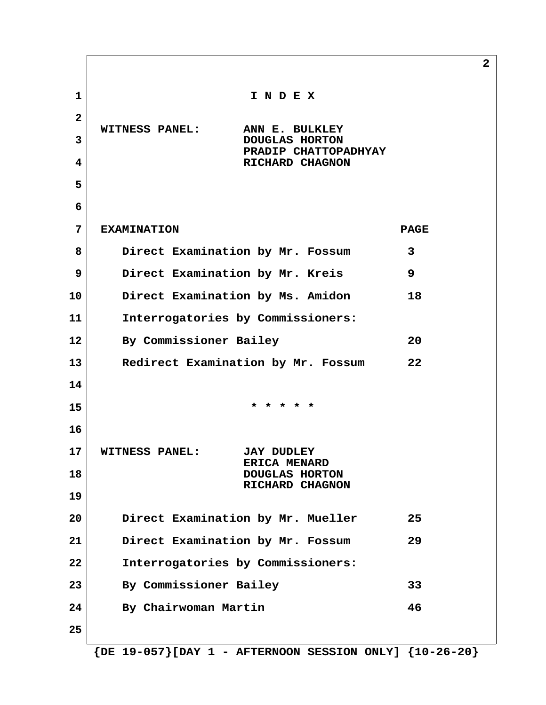**2 1 I N D E X 2 WITNESS PANEL: ANN E. BULKLEY 3** DOUGLAS HORTON  **PRADIP CHATTOPADHYAY 4** RICHARD CHAGNON  **5 6 7 EXAMINATION PAGE 8 Direct Examination by Mr. Fossum 3 9 Direct Examination by Mr. Kreis 9 10 Direct Examination by Ms. Amidon 18 11 Interrogatories by Commissioners: 12 By Commissioner Bailey 20 13 Redirect Examination by Mr. Fossum 22 14 15 \* \* \* \* \* 16 17 WITNESS PANEL: JAY DUDLEY ERICA MENARD 18** DOUGLAS HORTON  **RICHARD CHAGNON 19 20 Direct Examination by Mr. Mueller 25 21 Direct Examination by Mr. Fossum 29 22 Interrogatories by Commissioners: 23 By Commissioner Bailey 33 24 By Chairwoman Martin 46 25**

 **{DE 19-057}[DAY 1 - AFTERNOON SESSION ONLY] {10-26-20}**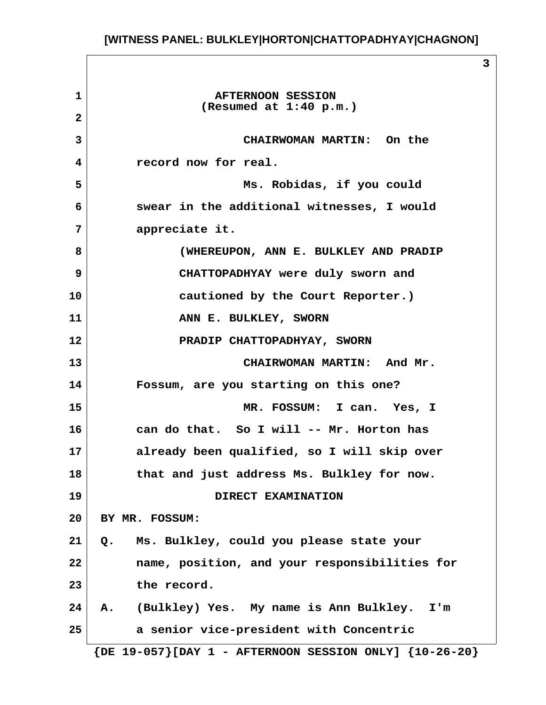**1 AFTERNOON SESSION (Resumed at 1:40 p.m.) 2 3 CHAIRWOMAN MARTIN: On the 4 record now for real. 5 Ms. Robidas, if you could 6 swear in the additional witnesses, I would 7 appreciate it. 8 (WHEREUPON, ANN E. BULKLEY AND PRADIP 9 CHATTOPADHYAY were duly sworn and 10 cautioned by the Court Reporter.) 11** ANN E. BULKLEY, SWORN **12 PRADIP CHATTOPADHYAY, SWORN 13 CHAIRWOMAN MARTIN: And Mr. 14 Fossum, are you starting on this one? 15 MR. FOSSUM: I can. Yes, I 16 can do that. So I will -- Mr. Horton has 17 already been qualified, so I will skip over 18 that and just address Ms. Bulkley for now. 19 DIRECT EXAMINATION 20 BY MR. FOSSUM: 21 Q. Ms. Bulkley, could you please state your 22 name, position, and your responsibilities for 23 the record. 24 A. (Bulkley) Yes. My name is Ann Bulkley. I'm 25 a senior vice-president with Concentric {DE 19-057}[DAY 1 - AFTERNOON SESSION ONLY] {10-26-20}**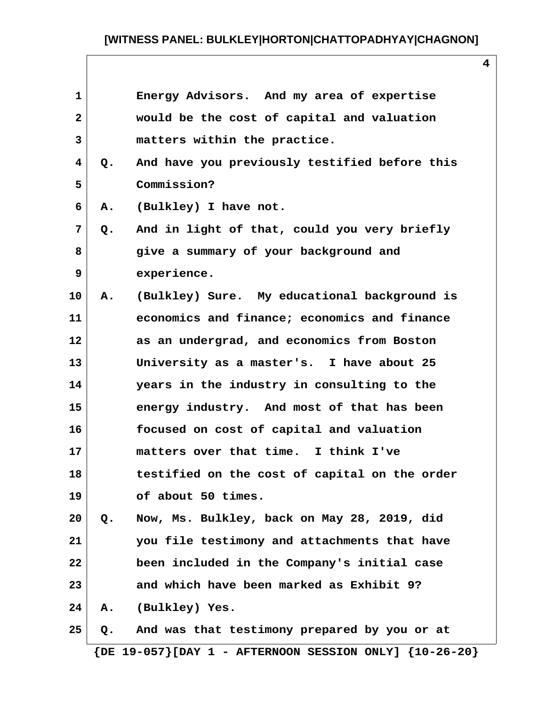| 1            |    | Energy Advisors. And my area of expertise     |
|--------------|----|-----------------------------------------------|
| $\mathbf{2}$ |    | would be the cost of capital and valuation    |
| 3            |    | matters within the practice.                  |
| 4            | Q. | And have you previously testified before this |
| 5            |    | Commission?                                   |
| 6            | Α. | (Bulkley) I have not.                         |
| 7            | Q. | And in light of that, could you very briefly  |
| 8            |    | give a summary of your background and         |
| 9            |    | experience.                                   |
| 10           | Α. | (Bulkley) Sure. My educational background is  |
| 11           |    | economics and finance; economics and finance  |
| 12           |    | as an undergrad, and economics from Boston    |
| 13           |    | University as a master's. I have about 25     |
| 14           |    | years in the industry in consulting to the    |
| 15           |    | energy industry. And most of that has been    |
| 16           |    | focused on cost of capital and valuation      |
| 17           |    | matters over that time. I think I've          |
| 18           |    | testified on the cost of capital on the order |
| 19           |    | of about 50 times.                            |
| 20           | Q. | Now, Ms. Bulkley, back on May 28, 2019, did   |
| 21           |    | you file testimony and attachments that have  |
| 22           |    | been included in the Company's initial case   |
| 23           |    | and which have been marked as Exhibit 9?      |
| 24           | А. | (Bulkley) Yes.                                |
| 25           | Q. | And was that testimony prepared by you or at  |

 **{DE 19-057}[DAY 1 - AFTERNOON SESSION ONLY] {10-26-20}**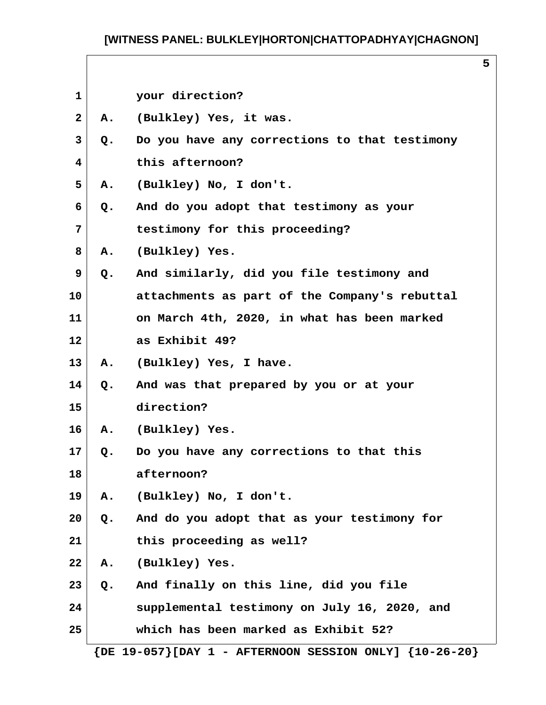**5**

| $\mathbf{1}$ |       | your direction?                               |
|--------------|-------|-----------------------------------------------|
| $\mathbf{2}$ | Α.    | (Bulkley) Yes, it was.                        |
| 3            | Q.    | Do you have any corrections to that testimony |
| 4            |       | this afternoon?                               |
| 5            | Α.    | (Bulkley) No, I don't.                        |
| 6            | Q.    | And do you adopt that testimony as your       |
| 7            |       | testimony for this proceeding?                |
| 8            | Α.    | (Bulkley) Yes.                                |
| 9            | Q.    | And similarly, did you file testimony and     |
| 10           |       | attachments as part of the Company's rebuttal |
| 11           |       | on March 4th, 2020, in what has been marked   |
| 12           |       | as Exhibit 49?                                |
| 13           |       | A. (Bulkley) Yes, I have.                     |
| 14           | Q.    | And was that prepared by you or at your       |
| 15           |       | direction?                                    |
| 16           |       | A. (Bulkley) Yes.                             |
| 17           | Q.    | Do you have any corrections to that this      |
| 18           |       | afternoon?                                    |
| 19           | А.    | (Bulkley) No, I don't.                        |
| 20           | Q.    | And do you adopt that as your testimony for   |
| 21           |       | this proceeding as well?                      |
| 22           | Α.    | (Bulkley) Yes.                                |
| 23           | $Q$ . | And finally on this line, did you file        |
| 24           |       | supplemental testimony on July 16, 2020, and  |
| 25           |       | which has been marked as Exhibit 52?          |
|              |       |                                               |

 **{DE 19-057}[DAY 1 - AFTERNOON SESSION ONLY] {10-26-20}**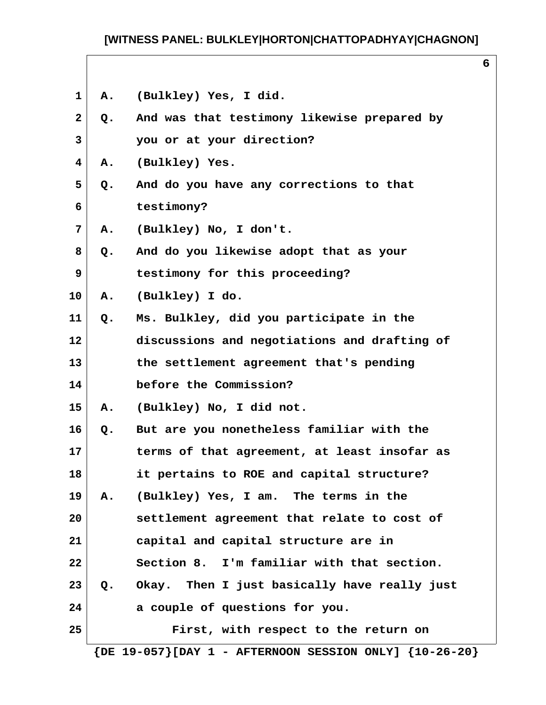**6**

| $\mathbf{2}$ | Q.            | And was that testimony likewise prepared by  |
|--------------|---------------|----------------------------------------------|
| 3            |               | you or at your direction?                    |
| 4            | Α.            | (Bulkley) Yes.                               |
| 5            | Q.            | And do you have any corrections to that      |
| 6            |               | testimony?                                   |
| 7            | А.            | (Bulkley) No, I don't.                       |
| 8            | Q.            | And do you likewise adopt that as your       |
| 9            |               | testimony for this proceeding?               |
| 10           | Α.            | (Bulkley) I do.                              |
| 11           | Q.            | Ms. Bulkley, did you participate in the      |
| 12           |               | discussions and negotiations and drafting of |
| 13           |               | the settlement agreement that's pending      |
| 14           |               | before the Commission?                       |
| 15           | Α.            | (Bulkley) No, I did not.                     |
| 16           | Q.            | But are you nonetheless familiar with the    |
| 17           |               | terms of that agreement, at least insofar as |
| 18           |               | it pertains to ROE and capital structure?    |
| 19           | Α.            | (Bulkley) Yes, I am. The terms in the        |
| 20           |               | settlement agreement that relate to cost of  |
| 21           |               | capital and capital structure are in         |
| 22           |               | Section 8. I'm familiar with that section.   |
| 23           | $Q_{\bullet}$ | Okay. Then I just basically have really just |
| 24           |               | a couple of questions for you.               |
| 25           |               | First, with respect to the return on         |

 **{DE 19-057}[DAY 1 - AFTERNOON SESSION ONLY] {10-26-20}**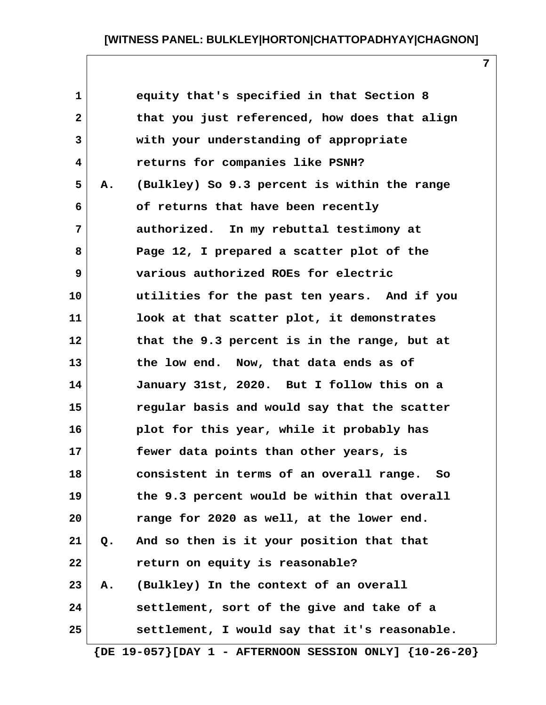**1 equity that's specified in that Section 8 2 that you just referenced, how does that align 3 with your understanding of appropriate 4 returns for companies like PSNH? 5 A. (Bulkley) So 9.3 percent is within the range 6 of returns that have been recently 7 authorized. In my rebuttal testimony at 8 Page 12, I prepared a scatter plot of the 9 various authorized ROEs for electric 10 utilities for the past ten years. And if you 11 look at that scatter plot, it demonstrates 12 that the 9.3 percent is in the range, but at 13 the low end. Now, that data ends as of 14 January 31st, 2020. But I follow this on a 15 regular basis and would say that the scatter 16 plot for this year, while it probably has 17 fewer data points than other years, is 18 consistent in terms of an overall range. So 19 the 9.3 percent would be within that overall 20 range for 2020 as well, at the lower end. 21 Q. And so then is it your position that that 22 return on equity is reasonable? 23 A. (Bulkley) In the context of an overall 24 settlement, sort of the give and take of a 25 settlement, I would say that it's reasonable.**

 **{DE 19-057}[DAY 1 - AFTERNOON SESSION ONLY] {10-26-20}**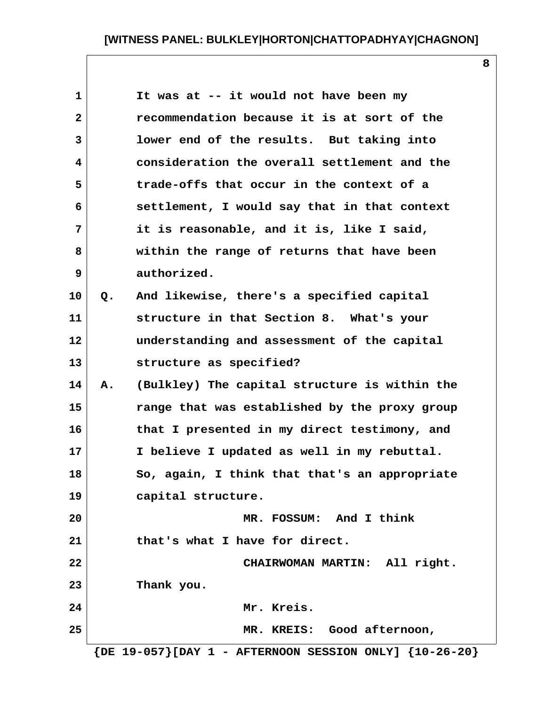**1 It was at -- it would not have been my 2 recommendation because it is at sort of the 3 lower end of the results. But taking into 4 consideration the overall settlement and the 5 trade-offs that occur in the context of a 6 settlement, I would say that in that context 7 it is reasonable, and it is, like I said, 8 within the range of returns that have been 9 authorized. 10 Q. And likewise, there's a specified capital 11 structure in that Section 8. What's your 12 understanding and assessment of the capital 13 structure as specified? 14 A. (Bulkley) The capital structure is within the 15 range that was established by the proxy group 16 that I presented in my direct testimony, and 17 I believe I updated as well in my rebuttal. 18 So, again, I think that that's an appropriate 19 capital structure. 20 MR. FOSSUM: And I think 21 that's what I have for direct. 22 CHAIRWOMAN MARTIN: All right. 23 Thank you. 24 Mr. Kreis. 25 MR. KREIS: Good afternoon, {DE 19-057}[DAY 1 - AFTERNOON SESSION ONLY] {10-26-20}**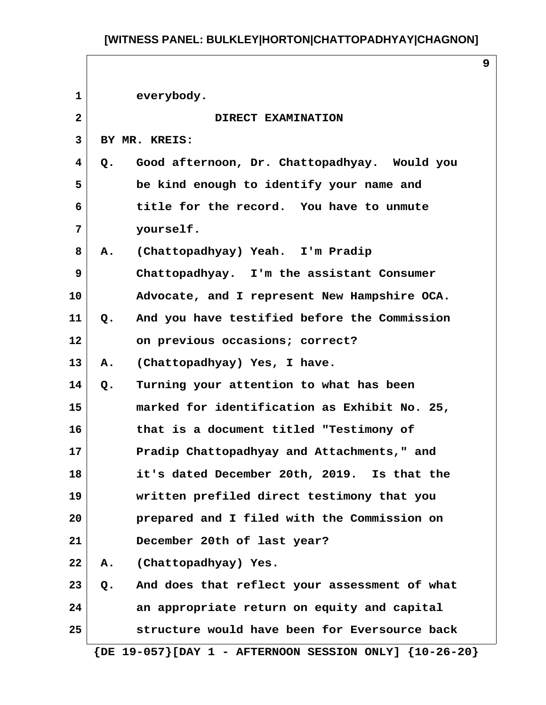| $\mathbf{1}$      | everybody.                                                      |
|-------------------|-----------------------------------------------------------------|
| $\mathbf{2}$      | DIRECT EXAMINATION                                              |
| $\mathbf{3}$      | BY MR. KREIS:                                                   |
| 4                 | Good afternoon, Dr. Chattopadhyay. Would you<br>Q.              |
| 5                 | be kind enough to identify your name and                        |
| 6                 | title for the record. You have to unmute                        |
| 7                 | yourself.                                                       |
| 8                 | A. (Chattopadhyay) Yeah. I'm Pradip                             |
| 9                 | Chattopadhyay. I'm the assistant Consumer                       |
| 10                | Advocate, and I represent New Hampshire OCA.                    |
| 11                | And you have testified before the Commission<br>Q.              |
| $12 \overline{ }$ | on previous occasions; correct?                                 |
| 13                | (Chattopadhyay) Yes, I have.<br>Α.                              |
| 14                | Turning your attention to what has been<br>Q.                   |
| 15                | marked for identification as Exhibit No. 25,                    |
| 16                | that is a document titled "Testimony of                         |
| 17                | Pradip Chattopadhyay and Attachments, " and                     |
| 18                | it's dated December 20th, 2019. Is that the                     |
| 19                | written prefiled direct testimony that you                      |
| 20                | prepared and I filed with the Commission on                     |
| 21                | December 20th of last year?                                     |
| 22                | A. (Chattopadhyay) Yes.                                         |
| 23                | And does that reflect your assessment of what<br>$Q_{\bullet}$  |
| 24                | an appropriate return on equity and capital                     |
| 25                | structure would have been for Eversource back                   |
|                   | $\{DE 19-057\}$ [DAY 1 - AFTERNOON SESSION ONLY] $\{10-26-20\}$ |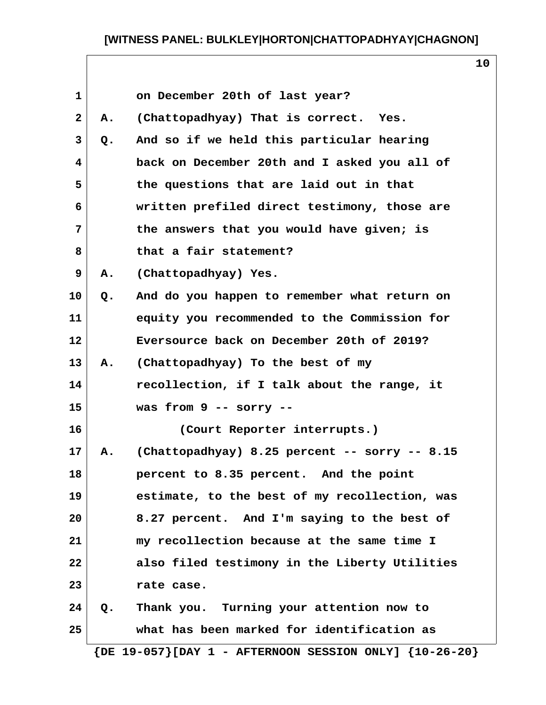| $\mathbf 1$  |       | on December 20th of last year?                                   |
|--------------|-------|------------------------------------------------------------------|
| $\mathbf{2}$ | Α.    | (Chattopadhyay) That is correct. Yes.                            |
| 3            | $Q$ . | And so if we held this particular hearing                        |
| 4            |       | back on December 20th and I asked you all of                     |
| 5            |       | the questions that are laid out in that                          |
| 6            |       | written prefiled direct testimony, those are                     |
| 7            |       | the answers that you would have given; is                        |
| 8            |       | that a fair statement?                                           |
| 9            | Α.    | (Chattopadhyay) Yes.                                             |
| 10           | $Q$ . | And do you happen to remember what return on                     |
| 11           |       | equity you recommended to the Commission for                     |
| 12           |       | Eversource back on December 20th of 2019?                        |
| 13           | Α.    | (Chattopadhyay) To the best of my                                |
| 14           |       | recollection, if I talk about the range, it                      |
| 15           |       | was from $9$ -- sorry --                                         |
| 16           |       | (Court Reporter interrupts.)                                     |
| 17           | Α.    | (Chattopadhyay) 8.25 percent -- sorry -- 8.15                    |
| 18           |       | percent to 8.35 percent. And the point                           |
| 19           |       | estimate, to the best of my recollection, was                    |
| 20           |       | 8.27 percent. And I'm saying to the best of                      |
| 21           |       | my recollection because at the same time I                       |
| 22           |       | also filed testimony in the Liberty Utilities                    |
| 23           |       | rate case.                                                       |
| 24           | Q.    | Thank you. Turning your attention now to                         |
| 25           |       | what has been marked for identification as                       |
|              |       | $\{DE\ 19-057\}$ [DAY 1 - AFTERNOON SESSION ONLY] $\{10-26-20\}$ |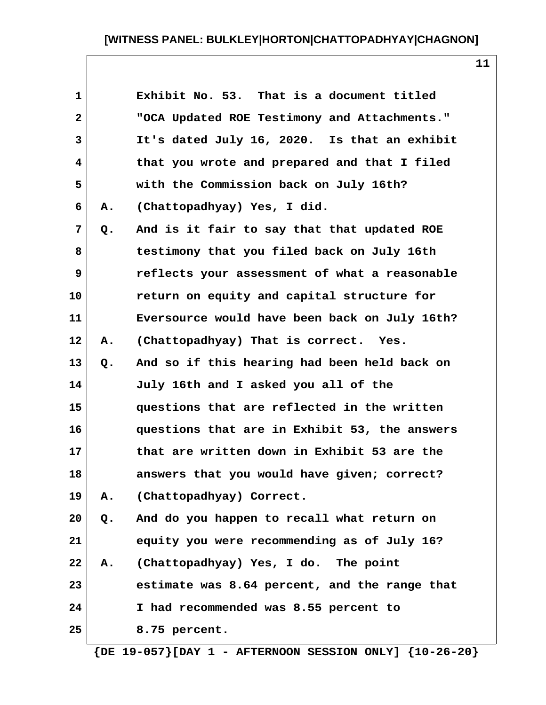| $\mathbf{1}$ |    | Exhibit No. 53. That is a document titled     |
|--------------|----|-----------------------------------------------|
| $\mathbf{2}$ |    | "OCA Updated ROE Testimony and Attachments."  |
| 3            |    | It's dated July 16, 2020. Is that an exhibit  |
| 4            |    | that you wrote and prepared and that I filed  |
| 5            |    | with the Commission back on July 16th?        |
| 6            | Α. | (Chattopadhyay) Yes, I did.                   |
| 7            | Q. | And is it fair to say that that updated ROE   |
| 8            |    | testimony that you filed back on July 16th    |
| 9            |    | reflects your assessment of what a reasonable |
| 10           |    | return on equity and capital structure for    |
| 11           |    | Eversource would have been back on July 16th? |
| 12           | Α. | (Chattopadhyay) That is correct. Yes.         |
| 13           | Q. | And so if this hearing had been held back on  |
| 14           |    | July 16th and I asked you all of the          |
| 15           |    | questions that are reflected in the written   |
| 16           |    | questions that are in Exhibit 53, the answers |
| 17           |    | that are written down in Exhibit 53 are the   |
| 18           |    | answers that you would have given; correct?   |
| 19           | Α. | (Chattopadhyay) Correct.                      |
| 20           | Q. | And do you happen to recall what return on    |
| 21           |    | equity you were recommending as of July 16?   |
| 22           | Α. | (Chattopadhyay) Yes, I do. The point          |
| 23           |    | estimate was 8.64 percent, and the range that |
| 24           |    | I had recommended was 8.55 percent to         |
| 25           |    | 8.75 percent.                                 |
|              |    |                                               |

 **{DE 19-057}[DAY 1 - AFTERNOON SESSION ONLY] {10-26-20}**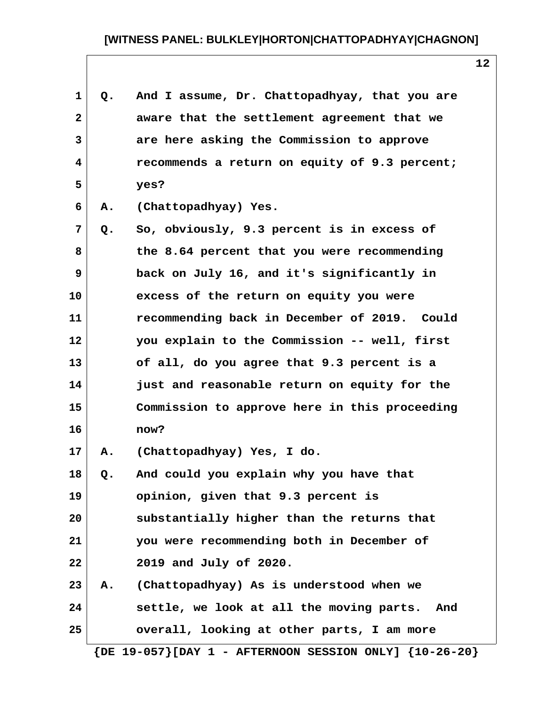| 1                       | Q.    | And I assume, Dr. Chattopadhyay, that you are                    |
|-------------------------|-------|------------------------------------------------------------------|
| $\mathbf{2}$            |       | aware that the settlement agreement that we                      |
| 3                       |       | are here asking the Commission to approve                        |
| $\overline{\mathbf{4}}$ |       | recommends a return on equity of 9.3 percent;                    |
| 5                       |       | yes?                                                             |
| 6                       | Α.    | (Chattopadhyay) Yes.                                             |
| 7                       | Q.    | So, obviously, 9.3 percent is in excess of                       |
| 8                       |       | the 8.64 percent that you were recommending                      |
| 9                       |       | back on July 16, and it's significantly in                       |
| 10                      |       | excess of the return on equity you were                          |
| 11                      |       | recommending back in December of 2019. Could                     |
| 12                      |       | you explain to the Commission -- well, first                     |
| 13                      |       | of all, do you agree that 9.3 percent is a                       |
| 14                      |       | just and reasonable return on equity for the                     |
| 15                      |       | Commission to approve here in this proceeding                    |
| 16                      |       | now?                                                             |
| 17                      | Α.    | (Chattopadhyay) Yes, I do.                                       |
| 18                      | $Q$ . | And could you explain why you have that                          |
| 19                      |       | opinion, given that 9.3 percent is                               |
| 20                      |       | substantially higher than the returns that                       |
| 21                      |       | you were recommending both in December of                        |
| 22                      |       | 2019 and July of 2020.                                           |
| 23                      |       | A. (Chattopadhyay) As is understood when we                      |
| 24                      |       | settle, we look at all the moving parts. And                     |
| 25                      |       | overall, looking at other parts, I am more                       |
|                         |       | $\{DE\ 19-057\}$ [DAY 1 - AFTERNOON SESSION ONLY] $\{10-26-20\}$ |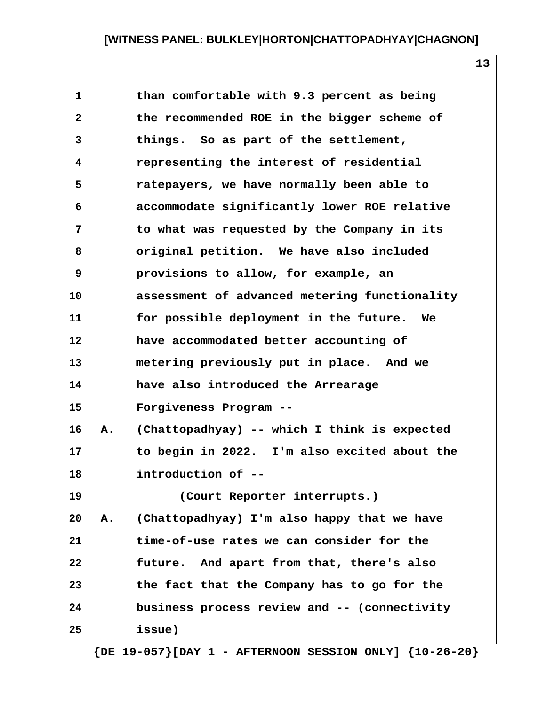| $\mathbf{1}$ |    | than comfortable with 9.3 percent as being    |
|--------------|----|-----------------------------------------------|
| $\mathbf{2}$ |    | the recommended ROE in the bigger scheme of   |
| 3            |    | things. So as part of the settlement,         |
| 4            |    | representing the interest of residential      |
| 5            |    | ratepayers, we have normally been able to     |
| 6            |    | accommodate significantly lower ROE relative  |
| 7            |    | to what was requested by the Company in its   |
| 8            |    | original petition. We have also included      |
| 9            |    | provisions to allow, for example, an          |
| 10           |    | assessment of advanced metering functionality |
| 11           |    | for possible deployment in the future.<br>We  |
| 12           |    | have accommodated better accounting of        |
| 13           |    | metering previously put in place. And we      |
| 14           |    | have also introduced the Arrearage            |
| 15           |    | Forgiveness Program --                        |
| 16           | Α. | (Chattopadhyay) -- which I think is expected  |
| 17           |    | to begin in 2022. I'm also excited about the  |
| 18           |    | introduction of --                            |
| 19           |    | (Court Reporter interrupts.)                  |
| 20           | Α. | (Chattopadhyay) I'm also happy that we have   |
| 21           |    | time-of-use rates we can consider for the     |
| 22           |    | future. And apart from that, there's also     |
| 23           |    | the fact that the Company has to go for the   |
| 24           |    | business process review and -- (connectivity  |

**13**

 **{DE 19-057}[DAY 1 - AFTERNOON SESSION ONLY] {10-26-20}**

**25 issue)**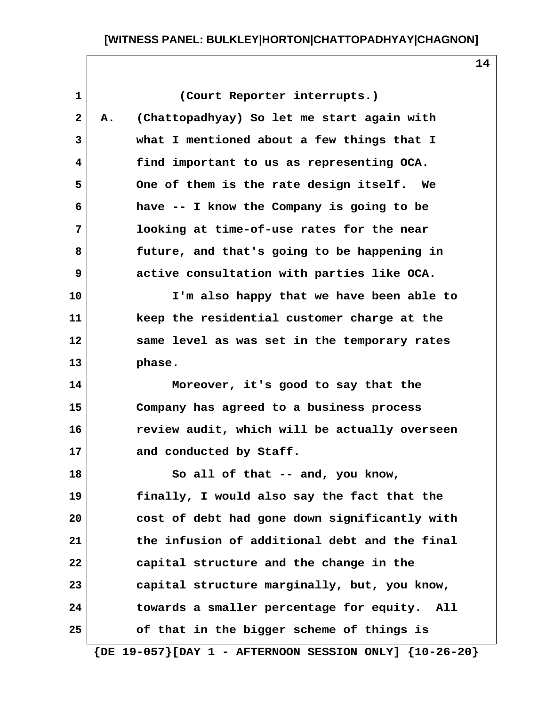**1 (Court Reporter interrupts.) 2 A. (Chattopadhyay) So let me start again with 3 what I mentioned about a few things that I 4 find important to us as representing OCA. 5 One of them is the rate design itself. We 6 have -- I know the Company is going to be 7 looking at time-of-use rates for the near 8 future, and that's going to be happening in 9 active consultation with parties like OCA. 10 I'm also happy that we have been able to 11 keep the residential customer charge at the 12 same level as was set in the temporary rates 13 phase. 14 Moreover, it's good to say that the 15 Company has agreed to a business process 16 review audit, which will be actually overseen** 17 and conducted by Staff. **18 So all of that -- and, you know, 19 finally, I would also say the fact that the 20 cost of debt had gone down significantly with 21 the infusion of additional debt and the final 22 capital structure and the change in the 23 capital structure marginally, but, you know, 24 towards a smaller percentage for equity. All 25 of that in the bigger scheme of things is**

 **{DE 19-057}[DAY 1 - AFTERNOON SESSION ONLY] {10-26-20}**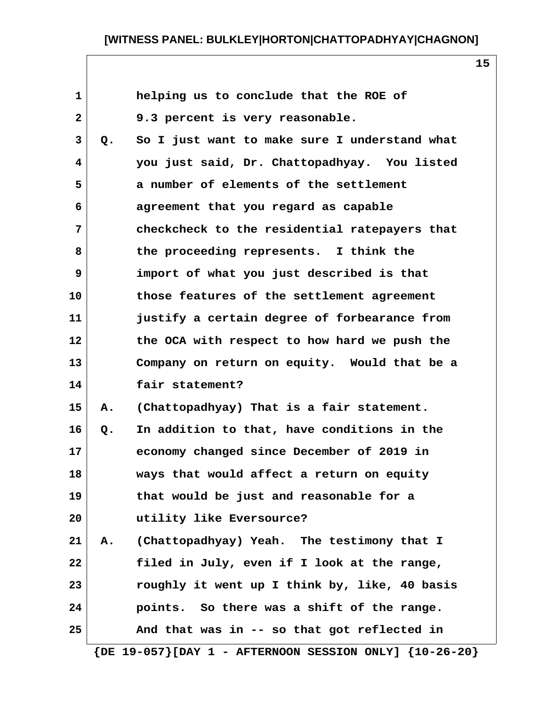| $\mathbf{1}$   |    | helping us to conclude that the ROE of        |
|----------------|----|-----------------------------------------------|
| $\mathbf{2}$   |    | 9.3 percent is very reasonable.               |
| 3              | Q. | So I just want to make sure I understand what |
| 4              |    | you just said, Dr. Chattopadhyay. You listed  |
| 5              |    | a number of elements of the settlement        |
| 6              |    | agreement that you regard as capable          |
| $7\phantom{.}$ |    | checkcheck to the residential ratepayers that |
| 8              |    | the proceeding represents. I think the        |
| 9              |    | import of what you just described is that     |
| 10             |    | those features of the settlement agreement    |
| 11             |    | justify a certain degree of forbearance from  |
| 12             |    | the OCA with respect to how hard we push the  |
| 13             |    | Company on return on equity. Would that be a  |
| 14             |    | fair statement?                               |
| 15             | Α. | (Chattopadhyay) That is a fair statement.     |
| 16             | Q. | In addition to that, have conditions in the   |
| 17             |    | economy changed since December of 2019 in     |
| 18             |    | ways that would affect a return on equity     |
| 19             |    | that would be just and reasonable for a       |
| 20             |    | utility like Eversource?                      |
| 21             | Α. | (Chattopadhyay) Yeah. The testimony that I    |
| 22             |    | filed in July, even if I look at the range,   |
| 23             |    | roughly it went up I think by, like, 40 basis |
| 24             |    | points. So there was a shift of the range.    |
| 25             |    | And that was in -- so that got reflected in   |
|                |    |                                               |

 **{DE 19-057}[DAY 1 - AFTERNOON SESSION ONLY] {10-26-20}**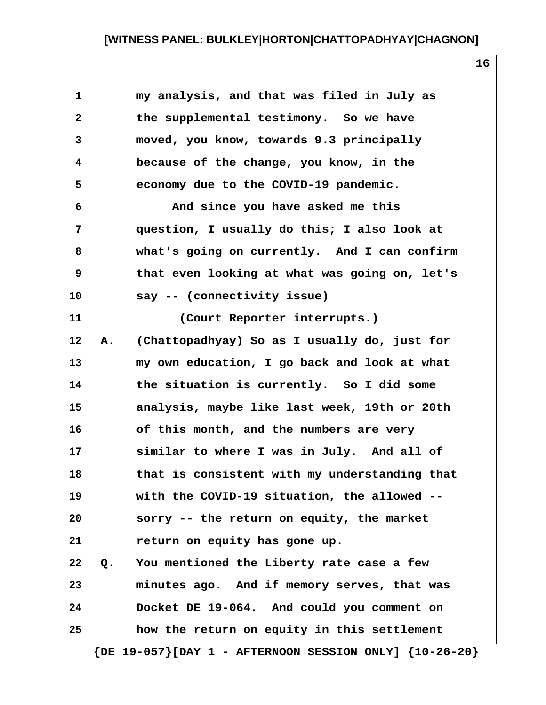| 1<br>my analysis, and that was filed in July as<br>$\mathbf{2}$<br>the supplemental testimony. So we have<br>3<br>moved, you know, towards 9.3 principally<br>because of the change, you know, in the<br>4<br>5<br>economy due to the COVID-19 pandemic.<br>And since you have asked me this<br>6<br>7<br>question, I usually do this; I also look at<br>8<br>what's going on currently. And I can confirm<br>9<br>that even looking at what was going on, let's<br>say -- (connectivity issue)<br>(Court Reporter interrupts.)<br>(Chattopadhyay) So as I usually do, just for<br>Α.<br>my own education, I go back and look at what<br>the situation is currently. So I did some<br>analysis, maybe like last week, 19th or 20th<br>of this month, and the numbers are very<br>similar to where I was in July. And all of |
|-----------------------------------------------------------------------------------------------------------------------------------------------------------------------------------------------------------------------------------------------------------------------------------------------------------------------------------------------------------------------------------------------------------------------------------------------------------------------------------------------------------------------------------------------------------------------------------------------------------------------------------------------------------------------------------------------------------------------------------------------------------------------------------------------------------------------------|
| 10<br>11<br>12<br>13<br>14<br>15<br>16<br>17                                                                                                                                                                                                                                                                                                                                                                                                                                                                                                                                                                                                                                                                                                                                                                                |
|                                                                                                                                                                                                                                                                                                                                                                                                                                                                                                                                                                                                                                                                                                                                                                                                                             |
|                                                                                                                                                                                                                                                                                                                                                                                                                                                                                                                                                                                                                                                                                                                                                                                                                             |
|                                                                                                                                                                                                                                                                                                                                                                                                                                                                                                                                                                                                                                                                                                                                                                                                                             |
|                                                                                                                                                                                                                                                                                                                                                                                                                                                                                                                                                                                                                                                                                                                                                                                                                             |
|                                                                                                                                                                                                                                                                                                                                                                                                                                                                                                                                                                                                                                                                                                                                                                                                                             |
|                                                                                                                                                                                                                                                                                                                                                                                                                                                                                                                                                                                                                                                                                                                                                                                                                             |
|                                                                                                                                                                                                                                                                                                                                                                                                                                                                                                                                                                                                                                                                                                                                                                                                                             |
|                                                                                                                                                                                                                                                                                                                                                                                                                                                                                                                                                                                                                                                                                                                                                                                                                             |
|                                                                                                                                                                                                                                                                                                                                                                                                                                                                                                                                                                                                                                                                                                                                                                                                                             |
|                                                                                                                                                                                                                                                                                                                                                                                                                                                                                                                                                                                                                                                                                                                                                                                                                             |
|                                                                                                                                                                                                                                                                                                                                                                                                                                                                                                                                                                                                                                                                                                                                                                                                                             |
|                                                                                                                                                                                                                                                                                                                                                                                                                                                                                                                                                                                                                                                                                                                                                                                                                             |
|                                                                                                                                                                                                                                                                                                                                                                                                                                                                                                                                                                                                                                                                                                                                                                                                                             |
|                                                                                                                                                                                                                                                                                                                                                                                                                                                                                                                                                                                                                                                                                                                                                                                                                             |
|                                                                                                                                                                                                                                                                                                                                                                                                                                                                                                                                                                                                                                                                                                                                                                                                                             |
|                                                                                                                                                                                                                                                                                                                                                                                                                                                                                                                                                                                                                                                                                                                                                                                                                             |
| that is consistent with my understanding that<br>18                                                                                                                                                                                                                                                                                                                                                                                                                                                                                                                                                                                                                                                                                                                                                                         |
| 19<br>with the COVID-19 situation, the allowed --                                                                                                                                                                                                                                                                                                                                                                                                                                                                                                                                                                                                                                                                                                                                                                           |
| sorry -- the return on equity, the market<br>20                                                                                                                                                                                                                                                                                                                                                                                                                                                                                                                                                                                                                                                                                                                                                                             |
| 21<br>return on equity has gone up.                                                                                                                                                                                                                                                                                                                                                                                                                                                                                                                                                                                                                                                                                                                                                                                         |
| You mentioned the Liberty rate case a few<br>22<br>$Q$ .                                                                                                                                                                                                                                                                                                                                                                                                                                                                                                                                                                                                                                                                                                                                                                    |
| 23<br>minutes ago. And if memory serves, that was                                                                                                                                                                                                                                                                                                                                                                                                                                                                                                                                                                                                                                                                                                                                                                           |
| Docket DE 19-064. And could you comment on<br>24                                                                                                                                                                                                                                                                                                                                                                                                                                                                                                                                                                                                                                                                                                                                                                            |
| how the return on equity in this settlement<br>25                                                                                                                                                                                                                                                                                                                                                                                                                                                                                                                                                                                                                                                                                                                                                                           |

 **{DE 19-057}[DAY 1 - AFTERNOON SESSION ONLY] {10-26-20}**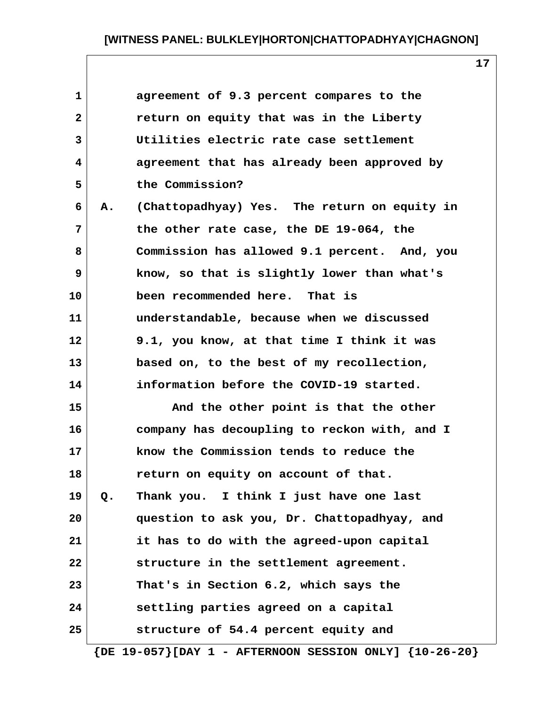**17**

| $\mathbf{1}$ |       | agreement of 9.3 percent compares to the     |
|--------------|-------|----------------------------------------------|
| $\mathbf{2}$ |       | return on equity that was in the Liberty     |
| 3            |       | Utilities electric rate case settlement      |
| 4            |       | agreement that has already been approved by  |
| 5            |       | the Commission?                              |
| 6            | Α.    | (Chattopadhyay) Yes. The return on equity in |
| 7            |       | the other rate case, the DE 19-064, the      |
| 8            |       | Commission has allowed 9.1 percent. And, you |
| 9            |       | know, so that is slightly lower than what's  |
| 10           |       | been recommended here. That is               |
| 11           |       | understandable, because when we discussed    |
| 12           |       | 9.1, you know, at that time I think it was   |
| 13           |       | based on, to the best of my recollection,    |
| 14           |       | information before the COVID-19 started.     |
| 15           |       | And the other point is that the other        |
| 16           |       | company has decoupling to reckon with, and I |
| 17           |       | know the Commission tends to reduce the      |
| 18           |       | return on equity on account of that.         |
| 19           | $Q$ . | Thank you. I think I just have one last      |
| 20           |       | question to ask you, Dr. Chattopadhyay, and  |
| 21           |       | it has to do with the agreed-upon capital    |
| 22           |       | structure in the settlement agreement.       |
| 23           |       | That's in Section 6.2, which says the        |
| 24           |       | settling parties agreed on a capital         |
| 25           |       | structure of 54.4 percent equity and         |
|              |       |                                              |

 **{DE 19-057}[DAY 1 - AFTERNOON SESSION ONLY] {10-26-20}**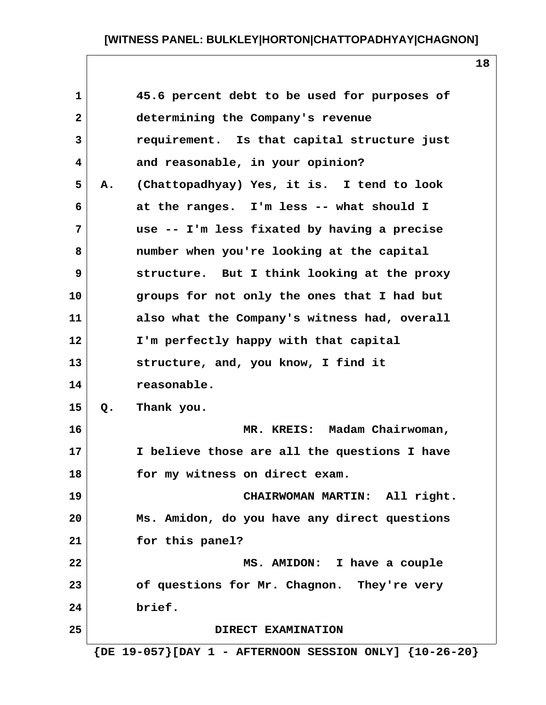| $\mathbf{1}$ |    | 45.6 percent debt to be used for purposes of |
|--------------|----|----------------------------------------------|
| $\mathbf{2}$ |    | determining the Company's revenue            |
| 3            |    | requirement. Is that capital structure just  |
| 4            |    | and reasonable, in your opinion?             |
| 5            | Α. | (Chattopadhyay) Yes, it is. I tend to look   |
| 6            |    | at the ranges. I'm less -- what should I     |
| 7            |    | use -- I'm less fixated by having a precise  |
| 8            |    | number when you're looking at the capital    |
| 9            |    | structure. But I think looking at the proxy  |
| 10           |    | groups for not only the ones that I had but  |
| 11           |    | also what the Company's witness had, overall |
| 12           |    | I'm perfectly happy with that capital        |
| 13           |    | structure, and, you know, I find it          |
| 14           |    | reasonable.                                  |
| 15           | Q. | Thank you.                                   |
| 16           |    | MR. KREIS: Madam Chairwoman,                 |
| 17           |    | I believe those are all the questions I have |
| 18           |    | for my witness on direct exam.               |
| 19           |    | CHAIRWOMAN MARTIN: All right.                |
| 20           |    | Ms. Amidon, do you have any direct questions |
| 21           |    | for this panel?                              |
| 22           |    | MS. AMIDON: I have a couple                  |
| 23           |    | of questions for Mr. Chagnon. They're very   |
| 24           |    | brief.                                       |
| 25           |    | DIRECT EXAMINATION                           |
|              |    |                                              |

 **{DE 19-057}[DAY 1 - AFTERNOON SESSION ONLY] {10-26-20}**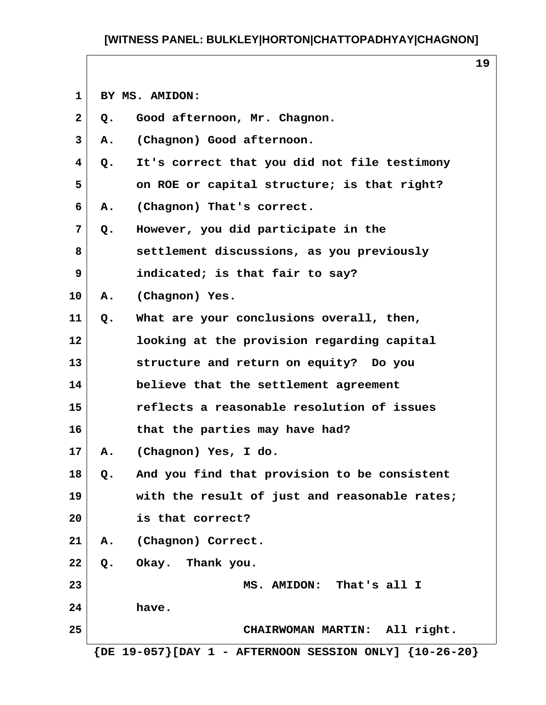**1 BY MS. AMIDON:**

| $\mathbf{2}$            | Q.    | Good afternoon, Mr. Chagnon.                                |
|-------------------------|-------|-------------------------------------------------------------|
| $\mathbf{3}$            | Α.    | (Chagnon) Good afternoon.                                   |
| $\overline{\mathbf{4}}$ | $Q$ . | It's correct that you did not file testimony                |
| 5                       |       | on ROE or capital structure; is that right?                 |
| 6                       | Α.    | (Chagnon) That's correct.                                   |
| 7                       | Q.    | However, you did participate in the                         |
| 8                       |       | settlement discussions, as you previously                   |
| 9                       |       | indicated; is that fair to say?                             |
| 10                      | Α.    | (Chagnon) Yes.                                              |
| 11                      | Q.    | What are your conclusions overall, then,                    |
| $12 \overline{ }$       |       | looking at the provision regarding capital                  |
| 13                      |       | structure and return on equity? Do you                      |
| 14                      |       | believe that the settlement agreement                       |
| 15                      |       | reflects a reasonable resolution of issues                  |
| 16                      |       | that the parties may have had?                              |
| 17                      | Α.    | (Chagnon) Yes, I do.                                        |
| 18                      | Q.    | And you find that provision to be consistent                |
| 19                      |       | with the result of just and reasonable rates;               |
| 20                      |       | is that correct?                                            |
| 21                      |       | A. (Chagnon) Correct.                                       |
| 22                      |       | Q. Okay. Thank you.                                         |
| 23                      |       | MS. AMIDON: That's all I                                    |
| 24                      |       | have.                                                       |
| 25                      |       | CHAIRWOMAN MARTIN: All right.                               |
|                         |       | ${DE 19-057}$ [DAY 1 - AFTERNOON SESSION ONLY] ${10-26-20}$ |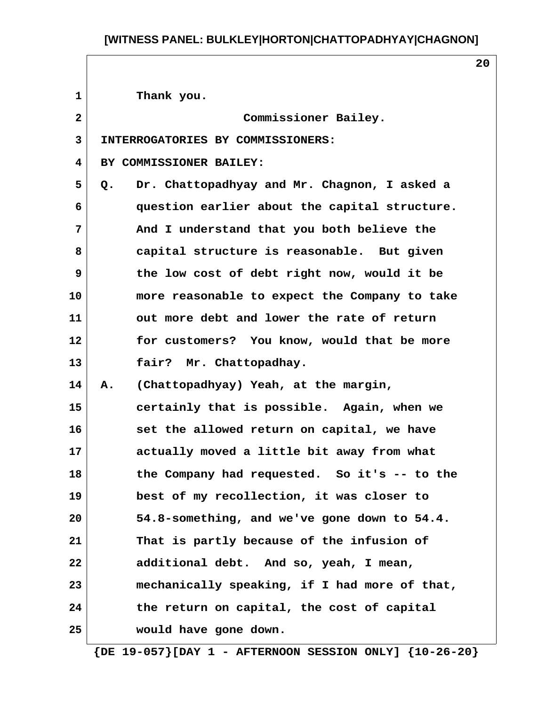**20**

 **1 Thank you. 2 Commissioner Bailey. 3 INTERROGATORIES BY COMMISSIONERS: 4 BY COMMISSIONER BAILEY: 5 Q. Dr. Chattopadhyay and Mr. Chagnon, I asked a 6 question earlier about the capital structure. 7 And I understand that you both believe the 8 capital structure is reasonable. But given 9 the low cost of debt right now, would it be 10 more reasonable to expect the Company to take 11 out more debt and lower the rate of return 12 for customers? You know, would that be more 13 fair? Mr. Chattopadhay. 14 A. (Chattopadhyay) Yeah, at the margin, 15 certainly that is possible. Again, when we 16 set the allowed return on capital, we have 17 actually moved a little bit away from what 18 the Company had requested. So it's -- to the 19 best of my recollection, it was closer to 20 54.8-something, and we've gone down to 54.4. 21 That is partly because of the infusion of 22 additional debt. And so, yeah, I mean, 23 mechanically speaking, if I had more of that, 24 the return on capital, the cost of capital 25 would have gone down.**

 **{DE 19-057}[DAY 1 - AFTERNOON SESSION ONLY] {10-26-20}**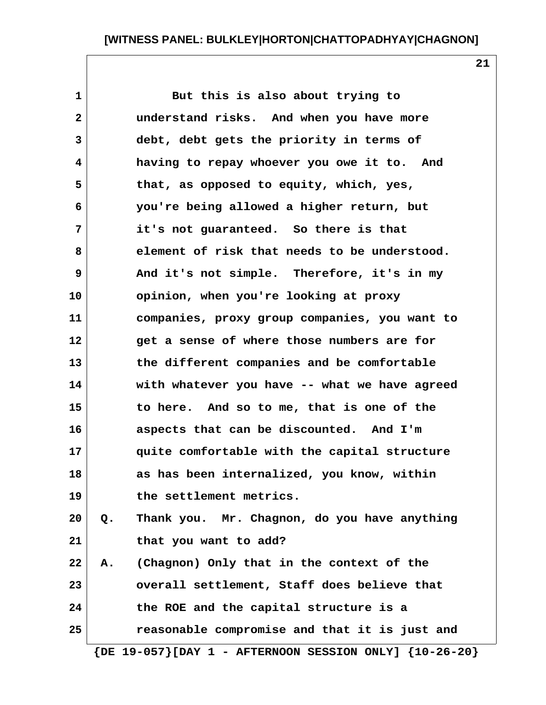**21**

| $\mathbf{1}$ |    | But this is also about trying to              |
|--------------|----|-----------------------------------------------|
| $\mathbf{2}$ |    | understand risks. And when you have more      |
| 3            |    | debt, debt gets the priority in terms of      |
| 4            |    | having to repay whoever you owe it to. And    |
| 5            |    | that, as opposed to equity, which, yes,       |
| 6            |    | you're being allowed a higher return, but     |
| 7            |    | it's not guaranteed. So there is that         |
| 8            |    | element of risk that needs to be understood.  |
| 9            |    | And it's not simple. Therefore, it's in my    |
| 10           |    | opinion, when you're looking at proxy         |
| 11           |    | companies, proxy group companies, you want to |
| 12           |    | get a sense of where those numbers are for    |
| 13           |    | the different companies and be comfortable    |
| 14           |    | with whatever you have -- what we have agreed |
| 15           |    | to here. And so to me, that is one of the     |
| 16           |    | aspects that can be discounted. And I'm       |
| 17           |    | quite comfortable with the capital structure  |
| 18           |    | as has been internalized, you know, within    |
| 19           |    | the settlement metrics.                       |
| 20           | Q. | Thank you. Mr. Chagnon, do you have anything  |
| 21           |    | that you want to add?                         |
| 22           | А. | (Chagnon) Only that in the context of the     |
| 23           |    | overall settlement, Staff does believe that   |
| 24           |    | the ROE and the capital structure is a        |
| 25           |    | reasonable compromise and that it is just and |

 **{DE 19-057}[DAY 1 - AFTERNOON SESSION ONLY] {10-26-20}**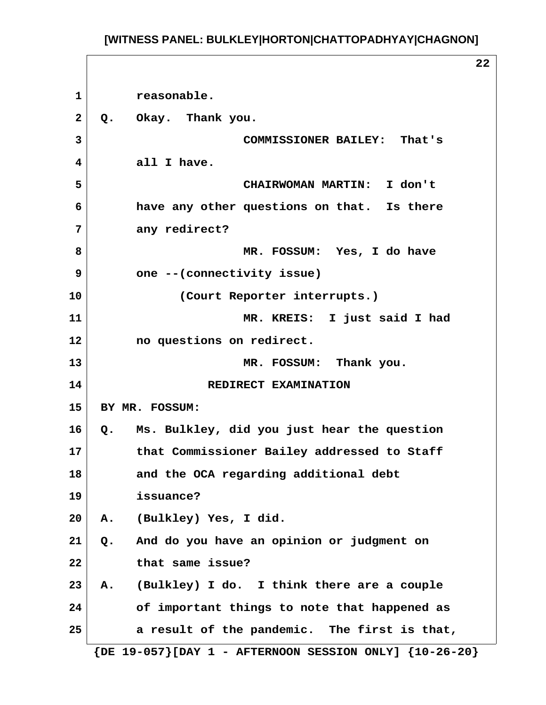**1 reasonable.** 2 Q. Okay. Thank you.  **3 COMMISSIONER BAILEY: That's 4 all I have. 5 CHAIRWOMAN MARTIN: I don't 6 have any other questions on that. Is there 7 any redirect? 8 MR. FOSSUM: Yes, I do have 9 one --(connectivity issue) 10 (Court Reporter interrupts.) 11 MR. KREIS: I just said I had 12 no questions on redirect. 13 MR. FOSSUM: Thank you. 14** REDIRECT EXAMINATION **15 BY MR. FOSSUM: 16 Q. Ms. Bulkley, did you just hear the question 17 that Commissioner Bailey addressed to Staff 18 and the OCA regarding additional debt 19 issuance? 20 A. (Bulkley) Yes, I did. 21 Q. And do you have an opinion or judgment on 22 that same issue? 23 A. (Bulkley) I do. I think there are a couple 24 of important things to note that happened as 25 a result of the pandemic. The first is that, {DE 19-057}[DAY 1 - AFTERNOON SESSION ONLY] {10-26-20}**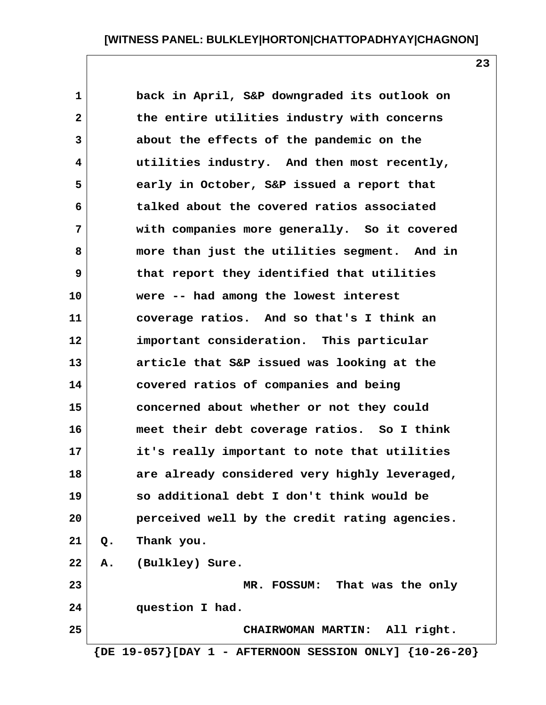**1 back in April, S&P downgraded its outlook on 2 the entire utilities industry with concerns 3 about the effects of the pandemic on the 4 utilities industry. And then most recently, 5 early in October, S&P issued a report that 6 talked about the covered ratios associated 7 with companies more generally. So it covered 8 more than just the utilities segment. And in 9 that report they identified that utilities 10 were -- had among the lowest interest 11 coverage ratios. And so that's I think an 12 important consideration. This particular 13 article that S&P issued was looking at the 14 covered ratios of companies and being 15 concerned about whether or not they could 16 meet their debt coverage ratios. So I think 17 it's really important to note that utilities 18 are already considered very highly leveraged, 19 so additional debt I don't think would be 20 perceived well by the credit rating agencies. 21 Q. Thank you. 22 A. (Bulkley) Sure. 23 MR. FOSSUM: That was the only 24 question I had. 25 CHAIRWOMAN MARTIN: All right. {DE 19-057}[DAY 1 - AFTERNOON SESSION ONLY] {10-26-20}**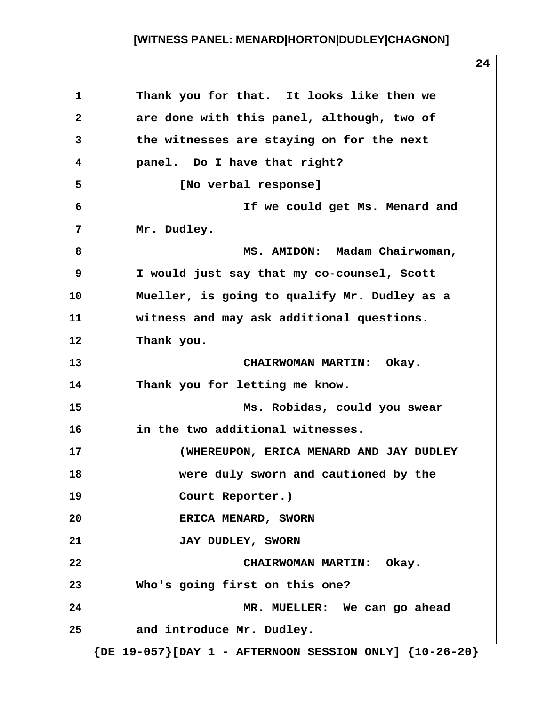| $\mathbf{1}$ | Thank you for that. It looks like then we                        |
|--------------|------------------------------------------------------------------|
| $\mathbf{2}$ | are done with this panel, although, two of                       |
| 3            | the witnesses are staying on for the next                        |
| 4            | panel. Do I have that right?                                     |
| 5            | [No verbal response]                                             |
| 6            | If we could get Ms. Menard and                                   |
| 7            | Mr. Dudley.                                                      |
| 8            | MS. AMIDON: Madam Chairwoman,                                    |
| 9            | I would just say that my co-counsel, Scott                       |
| 10           | Mueller, is going to qualify Mr. Dudley as a                     |
| 11           | witness and may ask additional questions.                        |
| 12           | Thank you.                                                       |
| 13           | CHAIRWOMAN MARTIN: Okay.                                         |
| 14           | Thank you for letting me know.                                   |
| 15           | Ms. Robidas, could you swear                                     |
| 16           | in the two additional witnesses.                                 |
| 17           | (WHEREUPON, ERICA MENARD AND JAY DUDLEY                          |
| 18           | were duly sworn and cautioned by the                             |
| 19           | Court Reporter.)                                                 |
| 20           | ERICA MENARD, SWORN                                              |
| 21           | <b>JAY DUDLEY, SWORN</b>                                         |
| 22           | CHAIRWOMAN MARTIN: Okay.                                         |
| 23           | Who's going first on this one?                                   |
| 24           | MR. MUELLER: We can go ahead                                     |
| 25           | and introduce Mr. Dudley.                                        |
|              | $\{DE\ 19-057\}$ [DAY 1 - AFTERNOON SESSION ONLY] $\{10-26-20\}$ |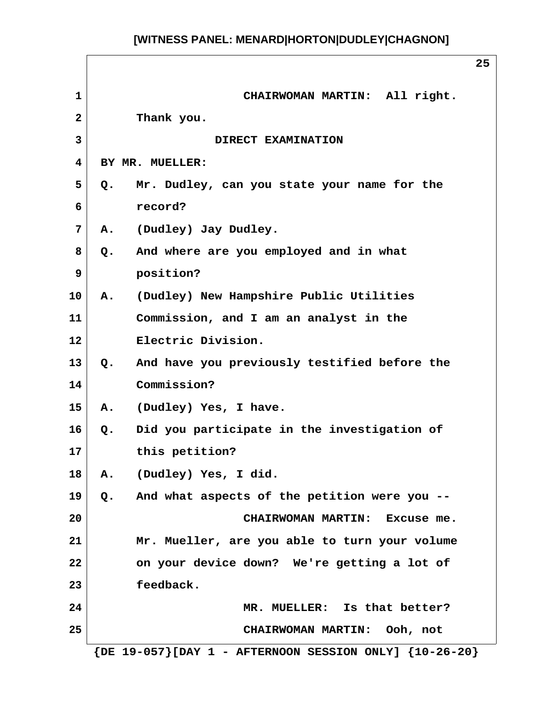|                         | 25                                                               |
|-------------------------|------------------------------------------------------------------|
| $\mathbf{1}$            | CHAIRWOMAN MARTIN: All right.                                    |
| $\overline{2}$          | Thank you.                                                       |
| $\overline{\mathbf{3}}$ | DIRECT EXAMINATION                                               |
| 4                       | BY MR. MUELLER:                                                  |
| 5.                      | Mr. Dudley, can you state your name for the<br>Q.                |
| 6                       | record?                                                          |
| 7                       | A. (Dudley) Jay Dudley.                                          |
| 8                       | Q. And where are you employed and in what                        |
| $\mathbf{9}$            | position?                                                        |
| 10                      | A. (Dudley) New Hampshire Public Utilities                       |
| 11                      | Commission, and I am an analyst in the                           |
| 12 <sup>2</sup>         | Electric Division.                                               |
| 13                      | And have you previously testified before the<br>Q.               |
| 14                      | Commission?                                                      |
| 15                      | A. (Dudley) Yes, I have.                                         |
| 16                      | Did you participate in the investigation of<br>$Q_{\bullet}$     |
| 17                      | this petition?                                                   |
| 18                      | (Dudley) Yes, I did.<br>Α.                                       |
| 19                      | Q. And what aspects of the petition were you --                  |
| 20                      | CHAIRWOMAN MARTIN: Excuse me.                                    |
| 21                      | Mr. Mueller, are you able to turn your volume                    |
| 22                      | on your device down? We're getting a lot of                      |
| 23                      | feedback.                                                        |
| 24                      | MR. MUELLER: Is that better?                                     |
| 25                      | CHAIRWOMAN MARTIN: Ooh, not                                      |
|                         | $\{DE\ 19-057\}$ [DAY 1 - AFTERNOON SESSION ONLY] $\{10-26-20\}$ |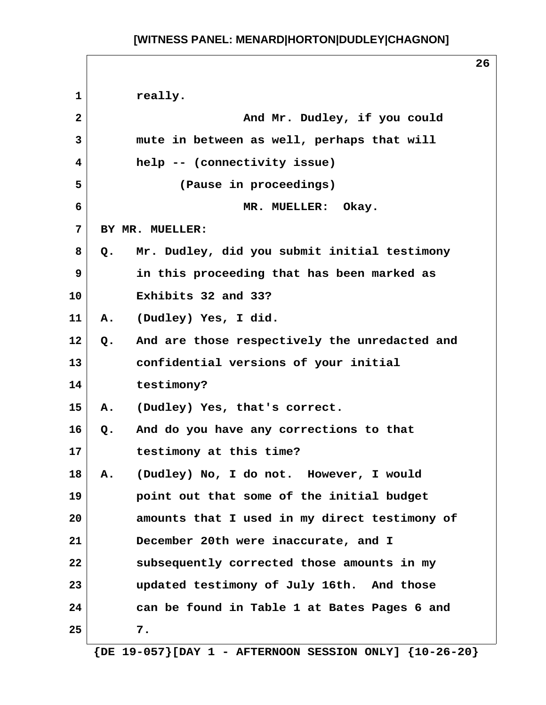**26** 1 really.  **2 And Mr. Dudley, if you could 3 mute in between as well, perhaps that will 4 help -- (connectivity issue) 5 (Pause in proceedings) 6 MR. MUELLER: Okay. 7 BY MR. MUELLER: 8 Q. Mr. Dudley, did you submit initial testimony 9 in this proceeding that has been marked as 10 Exhibits 32 and 33? 11 A. (Dudley) Yes, I did. 12 Q. And are those respectively the unredacted and 13 confidential versions of your initial 14 testimony? 15 A. (Dudley) Yes, that's correct. 16 Q. And do you have any corrections to that 17 testimony at this time? 18 A. (Dudley) No, I do not. However, I would 19 point out that some of the initial budget 20 amounts that I used in my direct testimony of 21 December 20th were inaccurate, and I 22 subsequently corrected those amounts in my 23 updated testimony of July 16th. And those 24 can be found in Table 1 at Bates Pages 6 and 25 7.**

 **{DE 19-057}[DAY 1 - AFTERNOON SESSION ONLY] {10-26-20}**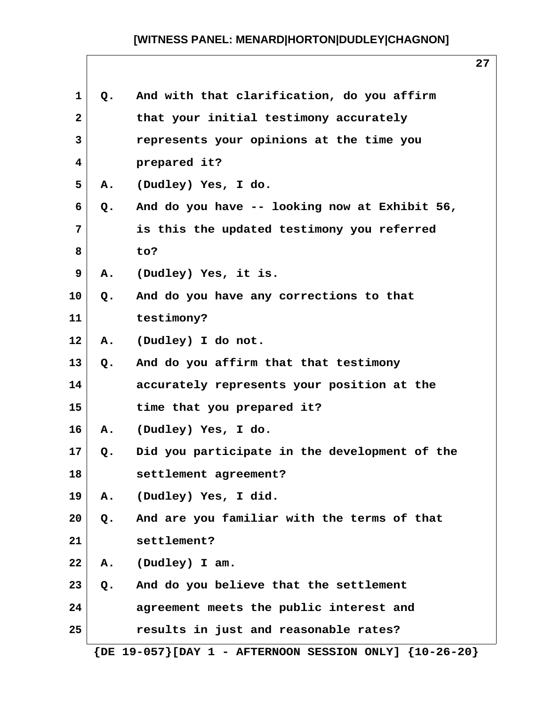| 1            | Q.            | And with that clarification, do you affirm                       |
|--------------|---------------|------------------------------------------------------------------|
| $\mathbf{2}$ |               | that your initial testimony accurately                           |
| 3            |               | represents your opinions at the time you                         |
| 4            |               | prepared it?                                                     |
| 5            | Α.            | (Dudley) Yes, I do.                                              |
| 6            | Q.            | And do you have -- looking now at Exhibit 56,                    |
| 7            |               | is this the updated testimony you referred                       |
| 8            |               | to?                                                              |
| 9            | Α.            | (Dudley) Yes, it is.                                             |
| 10           | Q.            | And do you have any corrections to that                          |
| 11           |               | testimony?                                                       |
| 12           | Α.            | (Dudley) I do not.                                               |
| 13           | Q.            | And do you affirm that that testimony                            |
| 14           |               | accurately represents your position at the                       |
| 15           |               | time that you prepared it?                                       |
| 16           | Α.            | (Dudley) Yes, I do.                                              |
| 17           | Q.            | Did you participate in the development of the                    |
| 18           |               | settlement agreement?                                            |
| 19           | Α.            | (Dudley) Yes, I did.                                             |
| 20           | Q.            | And are you familiar with the terms of that                      |
| 21           |               | settlement?                                                      |
| 22           | A.            | (Dudley) I am.                                                   |
| 23           | $Q_{\bullet}$ | And do you believe that the settlement                           |
| 24           |               | agreement meets the public interest and                          |
| 25           |               | results in just and reasonable rates?                            |
|              |               | $\{DE\ 19-057\}$ [DAY 1 - AFTERNOON SESSION ONLY] $\{10-26-20\}$ |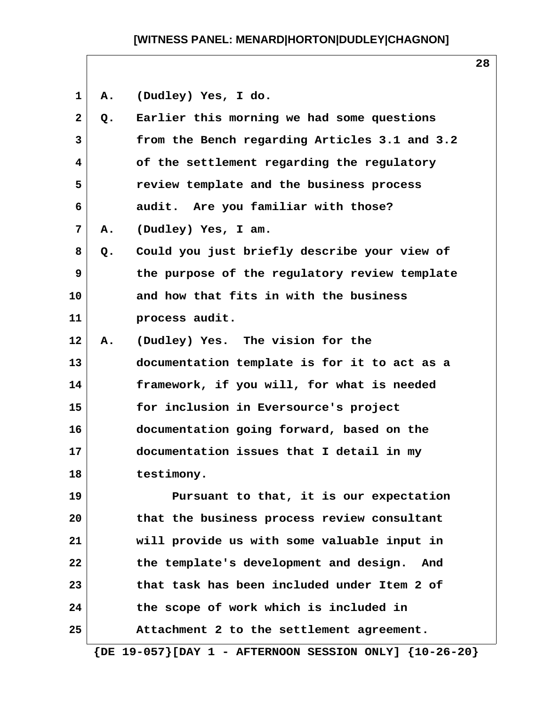**1 A. (Dudley) Yes, I do.**

| $\mathbf{2}$   | Q. | Earlier this morning we had some questions    |
|----------------|----|-----------------------------------------------|
| 3              |    | from the Bench regarding Articles 3.1 and 3.2 |
| $\overline{4}$ |    | of the settlement regarding the regulatory    |
| 5              |    | review template and the business process      |
| 6              |    | audit. Are you familiar with those?           |
| 7              | Α. | (Dudley) Yes, I am.                           |
| 8              | Q. | Could you just briefly describe your view of  |
| 9              |    | the purpose of the regulatory review template |
| 10             |    | and how that fits in with the business        |
| 11             |    | process audit.                                |
| $12 \,$        | Α. | (Dudley) Yes. The vision for the              |
| 13             |    | documentation template is for it to act as a  |
| 14             |    | framework, if you will, for what is needed    |
| 15             |    | for inclusion in Eversource's project         |
| 16             |    | documentation going forward, based on the     |
| 17             |    | documentation issues that I detail in my      |
| 18             |    | testimony.                                    |
| 19             |    | Pursuant to that, it is our expectation       |
| 20             |    | that the business process review consultant   |
| 21             |    | will provide us with some valuable input in   |
| 22             |    | the template's development and design.<br>And |
| 23             |    | that task has been included under Item 2 of   |
| 24             |    | the scope of work which is included in        |
| 25             |    | Attachment 2 to the settlement agreement.     |

 **{DE 19-057}[DAY 1 - AFTERNOON SESSION ONLY] {10-26-20}**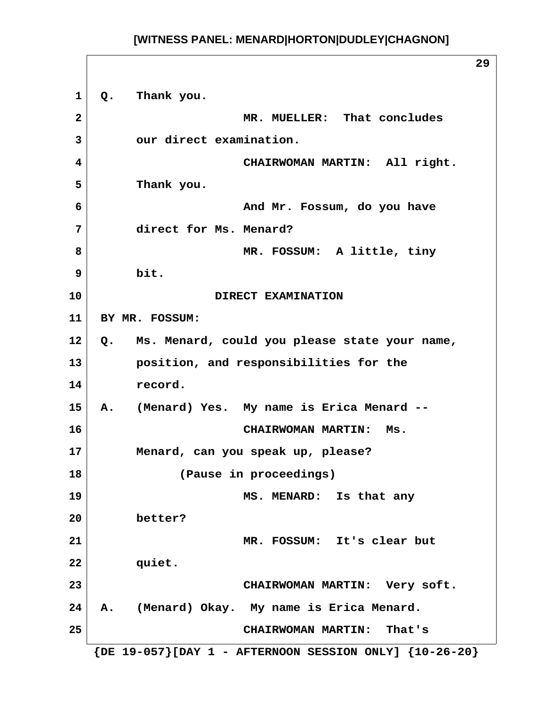**29 1 Q. Thank you. 2 MR. MUELLER: That concludes 3 our direct examination. 4 CHAIRWOMAN MARTIN: All right. 5 Thank you. 6 And Mr. Fossum, do you have 7 direct for Ms. Menard? 8 MR. FOSSUM: A little, tiny 9 bit. 10 DIRECT EXAMINATION 11 BY MR. FOSSUM: 12 Q. Ms. Menard, could you please state your name, 13 position, and responsibilities for the 14 record. 15 A. (Menard) Yes. My name is Erica Menard -- 16 CHAIRWOMAN MARTIN: Ms. 17 Menard, can you speak up, please? 18 (Pause in proceedings) 19 MS. MENARD: Is that any 20 better? 21 MR. FOSSUM: It's clear but 22 quiet. 23 CHAIRWOMAN MARTIN: Very soft. 24 A. (Menard) Okay. My name is Erica Menard. 25 CHAIRWOMAN MARTIN: That's {DE 19-057}[DAY 1 - AFTERNOON SESSION ONLY] {10-26-20}**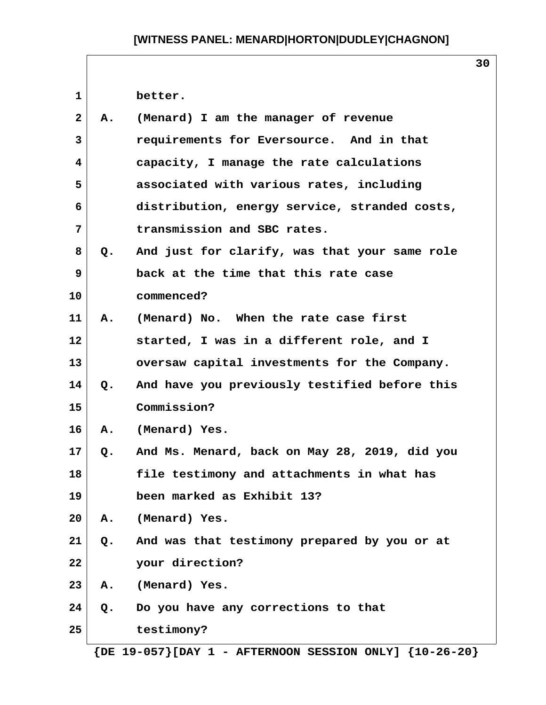**30**

1 better.

| $\mathbf{2}$   | Α.            | (Menard) I am the manager of revenue          |
|----------------|---------------|-----------------------------------------------|
| $\mathbf{3}$   |               | requirements for Eversource. And in that      |
| $\overline{4}$ |               | capacity, I manage the rate calculations      |
| 5              |               | associated with various rates, including      |
| 6              |               | distribution, energy service, stranded costs, |
| $\overline{7}$ |               | transmission and SBC rates.                   |
| 8              | Q.            | And just for clarify, was that your same role |
| 9              |               | back at the time that this rate case          |
| 10             |               | commenced?                                    |
| 11             | Α.            | (Menard) No. When the rate case first         |
| 12             |               | started, I was in a different role, and I     |
| 13             |               | oversaw capital investments for the Company.  |
| 14             | $Q_{\bullet}$ | And have you previously testified before this |
| 15             |               | Commission?                                   |
| 16             | Α.            | (Menard) Yes.                                 |
| 17             | Q.            | And Ms. Menard, back on May 28, 2019, did you |
| 18             |               | file testimony and attachments in what has    |
| 19             |               | been marked as Exhibit 13?                    |
| 20             | Α.            | (Menard) Yes.                                 |
| 21             | Q.            | And was that testimony prepared by you or at  |
| 22             |               | your direction?                               |
| 23             | Α.            | (Menard) Yes.                                 |
| 24             | $Q$ .         | Do you have any corrections to that           |
| 25             |               | testimony?                                    |

 **{DE 19-057}[DAY 1 - AFTERNOON SESSION ONLY] {10-26-20}**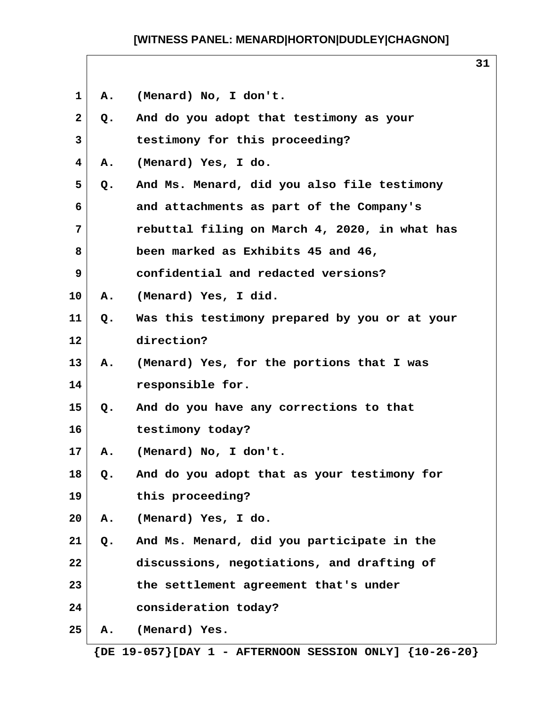|              |       |                                               | 31 |  |
|--------------|-------|-----------------------------------------------|----|--|
| 1            | Α.    | (Menard) No, I don't.                         |    |  |
| $\mathbf{2}$ | Q.    | And do you adopt that testimony as your       |    |  |
| 3            |       | testimony for this proceeding?                |    |  |
| 4            | Α.    | (Menard) Yes, I do.                           |    |  |
| 5            | Q.    | And Ms. Menard, did you also file testimony   |    |  |
| 6            |       | and attachments as part of the Company's      |    |  |
| 7            |       | rebuttal filing on March 4, 2020, in what has |    |  |
| 8            |       | been marked as Exhibits 45 and 46,            |    |  |
| 9            |       | confidential and redacted versions?           |    |  |
| 10           | Α.    | (Menard) Yes, I did.                          |    |  |
| 11           | $Q$ . | Was this testimony prepared by you or at your |    |  |
| 12           |       | direction?                                    |    |  |
| 13           | Α.    | (Menard) Yes, for the portions that I was     |    |  |
| 14           |       | responsible for.                              |    |  |
| 15           | Q.    | And do you have any corrections to that       |    |  |
| 16           |       | testimony today?                              |    |  |
| 17           | Α.    | (Menard) No, I don't.                         |    |  |
| 18           | Q.    | And do you adopt that as your testimony for   |    |  |
| 19           |       | this proceeding?                              |    |  |
| 20           | Α.    | (Menard) Yes, I do.                           |    |  |
| 21           | Q.    | And Ms. Menard, did you participate in the    |    |  |
| 22           |       | discussions, negotiations, and drafting of    |    |  |
| 23           |       | the settlement agreement that's under         |    |  |
| 24           |       | consideration today?                          |    |  |
| 25           | Α.    | (Menard) Yes.                                 |    |  |

 **{DE 19-057}[DAY 1 - AFTERNOON SESSION ONLY] {10-26-20}**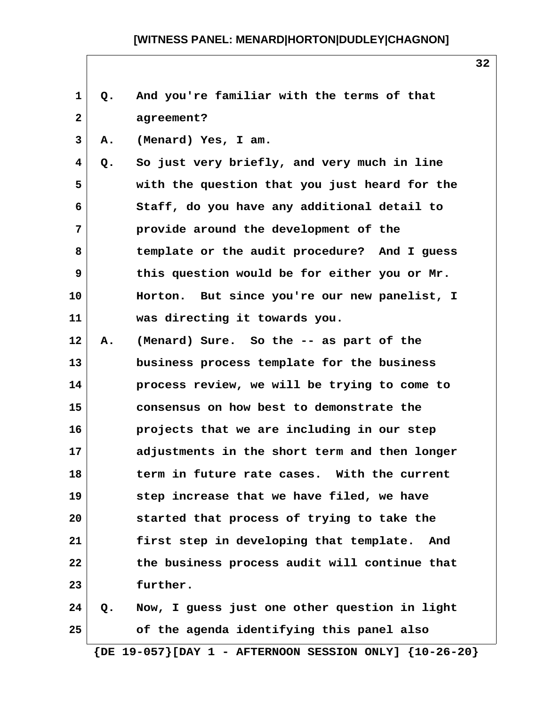| Q. | And you're familiar with the terms of that    |
|----|-----------------------------------------------|
|    | agreement?                                    |
| Α. | (Menard) Yes, I am.                           |
| Q. | So just very briefly, and very much in line   |
|    | with the question that you just heard for the |
|    | Staff, do you have any additional detail to   |
|    | provide around the development of the         |
|    | template or the audit procedure? And I guess  |
|    | this question would be for either you or Mr.  |
|    | Horton. But since you're our new panelist, I  |
|    | was directing it towards you.                 |
| Α. | (Menard) Sure. So the -- as part of the       |
|    | business process template for the business    |
|    | process review, we will be trying to come to  |
|    | consensus on how best to demonstrate the      |
|    | projects that we are including in our step    |
|    | adjustments in the short term and then longer |
|    | term in future rate cases. With the current   |
|    | step increase that we have filed, we have     |
|    | started that process of trying to take the    |
|    | first step in developing that template. And   |
|    | the business process audit will continue that |
|    | further.                                      |
| Q. | Now, I guess just one other question in light |
|    | of the agenda identifying this panel also     |
|    |                                               |

 **{DE 19-057}[DAY 1 - AFTERNOON SESSION ONLY] {10-26-20}**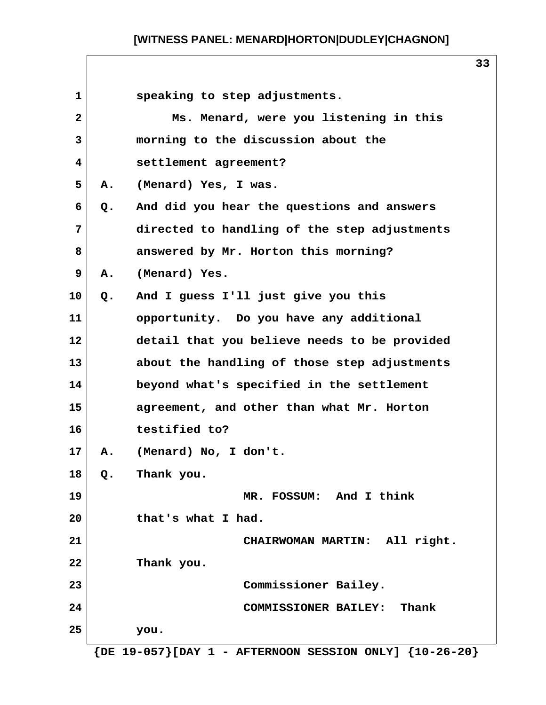| $\mathbf{1}$ |    | speaking to step adjustments.                |
|--------------|----|----------------------------------------------|
| $\mathbf{2}$ |    | Ms. Menard, were you listening in this       |
| 3            |    | morning to the discussion about the          |
| 4            |    | settlement agreement?                        |
| 5            | А. | (Menard) Yes, I was.                         |
| 6            | Q. | And did you hear the questions and answers   |
| 7            |    | directed to handling of the step adjustments |
| 8            |    | answered by Mr. Horton this morning?         |
| 9            | Α. | (Menard) Yes.                                |
| 10           | Q. | And I guess I'll just give you this          |
| 11           |    | opportunity. Do you have any additional      |
| 12           |    | detail that you believe needs to be provided |
| 13           |    | about the handling of those step adjustments |
| 14           |    | beyond what's specified in the settlement    |
| 15           |    | agreement, and other than what Mr. Horton    |
| 16           |    | testified to?                                |
| 17           | Α. | (Menard) No, I don't.                        |
| 18           | Q. | Thank you.                                   |
| 19           |    | MR. FOSSUM: And I think                      |
| 20           |    | that's what I had.                           |
| 21           |    | CHAIRWOMAN MARTIN: All right.                |
| 22           |    | Thank you.                                   |
| 23           |    | Commissioner Bailey.                         |
| 24           |    | COMMISSIONER BAILEY: Thank                   |
| 25           |    | you.                                         |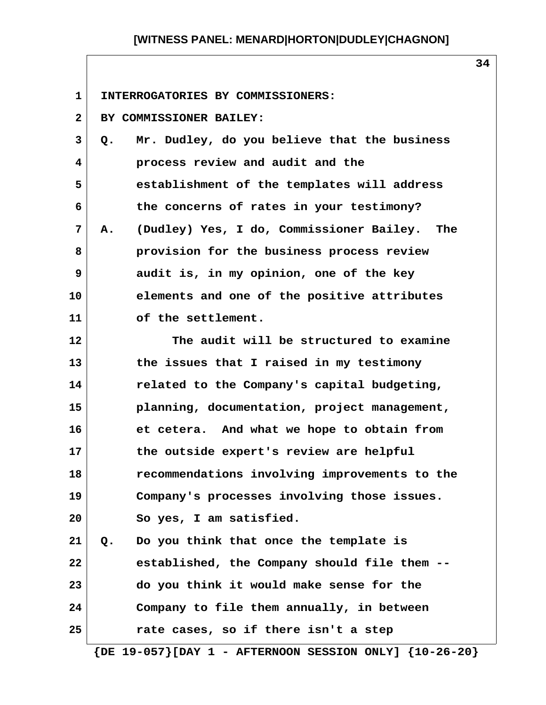**1 INTERROGATORIES BY COMMISSIONERS:**

 **2 BY COMMISSIONER BAILEY: 3 Q. Mr. Dudley, do you believe that the business 4 process review and audit and the 5 establishment of the templates will address**

 **7 A. (Dudley) Yes, I do, Commissioner Bailey. The 8 provision for the business process review 9 audit is, in my opinion, one of the key 10 elements and one of the positive attributes 11 of the settlement.**

 **6 the concerns of rates in your testimony?**

**12 The audit will be structured to examine 13 the issues that I raised in my testimony 14 related to the Company's capital budgeting, 15 planning, documentation, project management, 16 et cetera. And what we hope to obtain from 17 the outside expert's review are helpful 18 recommendations involving improvements to the 19 Company's processes involving those issues. 20 So yes, I am satisfied. 21 Q. Do you think that once the template is**

**22 established, the Company should file them -- 23 do you think it would make sense for the 24 Company to file them annually, in between 25 rate cases, so if there isn't a step**

 **{DE 19-057}[DAY 1 - AFTERNOON SESSION ONLY] {10-26-20}**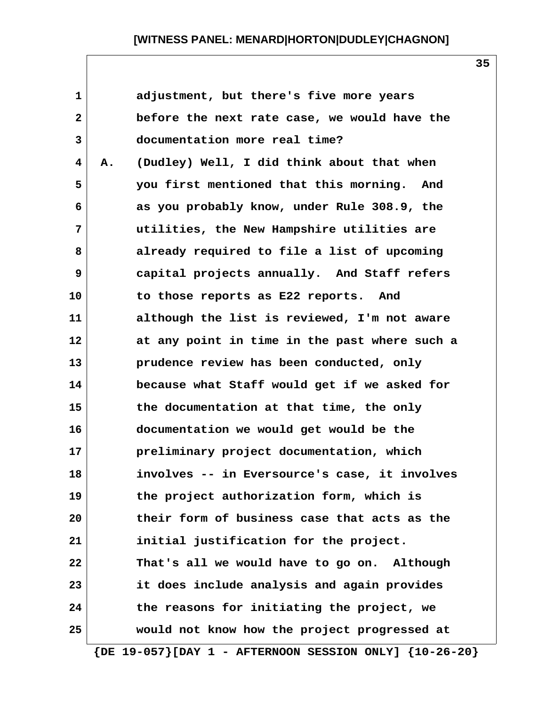| $\mathbf 1$             |    | adjustment, but there's five more years       |
|-------------------------|----|-----------------------------------------------|
| $\overline{\mathbf{2}}$ |    | before the next rate case, we would have the  |
| 3                       |    | documentation more real time?                 |
| 4                       | Α. | (Dudley) Well, I did think about that when    |
| 5                       |    | you first mentioned that this morning. And    |
| 6                       |    | as you probably know, under Rule 308.9, the   |
| 7                       |    | utilities, the New Hampshire utilities are    |
| 8                       |    | already required to file a list of upcoming   |
| 9                       |    | capital projects annually. And Staff refers   |
| 10                      |    | to those reports as E22 reports. And          |
| 11                      |    | although the list is reviewed, I'm not aware  |
| 12                      |    | at any point in time in the past where such a |
| 13                      |    | prudence review has been conducted, only      |
| 14                      |    | because what Staff would get if we asked for  |
| 15                      |    | the documentation at that time, the only      |
| 16                      |    | documentation we would get would be the       |
| 17                      |    | preliminary project documentation, which      |
| 18                      |    | involves -- in Eversource's case, it involves |
| 19                      |    | the project authorization form, which is      |
| 20                      |    | their form of business case that acts as the  |
| 21                      |    | initial justification for the project.        |
| 22                      |    | That's all we would have to go on. Although   |
| 23                      |    | it does include analysis and again provides   |
| 24                      |    | the reasons for initiating the project, we    |
| 25                      |    | would not know how the project progressed at  |
|                         |    |                                               |

 **{DE 19-057}[DAY 1 - AFTERNOON SESSION ONLY] {10-26-20}**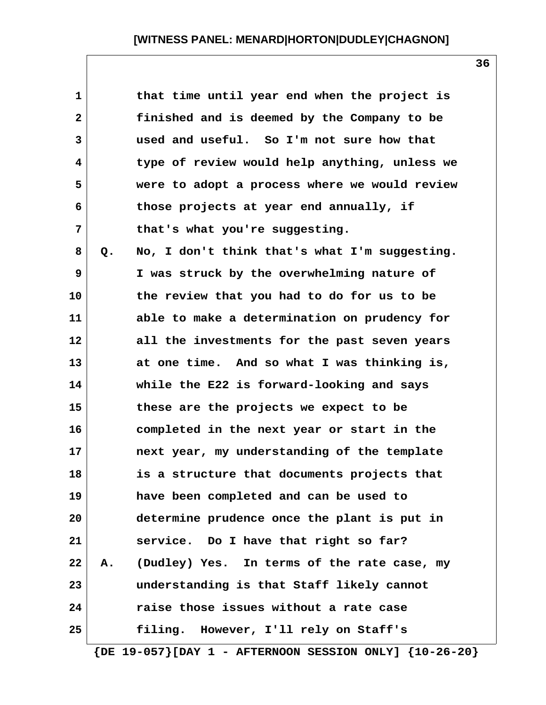| $\mathbf{1}$ |             | that time until year end when the project is  |
|--------------|-------------|-----------------------------------------------|
| $\mathbf{2}$ |             | finished and is deemed by the Company to be   |
| 3            |             | used and useful. So I'm not sure how that     |
| 4            |             | type of review would help anything, unless we |
| 5            |             | were to adopt a process where we would review |
| 6            |             | those projects at year end annually, if       |
| 7            |             | that's what you're suggesting.                |
| 8            | Q.          | No, I don't think that's what I'm suggesting. |
| 9            |             | I was struck by the overwhelming nature of    |
| 10           |             | the review that you had to do for us to be    |
| 11           |             | able to make a determination on prudency for  |
| 12           |             | all the investments for the past seven years  |
| 13           |             | at one time. And so what I was thinking is,   |
| 14           |             | while the E22 is forward-looking and says     |
| 15           |             | these are the projects we expect to be        |
| 16           |             | completed in the next year or start in the    |
| 17           |             | next year, my understanding of the template   |
| 18           |             | is a structure that documents projects that   |
| 19           |             | have been completed and can be used to        |
| 20           |             | determine prudence once the plant is put in   |
| 21           |             | service. Do I have that right so far?         |
| 22           | ${\bf A}$ . | (Dudley) Yes. In terms of the rate case, my   |
| 23           |             | understanding is that Staff likely cannot     |
| 24           |             | raise those issues without a rate case        |
| 25           |             | filing. However, I'll rely on Staff's         |

 **{DE 19-057}[DAY 1 - AFTERNOON SESSION ONLY] {10-26-20}**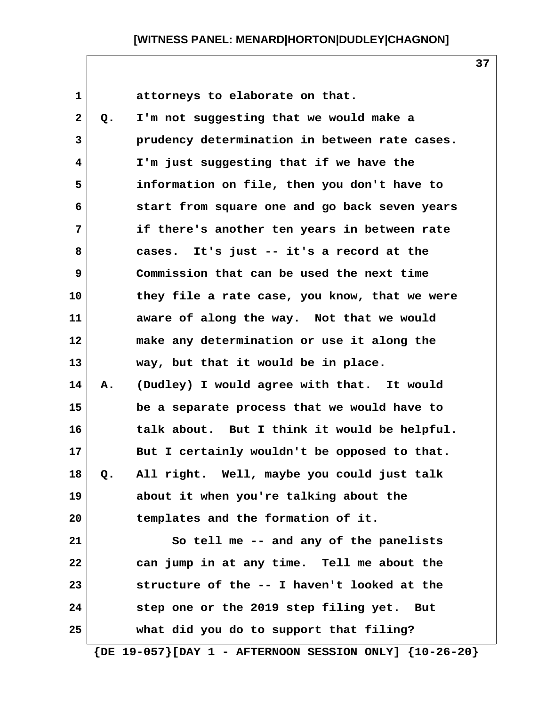1 **1 attorneys** to elaborate on that.  **2 Q. I'm not suggesting that we would make a 3 prudency determination in between rate cases. 4 I'm just suggesting that if we have the 5 information on file, then you don't have to 6 start from square one and go back seven years 7 if there's another ten years in between rate 8 cases. It's just -- it's a record at the 9 Commission that can be used the next time 10 they file a rate case, you know, that we were 11 aware of along the way. Not that we would**

**12 make any determination or use it along the 13 way, but that it would be in place. 14 A. (Dudley) I would agree with that. It would 15 be a separate process that we would have to**

**16 talk about. But I think it would be helpful. 17 But I certainly wouldn't be opposed to that. 18 Q. All right. Well, maybe you could just talk 19 about it when you're talking about the 20 templates and the formation of it.**

**21 So tell me -- and any of the panelists 22 can jump in at any time. Tell me about the 23 structure of the -- I haven't looked at the 24 step one or the 2019 step filing yet. But 25 what did you do to support that filing?**

 **{DE 19-057}[DAY 1 - AFTERNOON SESSION ONLY] {10-26-20}**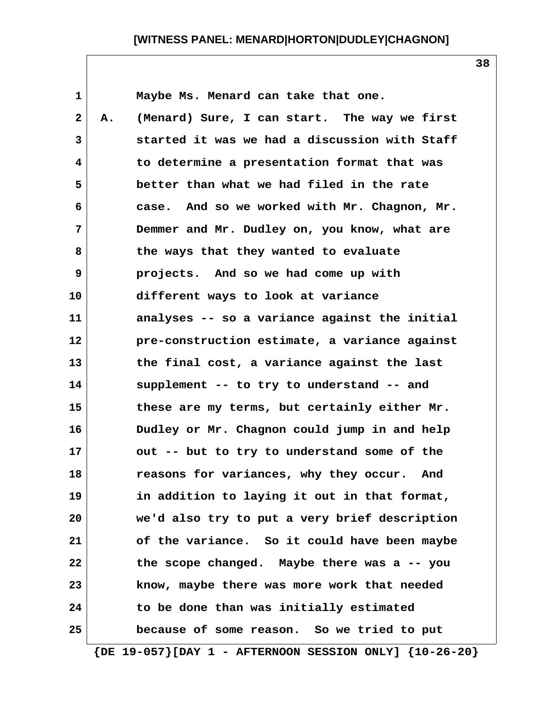| $\mathbf 1$  |    | Maybe Ms. Menard can take that one.           |
|--------------|----|-----------------------------------------------|
| $\mathbf{2}$ | Α. | (Menard) Sure, I can start. The way we first  |
| 3            |    | started it was we had a discussion with Staff |
| 4            |    | to determine a presentation format that was   |
| 5            |    | better than what we had filed in the rate     |
| 6            |    | case. And so we worked with Mr. Chagnon, Mr.  |
| 7            |    | Demmer and Mr. Dudley on, you know, what are  |
| 8            |    | the ways that they wanted to evaluate         |
| 9            |    | projects. And so we had come up with          |
| 10           |    | different ways to look at variance            |
| 11           |    | analyses -- so a variance against the initial |
| 12           |    | pre-construction estimate, a variance against |
| 13           |    | the final cost, a variance against the last   |
| 14           |    | supplement -- to try to understand -- and     |
| 15           |    | these are my terms, but certainly either Mr.  |
| 16           |    | Dudley or Mr. Chagnon could jump in and help  |
| 17           |    | out -- but to try to understand some of the   |
| 18           |    | reasons for variances, why they occur. And    |
| 19           |    | in addition to laying it out in that format,  |
| 20           |    | we'd also try to put a very brief description |
| 21           |    | of the variance. So it could have been maybe  |
| 22           |    | the scope changed. Maybe there was a -- you   |
| 23           |    | know, maybe there was more work that needed   |
| 24           |    | to be done than was initially estimated       |
| 25           |    | because of some reason. So we tried to put    |

 **{DE 19-057}[DAY 1 - AFTERNOON SESSION ONLY] {10-26-20}**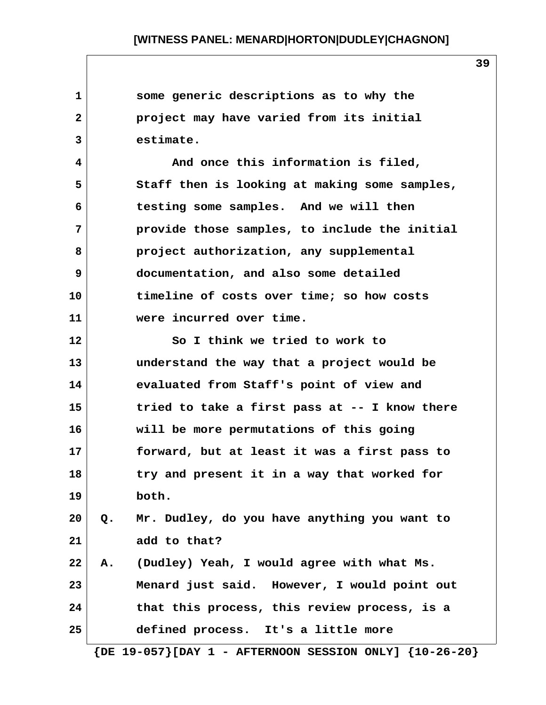| 1              |    | some generic descriptions as to why the       |  |
|----------------|----|-----------------------------------------------|--|
| $\overline{2}$ |    | project may have varied from its initial      |  |
| 3              |    | estimate.                                     |  |
| 4              |    | And once this information is filed,           |  |
| 5              |    | Staff then is looking at making some samples, |  |
| 6              |    | testing some samples. And we will then        |  |
| 7              |    | provide those samples, to include the initial |  |
| 8              |    | project authorization, any supplemental       |  |
| 9              |    | documentation, and also some detailed         |  |
| 10             |    | timeline of costs over time; so how costs     |  |
| 11             |    | were incurred over time.                      |  |
| 12             |    | So I think we tried to work to                |  |
| 13             |    | understand the way that a project would be    |  |
| 14             |    | evaluated from Staff's point of view and      |  |
| 15             |    | tried to take a first pass at -- I know there |  |
| 16             |    | will be more permutations of this going       |  |
| 17             |    | forward, but at least it was a first pass to  |  |
| 18             |    | try and present it in a way that worked for   |  |
| 19             |    | both.                                         |  |
| 20             | Q. | Mr. Dudley, do you have anything you want to  |  |
| 21             |    | add to that?                                  |  |
| 22             | Α. | (Dudley) Yeah, I would agree with what Ms.    |  |
| 23             |    | Menard just said. However, I would point out  |  |
| 24             |    | that this process, this review process, is a  |  |
| 25             |    | defined process. It's a little more           |  |
|                |    |                                               |  |

 **{DE 19-057}[DAY 1 - AFTERNOON SESSION ONLY] {10-26-20}**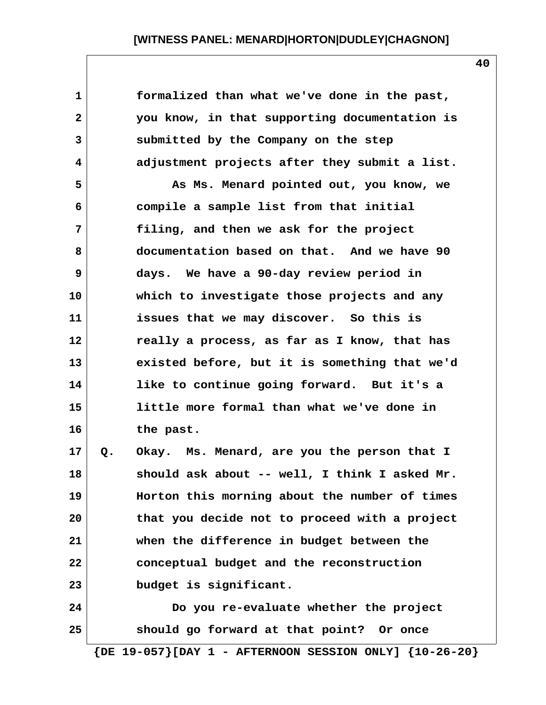|    | formalized than what we've done in the past,  |
|----|-----------------------------------------------|
|    | you know, in that supporting documentation is |
|    | submitted by the Company on the step          |
|    | adjustment projects after they submit a list. |
|    | As Ms. Menard pointed out, you know, we       |
|    | compile a sample list from that initial       |
|    | filing, and then we ask for the project       |
|    | documentation based on that. And we have 90   |
|    | days. We have a 90-day review period in       |
|    | which to investigate those projects and any   |
|    | issues that we may discover. So this is       |
|    | really a process, as far as I know, that has  |
|    | existed before, but it is something that we'd |
|    | like to continue going forward. But it's a    |
|    | little more formal than what we've done in    |
|    | the past.                                     |
| Q. | Okay. Ms. Menard, are you the person that I   |
|    | should ask about -- well, I think I asked Mr. |
|    | Horton this morning about the number of times |
|    | that you decide not to proceed with a project |
|    | when the difference in budget between the     |
|    | conceptual budget and the reconstruction      |
|    | budget is significant.                        |
|    | Do you re-evaluate whether the project        |
|    | should go forward at that point? Or once      |
|    |                                               |

 **{DE 19-057}[DAY 1 - AFTERNOON SESSION ONLY] {10-26-20}**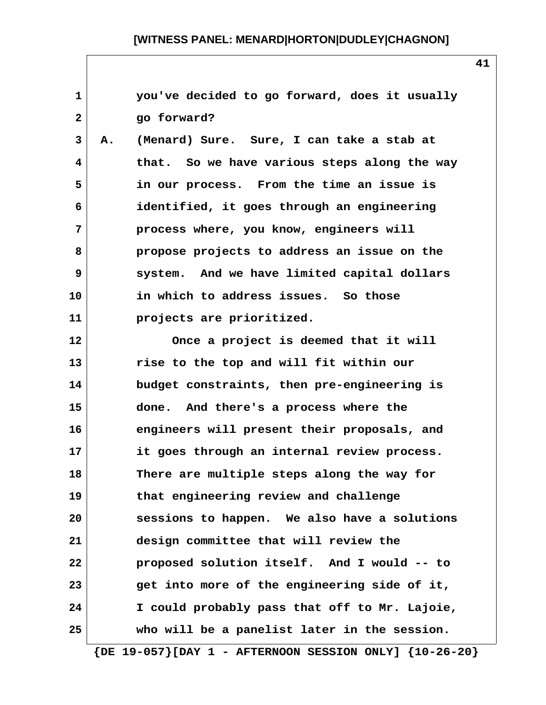**1 you've decided to go forward, does it usually 2 go forward? 3 A. (Menard) Sure. Sure, I can take a stab at 4 that. So we have various steps along the way 5 in our process. From the time an issue is 6 identified, it goes through an engineering 7 process where, you know, engineers will 8 propose projects to address an issue on the 9 system. And we have limited capital dollars 10 in which to address issues. So those 11 projects are prioritized. 12 Once a project is deemed that it will 13 rise to the top and will fit within our 14 budget constraints, then pre-engineering is 15 done. And there's a process where the 16 engineers will present their proposals, and 17 it goes through an internal review process. 18 There are multiple steps along the way for 19 that engineering review and challenge 20 sessions to happen. We also have a solutions 21 design committee that will review the 22 proposed solution itself. And I would -- to 23 get into more of the engineering side of it, 24 I could probably pass that off to Mr. Lajoie, 25 who will be a panelist later in the session.**

 **{DE 19-057}[DAY 1 - AFTERNOON SESSION ONLY] {10-26-20}**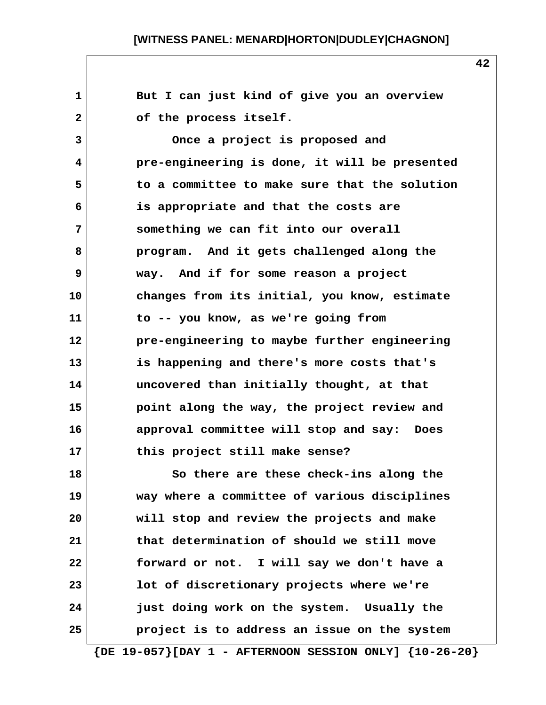**1 But I can just kind of give you an overview** 2 of the process itself.  **3 Once a project is proposed and 4 pre-engineering is done, it will be presented 5 to a committee to make sure that the solution 6 is appropriate and that the costs are 7 something we can fit into our overall 8 program. And it gets challenged along the 9 way. And if for some reason a project 10 changes from its initial, you know, estimate 11 to -- you know, as we're going from 12 pre-engineering to maybe further engineering 13 is happening and there's more costs that's 14 uncovered than initially thought, at that 15 point along the way, the project review and 16 approval committee will stop and say: Does 17 this project still make sense? 18 So there are these check-ins along the 19 way where a committee of various disciplines 20 will stop and review the projects and make 21 that determination of should we still move 22 forward or not. I will say we don't have a 23 lot of discretionary projects where we're 24 just doing work on the system. Usually the 25 project is to address an issue on the system**

 **{DE 19-057}[DAY 1 - AFTERNOON SESSION ONLY] {10-26-20}**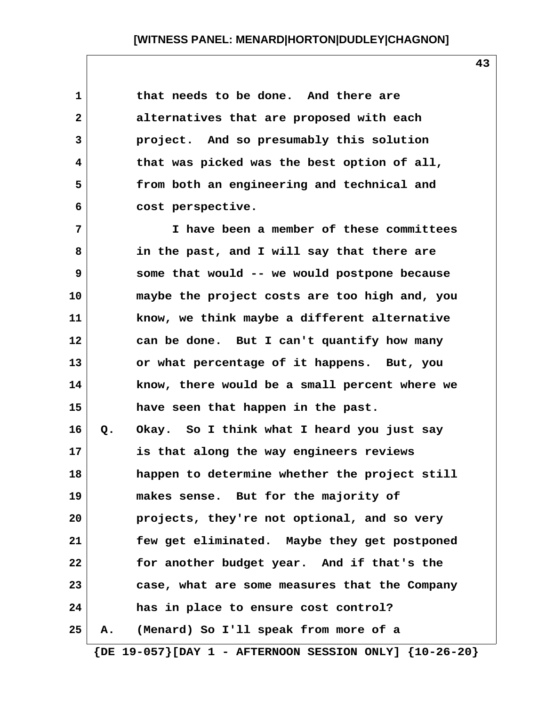**1 that needs to be done. And there are 2 alternatives that are proposed with each 3 project. And so presumably this solution 4 that was picked was the best option of all, 5 from both an engineering and technical and 6 cost perspective.**

 **7 I have been a member of these committees 8 in the past, and I will say that there are 9 some that would -- we would postpone because 10 maybe the project costs are too high and, you 11 know, we think maybe a different alternative 12 can be done. But I can't quantify how many 13 or what percentage of it happens. But, you 14 know, there would be a small percent where we 15 have seen that happen in the past. 16 Q. Okay. So I think what I heard you just say 17 is that along the way engineers reviews 18 happen to determine whether the project still 19 makes sense. But for the majority of 20 projects, they're not optional, and so very 21 few get eliminated. Maybe they get postponed 22 for another budget year. And if that's the 23 case, what are some measures that the Company 24 has in place to ensure cost control? 25 A. (Menard) So I'll speak from more of a**

 **{DE 19-057}[DAY 1 - AFTERNOON SESSION ONLY] {10-26-20}**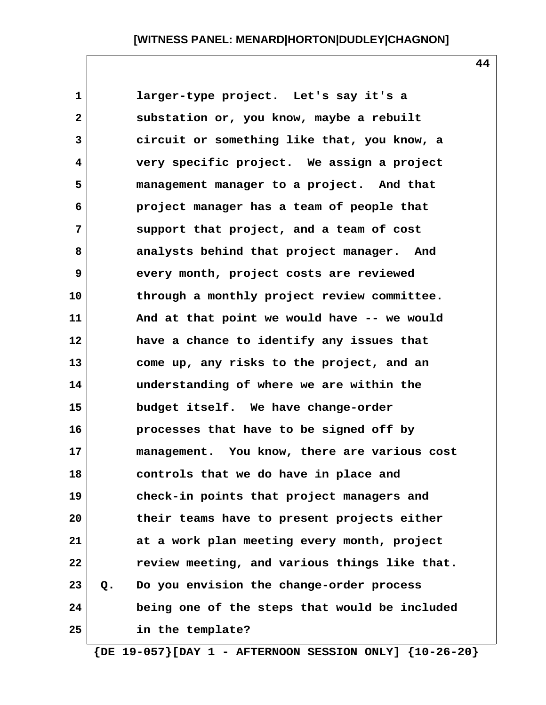**1 larger-type project. Let's say it's a 2 substation or, you know, maybe a rebuilt 3 circuit or something like that, you know, a 4 very specific project. We assign a project 5 management manager to a project. And that 6 project manager has a team of people that 7 support that project, and a team of cost 8 analysts behind that project manager. And 9 every month, project costs are reviewed 10 through a monthly project review committee. 11 And at that point we would have -- we would 12 have a chance to identify any issues that 13 come up, any risks to the project, and an 14 understanding of where we are within the 15 budget itself. We have change-order 16 processes that have to be signed off by 17 management. You know, there are various cost 18 controls that we do have in place and 19 check-in points that project managers and 20 their teams have to present projects either 21 at a work plan meeting every month, project 22 review meeting, and various things like that. 23 Q. Do you envision the change-order process 24 being one of the steps that would be included 25 in the template?**

 **{DE 19-057}[DAY 1 - AFTERNOON SESSION ONLY] {10-26-20}**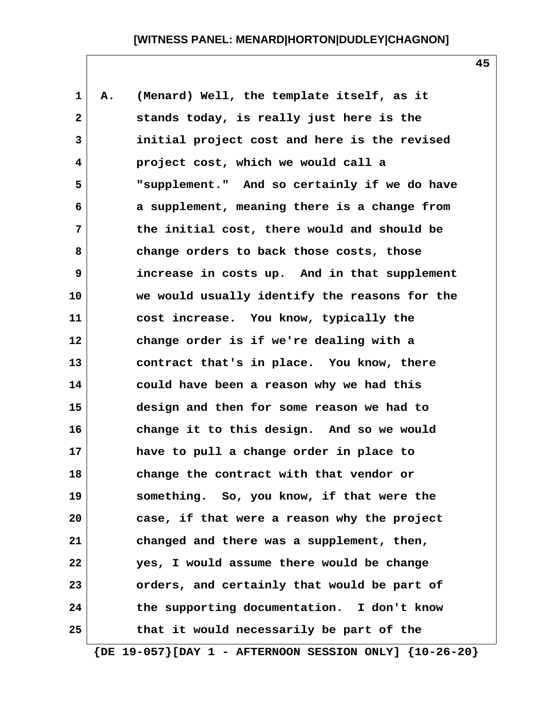| $\mathbf{1}$ | Α. | (Menard) Well, the template itself, as it     |
|--------------|----|-----------------------------------------------|
| $\mathbf{2}$ |    | stands today, is really just here is the      |
| 3            |    | initial project cost and here is the revised  |
| 4            |    | project cost, which we would call a           |
| 5            |    | "supplement." And so certainly if we do have  |
| 6            |    | a supplement, meaning there is a change from  |
| 7            |    | the initial cost, there would and should be   |
| 8            |    | change orders to back those costs, those      |
| 9            |    | increase in costs up. And in that supplement  |
| 10           |    | we would usually identify the reasons for the |
| 11           |    | cost increase. You know, typically the        |
| 12           |    | change order is if we're dealing with a       |
| 13           |    | contract that's in place. You know, there     |
| 14           |    | could have been a reason why we had this      |
| 15           |    | design and then for some reason we had to     |
| 16           |    | change it to this design. And so we would     |
| 17           |    | have to pull a change order in place to       |
| 18           |    | change the contract with that vendor or       |
| 19           |    | something. So, you know, if that were the     |
| 20           |    | case, if that were a reason why the project   |
| 21           |    | changed and there was a supplement, then,     |
| 22           |    | yes, I would assume there would be change     |
| 23           |    | orders, and certainly that would be part of   |
| 24           |    | the supporting documentation. I don't know    |
| 25           |    | that it would necessarily be part of the      |

 **{DE 19-057}[DAY 1 - AFTERNOON SESSION ONLY] {10-26-20}**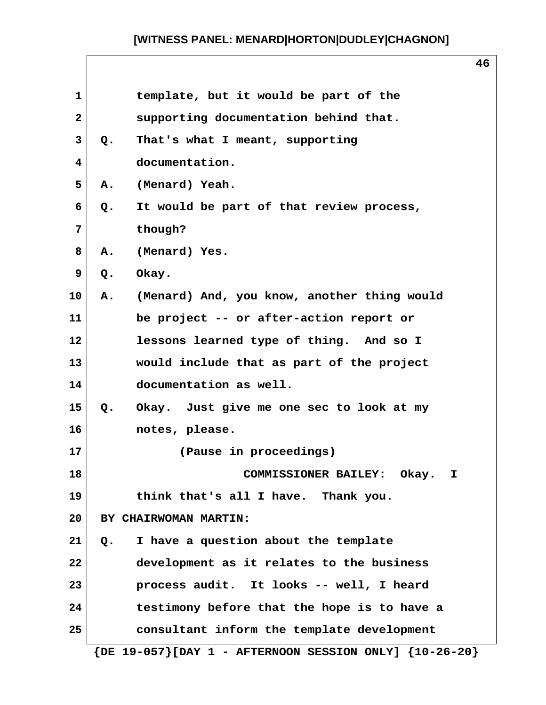$\sqrt{ }$ 

|                 |                        |                                                                 | ΞO |
|-----------------|------------------------|-----------------------------------------------------------------|----|
| $\mathbf{1}$    |                        | template, but it would be part of the                           |    |
| $\mathbf{2}$    |                        | supporting documentation behind that.                           |    |
| 3               | $Q_{\bullet}$          | That's what I meant, supporting                                 |    |
| 4               | documentation.         |                                                                 |    |
| 5               | (Menard) Yeah.<br>Α.   |                                                                 |    |
| 6               | Q.                     | It would be part of that review process,                        |    |
| 7               | though?                |                                                                 |    |
| 8               | (Menard) Yes.<br>Α.    |                                                                 |    |
| 9               | Okay.<br>Q.            |                                                                 |    |
| 10              | Α.                     | (Menard) And, you know, another thing would                     |    |
| 11              |                        | be project -- or after-action report or                         |    |
| 12              |                        | lessons learned type of thing. And so I                         |    |
| 13              |                        | would include that as part of the project                       |    |
| 14              | documentation as well. |                                                                 |    |
| 15              | $Q_{\bullet}$          | Okay. Just give me one sec to look at my                        |    |
| 16              | notes, please.         |                                                                 |    |
| 17              |                        | (Pause in proceedings)                                          |    |
| 18              |                        | COMMISSIONER BAILEY: Okay. I                                    |    |
| 19              |                        | think that's all I have. Thank you.                             |    |
| 20 <sub>o</sub> | BY CHAIRWOMAN MARTIN:  |                                                                 |    |
| 21              | Q.                     | I have a question about the template                            |    |
| 22              |                        | development as it relates to the business                       |    |
| 23              |                        | process audit. It looks -- well, I heard                        |    |
| 24              |                        | testimony before that the hope is to have a                     |    |
| 25              |                        | consultant inform the template development                      |    |
|                 |                        | $\{DE 19-057\}$ [DAY 1 - AFTERNOON SESSION ONLY] $\{10-26-20\}$ |    |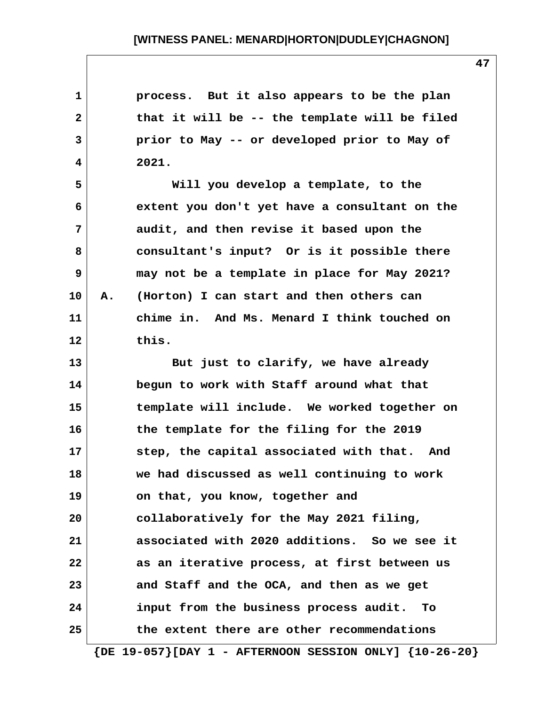| $\mathbf 1$  |    | process. But it also appears to be the plan    |
|--------------|----|------------------------------------------------|
| $\mathbf{2}$ |    | that it will be -- the template will be filed  |
| 3            |    | prior to May -- or developed prior to May of   |
| 4            |    | 2021.                                          |
| 5            |    | Will you develop a template, to the            |
| 6            |    | extent you don't yet have a consultant on the  |
| 7            |    | audit, and then revise it based upon the       |
| 8            |    | consultant's input? Or is it possible there    |
| 9            |    | may not be a template in place for May 2021?   |
| 10           | Α. | (Horton) I can start and then others can       |
| 11           |    | chime in. And Ms. Menard I think touched on    |
| 12           |    | this.                                          |
| 13           |    | But just to clarify, we have already           |
| 14           |    | begun to work with Staff around what that      |
| 15           |    | template will include. We worked together on   |
| 16           |    | the template for the filing for the 2019       |
| 17           |    | step, the capital associated with that. And    |
| 18           |    | we had discussed as well continuing to work    |
| 19           |    | on that, you know, together and                |
| 20           |    | collaboratively for the May 2021 filing,       |
| 21           |    | associated with 2020 additions. So we see it   |
| 22           |    | as an iterative process, at first between us   |
| 23           |    | and Staff and the OCA, and then as we get      |
| 24           |    | input from the business process audit.<br>- To |
| 25           |    | the extent there are other recommendations     |
|              |    |                                                |

 **{DE 19-057}[DAY 1 - AFTERNOON SESSION ONLY] {10-26-20}**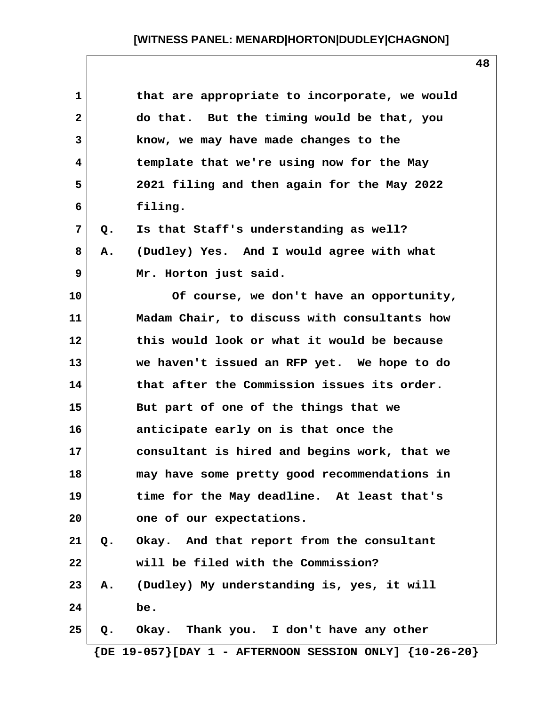| $\mathbf 1$    | that are appropriate to incorporate, we would                    |
|----------------|------------------------------------------------------------------|
| $\mathbf{2}$   | do that. But the timing would be that, you                       |
| 3              | know, we may have made changes to the                            |
| 4              | template that we're using now for the May                        |
| 5              | 2021 filing and then again for the May 2022                      |
| 6              | filing.                                                          |
| $\overline{7}$ | Is that Staff's understanding as well?<br>Q.                     |
| 8              | (Dudley) Yes. And I would agree with what<br>Α.                  |
| 9              | Mr. Horton just said.                                            |
| 10             | Of course, we don't have an opportunity,                         |
| 11             | Madam Chair, to discuss with consultants how                     |
| 12             | this would look or what it would be because                      |
| 13             | we haven't issued an RFP yet. We hope to do                      |
| 14             | that after the Commission issues its order.                      |
| 15             | But part of one of the things that we                            |
| 16             | anticipate early on is that once the                             |
| 17             | consultant is hired and begins work, that we                     |
| 18             | may have some pretty good recommendations in                     |
| 19             | time for the May deadline. At least that's                       |
| 20             | one of our expectations.                                         |
| 21             | Q. Okay. And that report from the consultant                     |
| 22             | will be filed with the Commission?                               |
| 23             | A. (Dudley) My understanding is, yes, it will                    |
| 24             | be.                                                              |
| 25             | Okay. Thank you. I don't have any other<br>Q.                    |
|                | $\{DE\ 19-057\}$ [DAY 1 - AFTERNOON SESSION ONLY] $\{10-26-20\}$ |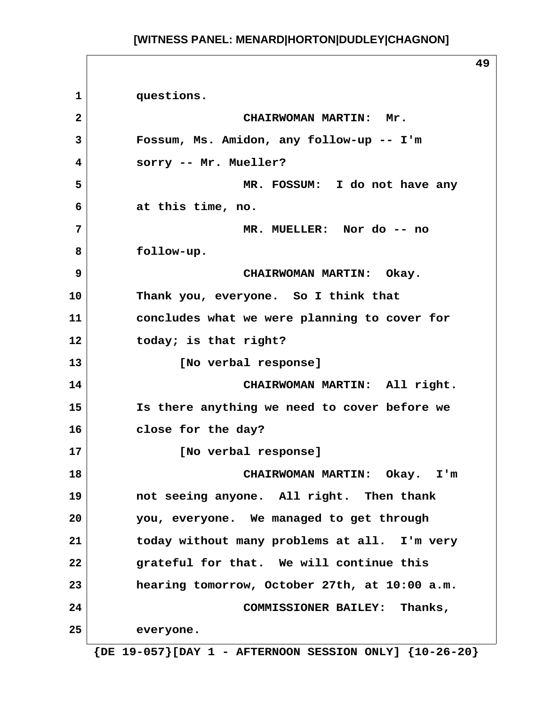**49 1 questions. 2 CHAIRWOMAN MARTIN: Mr. 3 Fossum, Ms. Amidon, any follow-up -- I'm 4 sorry -- Mr. Mueller? 5 MR. FOSSUM: I do not have any 6 at this time, no. 7 MR. MUELLER: Nor do -- no 8 follow-up. 9 CHAIRWOMAN MARTIN: Okay. 10 Thank you, everyone. So I think that 11 concludes what we were planning to cover for 12 today; is that right? 13 [No verbal response] 14 CHAIRWOMAN MARTIN: All right. 15 Is there anything we need to cover before we 16 close for the day? 17 [No verbal response] 18 CHAIRWOMAN MARTIN: Okay. I'm 19 not seeing anyone. All right. Then thank 20 you, everyone. We managed to get through 21 today without many problems at all. I'm very 22 grateful for that. We will continue this 23 hearing tomorrow, October 27th, at 10:00 a.m. 24 COMMISSIONER BAILEY: Thanks, 25 everyone.**

 **{DE 19-057}[DAY 1 - AFTERNOON SESSION ONLY] {10-26-20}**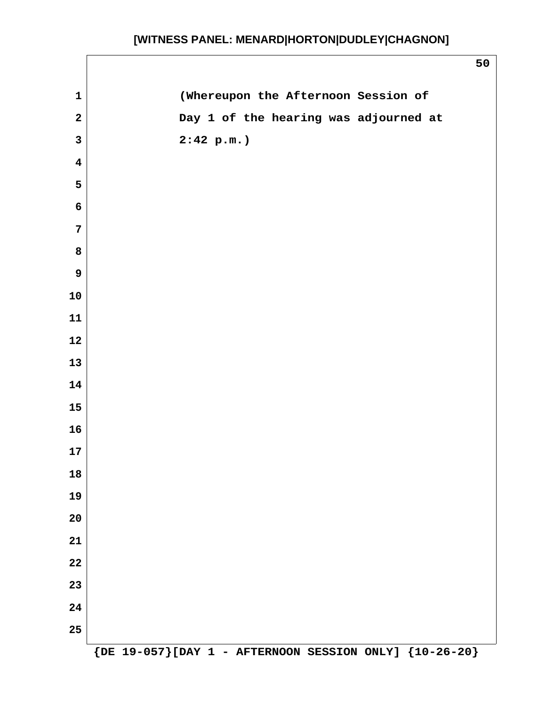$\sqrt{ }$ 

|                         |                                       | 50                   |
|-------------------------|---------------------------------------|----------------------|
| $\mathbf 1$             | (Whereupon the Afternoon Session of   |                      |
| $\mathbf{2}$            | Day 1 of the hearing was adjourned at |                      |
| $\mathbf{3}$            | 2:42 p.m.                             |                      |
| $\overline{\mathbf{4}}$ |                                       |                      |
| 5                       |                                       |                      |
| 6                       |                                       |                      |
| $\overline{7}$          |                                       |                      |
| 8                       |                                       |                      |
| $\boldsymbol{9}$        |                                       |                      |
| ${\bf 10}$              |                                       |                      |
| 11                      |                                       |                      |
| 12                      |                                       |                      |
| 13                      |                                       |                      |
| 14                      |                                       |                      |
| 15                      |                                       |                      |
| 16                      |                                       |                      |
| ${\bf 17}$              |                                       |                      |
| 18                      |                                       |                      |
| 19                      |                                       |                      |
| 20                      |                                       |                      |
| 21                      |                                       |                      |
| 22                      |                                       |                      |
| 23                      |                                       |                      |
| 24                      |                                       |                      |
| 25                      | $\sim$                                | $\sim$ $\sim$ $\sim$ |

 **{DE 19-057}[DAY 1 - AFTERNOON SESSION ONLY] {10-26-20}**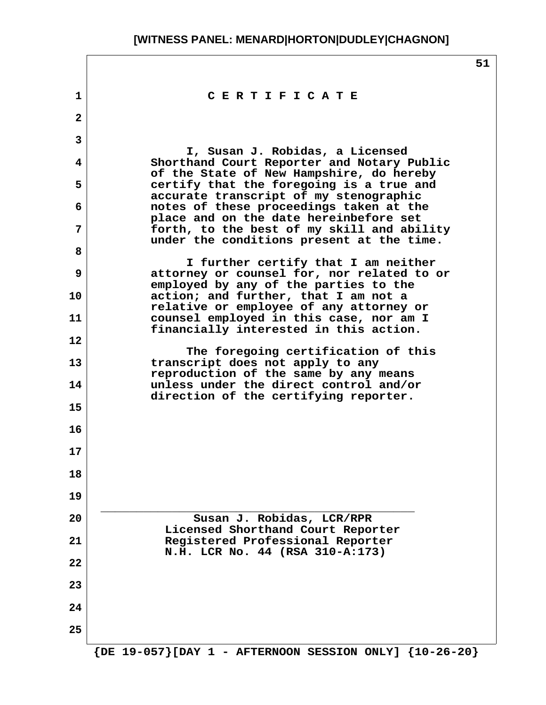|                   |                                                                                                                          | 51 |
|-------------------|--------------------------------------------------------------------------------------------------------------------------|----|
| 1                 | CERTIFICATE                                                                                                              |    |
| $\mathbf{2}$      |                                                                                                                          |    |
| 3                 |                                                                                                                          |    |
| 4                 | I, Susan J. Robidas, a Licensed<br>Shorthand Court Reporter and Notary Public                                            |    |
| 5.                | of the State of New Hampshire, do hereby<br>certify that the foregoing is a true and                                     |    |
| 6                 | accurate transcript of my stenographic<br>notes of these proceedings taken at the                                        |    |
| 7                 | place and on the date hereinbefore set<br>forth, to the best of my skill and ability                                     |    |
| 8                 | under the conditions present at the time.                                                                                |    |
| 9                 | I further certify that I am neither<br>attorney or counsel for, nor related to or                                        |    |
| 10                | employed by any of the parties to the<br>action; and further, that I am not a<br>relative or employee of any attorney or |    |
| 11                | counsel employed in this case, nor am I<br>financially interested in this action.                                        |    |
| $12 \overline{ }$ |                                                                                                                          |    |
| 13                | The foregoing certification of this<br>transcript does not apply to any                                                  |    |
| 14                | reproduction of the same by any means<br>unless under the direct control and/or<br>direction of the certifying reporter. |    |
| 15                |                                                                                                                          |    |
| 16                |                                                                                                                          |    |
| 17                |                                                                                                                          |    |
| 18                |                                                                                                                          |    |
| 19                |                                                                                                                          |    |
| 20                | Susan J. Robidas, LCR/RPR<br>Licensed Shorthand Court Reporter                                                           |    |
| 21                | Registered Professional Reporter<br>N.H. LCR No. 44 (RSA 310-A:173)                                                      |    |
| 22                |                                                                                                                          |    |
| 23                |                                                                                                                          |    |
| 24                |                                                                                                                          |    |
| 25                |                                                                                                                          |    |
|                   | $\{DE\ 19-057\}$ [DAY 1 - AFTERNOON SESSION ONLY] $\{10-26-20\}$                                                         |    |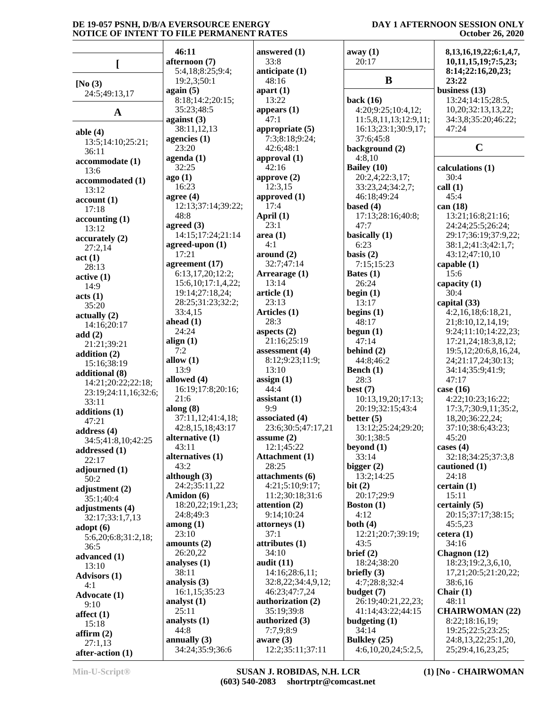#### **DAY 1 AFTERNOON SESSION ONLY October 26, 2020**

|                                     | 46:11                            | answered $(1)$                     | away(1)                   | 8, 13, 16, 19, 22; 6: 1, 4, 7,         |
|-------------------------------------|----------------------------------|------------------------------------|---------------------------|----------------------------------------|
|                                     | afternoon (7)                    | 33:8                               | 20:17                     | 10,11,15,19;7:5,23;                    |
| L                                   | 5:4,18;8:25;9:4;                 | anticipate (1)                     |                           | 8:14;22:16,20,23;                      |
|                                     | 19:2,3;50:1                      | 48:16                              | B                         | 23:22                                  |
| [No $(3)$<br>24:5;49:13,17          | again (5)                        | apart $(1)$                        |                           | business $(13)$                        |
|                                     | 8:18;14:2;20:15;                 | 13:22                              | back $(16)$               | 13:24;14:15;28:5,                      |
| $\mathbf A$                         | 35:23;48:5                       | appears $(1)$                      | 4:20;9:25;10:4,12;        | 10,20;32:13,13,22;                     |
|                                     | against $(3)$                    | 47:1                               | 11:5,8,11,13;12:9,11;     | 34:3,8;35:20;46:22;                    |
| able $(4)$                          | 38:11,12,13                      | appropriate (5)                    | 16:13;23:1;30:9,17;       | 47:24                                  |
| 13:5;14:10;25:21;                   | agencies $(1)$                   | 7:3;8:18;9:24;                     | 37:6;45:8                 |                                        |
| 36:11                               | 23:20                            | 42:6;48:1                          | background (2)            | $\mathbf C$                            |
| accommodate (1)                     | $a$ genda $(1)$                  | approval $(1)$                     | 4:8,10                    |                                        |
| 13:6                                | 32:25                            | 42:16                              | Bailey (10)               | calculations (1)                       |
| accommodated (1)                    | ago(1)                           | approve $(2)$                      | 20:2,4;22:3,17;           | 30:4                                   |
| 13:12                               | 16:23                            | 12:3,15                            | 33:23,24;34:2,7;          | call(1)                                |
| account(1)                          | agree $(4)$                      | approved (1)<br>17:4               | 46:18;49:24               | 45:4                                   |
| 17:18                               | 12:13;37:14;39:22;<br>48:8       |                                    | based $(4)$               | can (18)                               |
| accounting(1)                       | agreed $(3)$                     | April $(1)$<br>23:1                | 17:13;28:16;40:8;<br>47:7 | 13:21;16:8;21:16;<br>24:24;25:5;26:24; |
| 13:12                               | 14:15;17:24;21:14                | area(1)                            | basically (1)             | 29:17;36:19;37:9,22;                   |
| accurately (2)                      | agreed-upon (1)                  | 4:1                                | 6:23                      | 38:1,2;41:3;42:1,7;                    |
| 27:2,14                             | 17:21                            | around (2)                         | basis $(2)$               | 43:12;47:10,10                         |
| act(1)                              | agreement (17)                   | 32:7;47:14                         | 7:15;15:23                | capable $(1)$                          |
| 28:13<br>active(1)                  | 6:13,17,20;12:2;                 | Arrearage (1)                      | Bates $(1)$               | 15:6                                   |
| 14:9                                | 15:6, 10; 17:1, 4, 22;           | 13:14                              | 26:24                     | capacity (1)                           |
| acts (1)                            | 19:14;27:18,24;                  | article <sub>(1)</sub>             | begin $(1)$               | 30:4                                   |
| 35:20                               | 28:25;31:23;32:2;                | 23:13                              | 13:17                     | capital (33)                           |
| actually(2)                         | 33:4,15                          | Articles (1)                       | begins $(1)$              | 4:2,16,18;6:18,21,                     |
| 14:16;20:17                         | ahead $(1)$                      | 28:3                               | 48:17                     | 21;8:10,12,14,19;                      |
| add(2)                              | 24:24                            | aspects $(2)$                      | begun $(1)$               | 9:24;11:10;14:22,23;                   |
| 21:21;39:21                         | align $(1)$                      | 21:16;25:19                        | 47:14                     | 17:21,24;18:3,8,12;                    |
| addition (2)                        | 7:2                              | assessment (4)                     | behind $(2)$              | 19:5, 12; 20:6, 8, 16, 24,             |
| 15:16;38:19                         | allow $(1)$                      | 8:12;9:23;11:9;                    | 44:8;46:2                 | 24;21:17,24;30:13;                     |
| additional (8)                      | 13:9                             | 13:10                              | Bench (1)                 | 34:14;35:9;41:9;                       |
| 14:21;20:22;22:18;                  | allowed (4)<br>16:19;17:8;20:16; | assign(1)<br>44:4                  | 28:3<br>best $(7)$        | 47:17<br>case $(16)$                   |
| 23:19;24:11,16;32:6;                | 21:6                             | assignment (1)                     | 10:13,19,20;17:13;        | 4:22;10:23;16:22;                      |
| 33:11                               | along $(8)$                      | 9:9                                | 20:19;32:15;43:4          | 17:3,7;30:9,11;35:2,                   |
| additions (1)                       | 37:11,12;41:4,18;                | associated (4)                     | better $(5)$              | 18,20;36:22,24;                        |
| 47:21                               | 42:8,15,18;43:17                 | 23:6;30:5;47:17,21                 | 13:12;25:24;29:20;        | 37:10;38:6;43:23;                      |
| address $(4)$<br>34:5;41:8,10;42:25 | alternative $(1)$                | assume $(2)$                       | 30:1;38:5                 | 45:20                                  |
| addressed (1)                       | 43:11                            | 12:1;45:22                         | beyond $(1)$              | cases $(4)$                            |
| 22:17                               | alternatives (1)                 | Attachment (1)                     | 33:14                     | 32:18;34:25;37:3,8                     |
| adjourned (1)                       | 43:2                             | 28:25                              | bigger $(2)$              | cautioned (1)                          |
| 50:2                                | although $(3)$                   | attachments (6)                    | 13:2;14:25                | 24:18                                  |
| adjustment (2)                      | 24:2;35:11,22                    | 4:21;5:10;9:17;                    | bit $(2)$                 | certain(1)                             |
| 35:1;40:4                           | Amidon (6)                       | 11:2;30:18;31:6                    | 20:17;29:9                | 15:11                                  |
| adjustments (4)                     | 18:20,22;19:1,23;                | attention (2)                      | <b>Boston</b> (1)         | certainly(5)                           |
| 32:17;33:1,7,13                     | 24:8;49:3                        | 9:14;10:24                         | 4:12                      | 20:15;37:17;38:15;                     |
| $\text{adopt}(6)$                   | $\mathbf{among}\left(1\right)$   | $\left  \right $ attorneys (1)     | both $(4)$                | 45:5,23                                |
| 5:6,20;6:8;31:2,18;                 | 23:10                            | 37:1                               | 12:21;20:7;39:19;         | cetera $(1)$                           |
| 36:5                                | amounts (2)                      | attributes <sub>(1)</sub><br>34:10 | 43:5                      | 34:16                                  |
| advanced (1)                        | 26:20,22                         | audit $(11)$                       | brief (2)<br>18:24;38:20  | Chagnon (12)<br>18:23;19:2,3,6,10,     |
| 13:10                               | analyses $(1)$<br>38:11          | 14:16;28:6,11;                     | briefly $(3)$             | 17,21;20:5;21:20,22;                   |
| <b>Advisors (1)</b>                 | analysis (3)                     | 32:8,22;34:4,9,12;                 | 4:7;28:8;32:4             | 38:6,16                                |
| 4:1                                 | 16:1,15;35:23                    | 46:23;47:7,24                      | budget (7)                | Chair $(1)$                            |
| <b>Advocate (1)</b>                 | analyst (1)                      | authorization (2)                  | 26:19;40:21,22,23;        | 48:11                                  |
| 9:10                                | 25:11                            | 35:19;39:8                         | 41:14;43:22;44:15         | <b>CHAIRWOMAN (22)</b>                 |
| affect $(1)$                        | analysts (1)                     | authorized (3)                     | budgeting $(1)$           | 8:22;18:16,19;                         |
| 15:18                               | 44:8                             | 7:7,9;8:9                          | 34:14                     | 19:25;22:5;23:25;                      |
| affirm $(2)$<br>27:1,13             | annually $(3)$                   | aware $(3)$                        | Bulkley $(25)$            | 24:8,13,22;25:1,20,                    |
| after-action (1)                    | 34:24;35:9;36:6                  | 12:2;35:11;37:11                   | 4:6,10,20,24;5:2,5,       | 25;29:4,16,23,25;                      |

**after-action (1)**

**Min-U-Script® SUSAN J. ROBIDAS, N.H. LCR (603) 540-2083 shortrptr@comcast.net** **(1) [No - CHAIRWOMAN**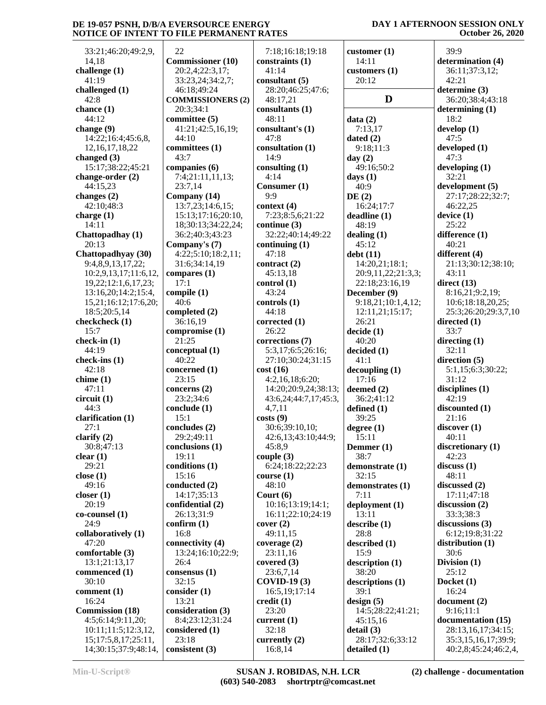33:21;46:20;49:2,9, 14,18 **challenge (1)** 41:19 **challenged (1)** 42:8 **chance (1)** 44:12 **change (9)** 14:22;16:4;45:6,8, 12,16,17,18,22 **changed (3)** 15:17;38:22;45:21 **change-order (2)** 44:15,23 **changes (2)** 42:10;48:3 **charge (1)** 14:11 **Chattopadhay (1)** 20:13 **Chattopadhyay (30)** 9:4,8,9,13,17,22; 10:2,9,13,17;11:6,12, 19,22;12:1,6,17,23; 13:16,20;14:2;15:4, 15,21;16:12;17:6,20; 18:5;20:5,14 **checkcheck (1)** 15:7 **check-in (1)** 44:19 **check-ins (1)** 42:18 **chime (1)** 47:11 **circuit (1)** 44:3 **clarification (1)** 27:1 **clarify (2)** 30:8;47:13 **clear (1)** 29:21 **close (1)** 49:16 **closer (1)** 20:19 **co-counsel (1)** 24:9 **collaboratively (1)** 47:20 **comfortable (3)** 13:1;21:13,17 **commenced (1)** 30:10 **comment (1)** 16:24 **Commission (18)** 4:5;6:14;9:11,20; 10:11;11:5;12:3,12, 15;17:5,8,17;25:11, 14;30:15;37:9;48:14,

 22 **Commissioner (10)** 20:2,4;22:3,17; 33:23,24;34:2,7; 46:18;49:24 **COMMISSIONERS (2)** 20:3;34:1 **committee (5)** 41:21;42:5,16,19; 44:10 **committees (1)** 43:7 **companies (6)** 7:4;21:11,11,13; 23:7,14 **Company (14)** 13:7,23;14:6,15; 15:13;17:16;20:10, 18;30:13;34:22,24; 36:2;40:3;43:23 **Company's (7)** 4:22;5:10;18:2,11; 31:6;34:14,19 **compares (1)** 17:1 **compile (1)** 40:6 **completed (2)** 36:16,19 **compromise (1)** 21:25 **conceptual (1)** 40:22 **concerned (1)** 23:15 **concerns (2)** 23:2;34:6 **conclude (1)** 15:1 **concludes (2)** 29:2;49:11 **conclusions (1)** 19:11 **conditions (1)** 15:16 **conducted (2)** 14:17;35:13 **confidential (2)** 26:13;31:9 **confirm (1)** 16:8 **connectivity (4)** 13:24;16:10;22:9; 26:4 **consensus (1)** 32:15 **consider (1)** 13:21 **consideration (3)** 8:4;23:12;31:24 **considered (1)** 23:18 **consistent (3)**

 7:18;16:18;19:18 **constraints (1)** 41:14 **consultant (5)** 28:20;46:25;47:6; 48:17,21 **consultants (1)** 48:11 **consultant's (1)** 47:8 **consultation (1)** 14:9 **consulting (1)** 4:14 **Consumer (1)**  $Q \cdot Q$ **context (4)** 7:23;8:5,6;21:22 **continue (3)** 32:22;40:14;49:22 **continuing (1)** 47:18 **contract (2)** 45:13,18 **control (1)** 43:24 **controls (1)** 44:18 **corrected (1)** 26:22 **corrections (7)** 5:3,17;6:5;26:16; 27:10;30:24;31:15 **cost (16)** 4:2,16,18;6:20; 14:20;20:9,24;38:13; 43:6,24;44:7,17;45:3, 4,7,11 **costs (9)** 30:6;39:10,10; 42:6,13;43:10;44:9; 45:8,9 **couple (3)** 6:24;18:22;22:23 **course (1)** 48:10 **Court (6)** 10:16;13:19;14:1; 16:11;22:10;24:19 **cover (2)** 49:11,15 **coverage (2)** 23:11,16 **covered (3)** 23:6,7,14 **COVID-19 (3)** 16:5,19;17:14 **credit (1)** 23:20 **current (1)** 32:18 **currently (2)** 16:8,14

**customer (1)** 14:11 **customers (1)** 20:12 **D** 3 **data (2)** 7:13,17 **dated (2)** 9:18;11:3 **day (2)** 49:16;50:2 **days (1)** 40:9 **DE (2)** 16:24;17:7 **deadline (1)** 48:19 **dealing (1)** 45:12 **debt (11)** 14:20,21;18:1; 20:9,11,22;21:3,3; 22:18;23:16,19 **December (9)** 9:18,21;10:1,4,12; 12:11,21;15:17; 26:21 **decide (1)** 40:20 **decided (1)** 41:1 **decoupling (1)** 17:16 **deemed (2)** 36:2;41:12 **defined (1)** 39:25 **degree (1)** 15:11 **Demmer (1)** 38:7 **demonstrate (1)** 32:15 **demonstrates (1)** 7:11 **deployment (1)** 13:11 **describe (1)** 28:8 **described (1)** 15:9 **description (1)** 38:20 **descriptions (1)** 39:1 **design (5)** 14:5;28:22;41:21; 45:15,16 **detail (3)** 28:17;32:6;33:12 **detailed (1)**

#### **DAY 1 AFTERNOON SESSION ONLY October 26, 2020**

 39:9 **determination (4)** 36:11;37:3,12; 42:21 **determine (3)** 36:20;38:4;43:18 **determining (1)** 18:2 **develop (1)** 47:5 **developed (1)** 47:3 **developing (1)** 32:21 **development (5)** 27:17;28:22;32:7; 46:22,25 **device (1)** 25:22 **difference (1)** 40:21 **different (4)** 21:13;30:12;38:10; 43:11 **direct (13)** 8:16,21;9:2,19; 10:6;18:18,20,25; 25:3;26:20;29:3,7,10 **directed (1)** 33:7 **directing (1)** 32:11 **direction (5)** 5:1,15;6:3;30:22;  $31 \cdot 12$ **disciplines (1)** 42:19 **discounted (1)** 21:16 **discover (1)** 40:11 **discretionary (1)** 42:23 **discuss (1)** 48:11 **discussed (2)** 17:11;47:18 **discussion (2)** 33:3;38:3 **discussions (3)** 6:12;19:8;31:22 **distribution (1)** 30:6 **Division (1)** 25:12 **Docket (1)** 16:24 **document (2)** 9:16;11:1 **documentation (15)** 28:13,16,17;34:15; 35:3,15,16,17;39:9; 40:2,8;45:24;46:2,4,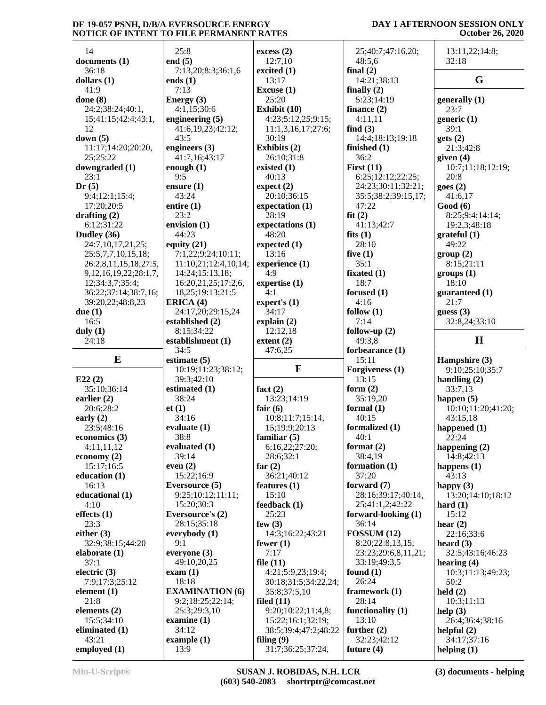#### **DAY 1 AFTERNOON SESSION ONLY October 26, 2020**

| 14                           | 25:8                   | excess(2)            | 25;40:7;47:16,20;   | 13:11,22;14:8;     |
|------------------------------|------------------------|----------------------|---------------------|--------------------|
| documents (1)                | end $(5)$              | 12:7,10              | 48:5,6              | 32:18              |
| 36:18                        | 7:13,20;8:3;36:1,6     | excited $(1)$        | final $(2)$         |                    |
| dollars $(1)$                | ends $(1)$             | 13:17                | 14:21;38:13         | G                  |
|                              |                        |                      |                     |                    |
| 41:9                         | 7:13                   | Excuse (1)           | finally $(2)$       |                    |
| done $(8)$                   | Energy $(3)$           | 25:20                | 5:23;14:19          | generally $(1)$    |
| 24:2;38:24;40:1,             | 4:1,15;30:6            | Exhibit (10)         | finance $(2)$       | 23:7               |
| 15;41:15;42:4;43:1,          | engineering $(5)$      | 4:23;5:12,25;9:15;   | 4:11,11             | generic $(1)$      |
| 12                           | 41:6,19,23;42:12;      | 11:1,3,16,17;27:6;   | find $(3)$          | 39:1               |
| down $(5)$                   | 43:5                   | 30:19                | 14:4;18:13;19:18    | gets(2)            |
| 11:17;14:20;20:20,           | engineers (3)          | Exhibits (2)         | finished (1)        | 21:3;42:8          |
| 25;25:22                     | 41:7,16;43:17          | 26:10:31:8           | 36:2                | given $(4)$        |
|                              |                        |                      |                     |                    |
| downgraded (1)               | enough $(1)$           | existed $(1)$        | First $(11)$        | 10:7;11:18;12:19;  |
| 23:1                         | 9:5                    | 40:13                | 6:25;12:12;22:25;   | 20:8               |
| Dr(5)                        | ensure $(1)$           | expect (2)           | 24:23;30:11;32:21;  | goes(2)            |
| 9:4;12:1;15:4;               | 43:24                  | 20:10:36:15          | 35:5;38:2;39:15,17; | 41:6,17            |
| 17:20;20:5                   | entire $(1)$           | expectation (1)      | 47:22               | Good(6)            |
| drafting $(2)$               | 23:2                   | 28:19                | fit(2)              | 8:25;9:4;14:14;    |
| 6:12;31:22                   | envision (1)           | expectations (1)     | 41:13;42:7          | 19:2,3;48:18       |
|                              |                        |                      |                     |                    |
| Dudley (36)                  | 44:23                  | 48:20                | fits $(1)$          | grateful(1)        |
| 24:7,10,17,21,25;            | equity $(21)$          | expected $(1)$       | 28:10               | 49:22              |
| 25:5,7,7,10,15,18;           | 7:1,22;9:24;10:11;     | 13:16                | five $(1)$          | group(2)           |
| 26:2,8,11,15,18;27:5,        | 11:10,21;12:4,10,14;   | experience (1)       | 35:1                | 8:15:21:11         |
| 9, 12, 16, 19, 22; 28: 1, 7, | 14:24;15:13,18;        | 4:9                  | fixated $(1)$       | groups (1)         |
| 12;34:3,7;35:4;              | 16:20,21,25;17:2,6,    | expertise $(1)$      | 18:7                | 18:10              |
| 36:22;37:14;38:7,16;         | 18,25;19:13;21:5       | 4:1                  | focused $(1)$       | guaranteed (1)     |
| 39:20,22;48:8,23             | ERICA (4)              | expert's $(1)$       | 4:16                | 21:7               |
|                              |                        |                      |                     |                    |
| due $(1)$                    | 24:17,20;29:15,24      | 34:17                | follow $(1)$        | guess $(3)$        |
| 16:5                         | established (2)        | explain(2)           | 7:14                | 32:8,24;33:10      |
| duly $(1)$                   | 8:15;34:22             | 12:12,18             | follow-up $(2)$     |                    |
| 24:18                        | establishment (1)      | extent $(2)$         | 49:3,8              | H                  |
|                              |                        |                      |                     |                    |
|                              |                        |                      |                     |                    |
|                              | 34:5                   | 47:6,25              | forbearance (1)     |                    |
| $\bf{E}$                     | estimate $(5)$         |                      | 15:11               | Hampshire (3)      |
|                              | 10:19;11:23;38:12;     | $\mathbf F$          | Forgiveness (1)     | 9:10;25:10;35:7    |
| E22(2)                       | 39:3;42:10             |                      | 13:15               | handling $(2)$     |
| 35:10;36:14                  | estimated (1)          | fact $(2)$           | form $(2)$          | 33:7,13            |
| earlier $(2)$                | 38:24                  | 13:23;14:19          | 35:19,20            | happen $(5)$       |
| 20:6;28:2                    | et(1)                  | fair $(6)$           | formal $(1)$        | 10:10;11:20;41:20; |
|                              | 34:16                  | 10:8;11:7;15:14,     | 40:15               | 43:15,18           |
| early $(2)$                  |                        |                      |                     |                    |
| 23:5;48:16                   | evaluate $(1)$         | 15;19:9;20:13        | formalized (1)      | happened (1)       |
| economics (3)                | 38:8                   | familiar $(5)$       | 40:1                | 22:24              |
| 4:11,11,12                   | evaluated $(1)$        | 6:16,22;27:20;       | format $(2)$        | happening $(2)$    |
| economy $(2)$                | 39:14                  | 28:6;32:1            | 38:4,19             | 14:8;42:13         |
| 15:17;16:5                   | even $(2)$             | far $(2)$            | formation (1)       | happens $(1)$      |
| education $(1)$              | 15:22;16:9             | 36:21;40:12          | 37:20               | 43:13              |
| 16:13                        | <b>Eversource</b> (5)  | features $(1)$       | forward $(7)$       | happy $(3)$        |
| educational (1)              | 9:25;10:12;11:11;      | 15:10                | 28:16;39:17;40:14,  | 13:20;14:10;18:12  |
|                              |                        |                      |                     |                    |
| 4:10                         | 15:20;30:3             | feedback (1)         | 25;41:1,2;42:22     | hard $(1)$         |
| effects $(1)$                | Eversource's (2)       | 25:23                | forward-looking (1) | 15:12              |
| 23:3                         | 28:15;35:18            | few $(3)$            | 36:14               | hear $(2)$         |
| either $(3)$                 | everybody $(1)$        | 14:3;16:22;43:21     | FOSSUM(12)          | 22:16;33:6         |
| 32:9;38:15;44:20             | 9:1                    | fewer $(1)$          | 8:20;22:8,13,15;    | heard $(3)$        |
| elaborate $(1)$              | everyone $(3)$         | 7:17                 | 23:23;29:6,8,11,21; | 32:5;43:16;46:23   |
| 37:1                         | 49:10,20,25            | file $(11)$          | 33:19;49:3,5        | hearing $(4)$      |
|                              |                        |                      |                     |                    |
| electric $(3)$               | exam(1)                | 4:21;5:9,23;19:4;    | found $(1)$         | 10:3;11:13;49:23;  |
| 7:9;17:3;25:12               | 18:18                  | 30:18;31:5;34:22,24; | 26:24               | 50:2               |
| element $(1)$                | <b>EXAMINATION (6)</b> | 35:8;37:5,10         | framework $(1)$     | held $(2)$         |
| 21:8                         | 9:2;18:25;22:14;       | filed $(11)$         | 28:14               | 10:3;11:13         |
| elements (2)                 | 25:3;29:3,10           | 9:20;10:22;11:4,8;   | functionality $(1)$ | help $(3)$         |
| 15:5;34:10                   | examine $(1)$          | 15:22;16:1;32:19;    | 13:10               | 26:4;36:4;38:16    |
| eliminated (1)               | 34:12                  | 38:5;39:4;47:2;48:22 | further $(2)$       | helpful $(2)$      |
| 43:21                        | example $(1)$          | filing $(9)$         | 32:23;42:12         | 34:17;37:16        |
| employed $(1)$               | 13:9                   | 31:7;36:25;37:24,    | future $(4)$        | helping $(1)$      |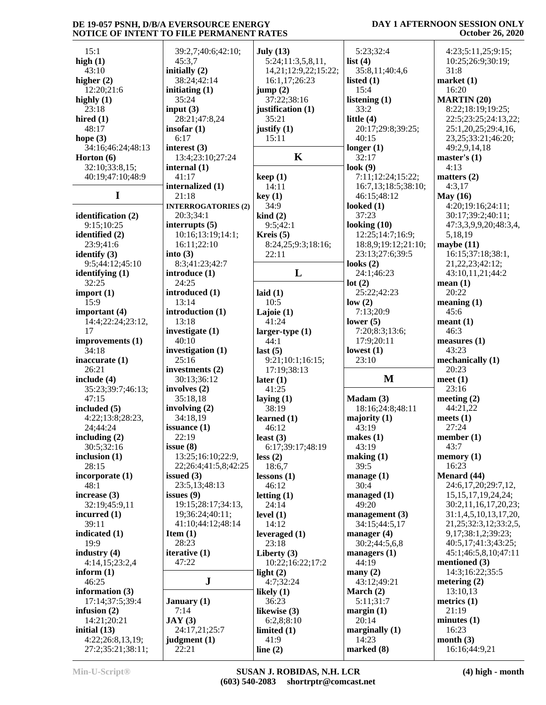#### **DAY 1 AFTERNOON SESSION ONLY October 26, 2020**

| 15:1               | 39:2,7;40:6;42:10;         | July $(13)$              | 5:23;32:4           | 4:23;5:11,25;9:15;           |
|--------------------|----------------------------|--------------------------|---------------------|------------------------------|
| high $(1)$         | 45:3,7                     | 5:24;11:3,5,8,11,        | list $(4)$          | 10:25;26:9;30:19;            |
|                    |                            |                          |                     |                              |
| 43:10              | initially (2)              | 14,21;12:9,22;15:22;     | 35:8,11;40:4,6      | 31:8                         |
| higher $(2)$       | 38:24;42:14                | 16:1,17;26:23            | listed $(1)$        | market(1)                    |
| 12:20;21:6         | initiating $(1)$           | jump(2)                  | 15:4                | 16:20                        |
|                    |                            |                          |                     |                              |
| highly $(1)$       | 35:24                      | 37:22;38:16              | listening $(1)$     | <b>MARTIN (20)</b>           |
| 23:18              | input $(3)$                | justification (1)        | 33:2                | 8:22;18:19;19:25;            |
| hired $(1)$        | 28:21;47:8,24              | 35:21                    | little $(4)$        | 22:5;23:25;24:13,22;         |
|                    |                            |                          |                     |                              |
| 48:17              | insofar $(1)$              | justify $(1)$            | 20:17;29:8;39:25;   | 25:1,20,25;29:4,16,          |
| hope $(3)$         | 6:17                       | 15:11                    | 40:15               | 23, 25; 33: 21; 46: 20;      |
| 34:16;46:24;48:13  | interest $(3)$             |                          | longer $(1)$        | 49:2,9,14,18                 |
|                    |                            | $\mathbf K$              |                     |                              |
| Horton $(6)$       | 13:4;23:10;27:24           |                          | 32:17               | master's $(1)$               |
| 32:10;33:8,15;     | internal $(1)$             |                          | look $(9)$          | 4:13                         |
| 40:19;47:10;48:9   | 41:17                      | keep(1)                  | 7:11;12:24;15:22;   | matters $(2)$                |
|                    | internalized (1)           | 14:11                    | 16:7,13;18:5;38:10; | 4:3,17                       |
|                    |                            |                          |                     |                              |
| $\mathbf I$        | 21:18                      | key(1)                   | 46:15;48:12         | May $(16)$                   |
|                    | <b>INTERROGATORIES (2)</b> | 34:9                     | looked $(1)$        | 4:20;19:16;24:11;            |
| identification (2) | 20:3;34:1                  | $\operatorname{kind}(2)$ | 37:23               | 30:17;39:2;40:11;            |
|                    |                            |                          |                     |                              |
| 9:15;10:25         | interrupts $(5)$           | 9:5;42:1                 | looking $(10)$      | 47:3,3,9,9,20;48:3,4,        |
| identified (2)     | 10:16;13:19;14:1;          | Kreis $(5)$              | 12:25;14:7;16:9;    | 5,18,19                      |
| 23:9;41:6          | 16:11;22:10                | 8:24,25;9:3;18:16;       | 18:8,9;19:12;21:10; | maybe $(11)$                 |
|                    |                            |                          |                     |                              |
| identify $(3)$     | into $(3)$                 | 22:11                    | 23:13;27:6;39:5     | 16:15;37:18;38:1,            |
| 9:5;44:12;45:10    | 8:3;41:23;42:7             |                          | looks $(2)$         | 21, 22, 23; 42: 12;          |
| identifying $(1)$  | introduce (1)              | L                        | 24:1;46:23          | 43:10,11,21;44:2             |
| 32:25              | 24:25                      |                          | lot(2)              | mean $(1)$                   |
|                    |                            |                          |                     |                              |
| import $(1)$       | introduced (1)             | laid $(1)$               | 25:22;42:23         | 20:22                        |
| 15:9               | 13:14                      | 10:5                     | low(2)              | meaning(1)                   |
| important $(4)$    | introduction (1)           | Lajoie $(1)$             | 7:13;20:9           | 45:6                         |
|                    |                            |                          |                     |                              |
| 14:4;22:24;23:12,  | 13:18                      | 41:24                    | lower $(5)$         | meant(1)                     |
| 17                 | investigate (1)            | larger-type $(1)$        | 7:20;8:3;13:6;      | 46:3                         |
| improvements (1)   | 40:10                      | 44:1                     | 17:9;20:11          | measures $(1)$               |
|                    |                            |                          |                     |                              |
| 34:18              | investigation (1)          | last(5)                  | lowest $(1)$        | 43:23                        |
| inaccurate $(1)$   | 25:16                      | 9:21;10:1;16:15;         | 23:10               | mechanically (1)             |
|                    |                            |                          |                     |                              |
|                    |                            |                          |                     |                              |
| 26:21              | investments (2)            | 17:19;38:13              |                     | 20:23                        |
| include $(4)$      | 30:13;36:12                | later $(1)$              | M                   | meet $(1)$                   |
|                    |                            | 41:25                    |                     | 23:16                        |
| 35:23;39:7;46:13;  | involves $(2)$             |                          |                     |                              |
| 47:15              | 35:18,18                   | laying $(1)$             | $Madam (3)$         | meeting $(2)$                |
| included (5)       | involving $(2)$            | 38:19                    | 18:16;24:8;48:11    | 44:21,22                     |
| 4:22;13:8;28:23,   | 34:18,19                   |                          |                     | meets $(1)$                  |
|                    |                            | learned $(1)$            | majority $(1)$      |                              |
| 24;44:24           | issuance $(1)$             | 46:12                    | 43:19               | 27:24                        |
| including $(2)$    | 22:19                      | least $(3)$              | makes $(1)$         | member $(1)$                 |
| 30:5;32:16         | issue(8)                   | 6:17;39:17;48:19         | 43:19               | 43:7                         |
|                    |                            |                          |                     |                              |
| inclusion $(1)$    | 13:25;16:10;22:9,          | less (2)                 | making (1)          | memory(1)                    |
| 28:15              | 22;26:4;41:5,8;42:25       | 18:6,7                   | 39:5                | 16:23                        |
| incorporate (1)    | issued $(3)$               | lessons(1)               | manage(1)           | Menard (44)                  |
| 48:1               |                            |                          | 30:4                |                              |
|                    | 23:5,13;48:13              | 46:12                    |                     | 24:6,17,20;29:7,12,          |
| increase (3)       | issues $(9)$               | letting $(1)$            | managed (1)         | 15, 15, 17, 19, 24, 24;      |
| 32:19;45:9,11      | 19:15;28:17;34:13,         | 24:14                    | 49:20               | 30:2,11,16,17,20,23;         |
| incurred $(1)$     | 19;36:24;40:11;            | level $(1)$              |                     | 31:1,4,5,10,13,17,20,        |
|                    |                            |                          | management $(3)$    |                              |
| 39:11              | 41:10;44:12;48:14          | 14:12                    | 34:15;44:5,17       | 21, 25; 32: 3, 12; 33: 2, 5, |
| indicated (1)      | Item $(1)$                 | leveraged (1)            | manager $(4)$       | 9,17;38:1,2;39:23;           |
| 19:9               | 28:23                      | 23:18                    | 30:2;44:5,6,8       | 40:5,17;41:3;43:25;          |
|                    |                            |                          |                     |                              |
| industry $(4)$     | iterative (1)              | Liberty $(3)$            | managers $(1)$      | 45:1;46:5,8,10;47:11         |
| 4:14,15;23:2,4     | 47:22                      | 10:22;16:22;17:2         | 44:19               | mentioned (3)                |
| inform $(1)$       |                            | light $(2)$              | many $(2)$          | 14:3;16:22;35:5              |
| 46:25              |                            |                          |                     |                              |
|                    | ${\bf J}$                  | 4:7;32:24                | 43:12;49:21         | metering $(2)$               |
| information $(3)$  |                            | likely $(1)$             | March $(2)$         | 13:10,13                     |
| 17:14;37:5;39:4    | <b>January</b> (1)         | 36:23                    | 5:11;31:7           | metrics $(1)$                |
|                    | 7:14                       |                          |                     | 21:19                        |
| infusion $(2)$     |                            | likewise (3)             | margin(1)           |                              |
| 14:21;20:21        | JAY(3)                     | 6:2,8;8:10               | 20:14               | minutes <sub>(1)</sub>       |
| initial $(13)$     | 24:17,21;25:7              | limited $(1)$            | marginally $(1)$    | 16:23                        |
| 4:22;26:8,13,19;   | judgment $(1)$             | 41:9                     | 14:23               | month $(3)$                  |
| 27:2;35:21;38:11;  | 22:21                      | line $(2)$               | marked (8)          | 16:16;44:9,21                |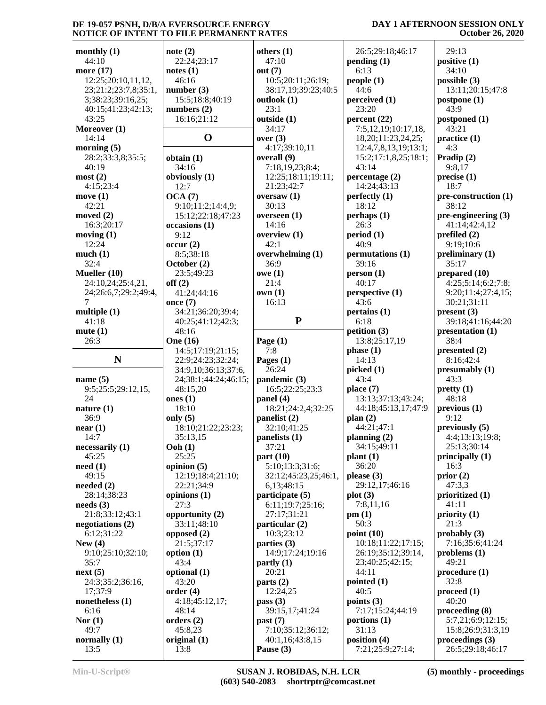#### **DAY 1 AFTERNOON SESSION ONLY October 26, 2020**

| monthly $(1)$                   | note $(2)$            | others $(1)$                  | 26:5;29:18;46:17     | 29:13                        |
|---------------------------------|-----------------------|-------------------------------|----------------------|------------------------------|
| 44:10                           | 22:24;23:17           | 47:10                         | pending(1)           | positive $(1)$               |
| more (17)                       | notes(1)              | out $(7)$                     | 6:13                 | 34:10                        |
| 12:25;20:10,11,12,              | 46:16                 | 10:5;20:11;26:19;             | people(1)            | possible (3)                 |
| 23;21:2;23:7,8;35:1,            | number $(3)$          | 38:17,19;39:23;40:5           | 44:6                 | 13:11;20:15;47:8             |
| 3;38:23;39:16,25;               | 15:5;18:8;40:19       | outlook $(1)$                 | perceived (1)        | postpone $(1)$               |
| 40:15;41:23;42:13;              | numbers $(2)$         | 23:1                          | 23:20                | 43:9                         |
| 43:25                           | 16:16;21:12           | outside (1)                   | percent $(22)$       | postponed (1)                |
| Moreover (1)                    |                       | 34:17                         | 7:5,12,19;10:17,18,  | 43:21                        |
| 14:14                           | $\mathbf 0$           | over $(3)$                    | 18,20;11:23,24,25;   | practive(1)                  |
| morning $(5)$                   |                       | 4:17;39:10,11                 | 12:4,7,8,13,19;13:1; | 4:3                          |
| 28:2;33:3,8;35:5;               | obtain (1)            | overall (9)                   | 15:2;17:1,8,25;18:1; | Pradip (2)                   |
| 40:19                           | 34:16                 | 7:18,19,23;8:4;               | 43:14                | 9:8,17                       |
| most(2)                         | obviously (1)         | 12:25;18:11;19:11;            | percentage $(2)$     | precise(1)                   |
| 4:15;23:4                       | 12:7                  | 21:23;42:7                    | 14:24;43:13          | 18:7                         |
| move $(1)$                      | OCA(7)                | oversaw $(1)$                 | perfectly $(1)$      | pre-construction (1)         |
| 42:21                           | 9:10;11:2;14:4,9;     | 30:13                         | 18:12                | 38:12                        |
| moved $(2)$                     | 15:12;22:18;47:23     | overseen $(1)$                | perhaps(1)           | $pre\text{-}engineering (3)$ |
| 16:3;20:17                      |                       | 14:16                         | 26:3                 | 41:14;42:4,12                |
|                                 | occasions (1)<br>9:12 |                               |                      |                              |
| moving $(1)$                    |                       | overview $(1)$                | period(1)            | prefiled $(2)$               |
| 12:24                           | occur(2)              | 42:1                          | 40:9                 | 9:19;10:6                    |
| much(1)                         | 8:5:38:18             | overwhelming (1)              | permutations (1)     | preliminary $(1)$            |
| 32:4                            | October (2)           | 36:9                          | 39:16                | 35:17                        |
| Mueller (10)                    | 23:5;49:23            | owe(1)                        | person(1)            | prepared (10)                |
| 24:10,24;25:4,21,               | off(2)                | 21:4                          | 40:17                | 4:25;5:14;6:2;7:8;           |
| 24;26:6,7;29:2;49:4,            | 41:24:44:16           | own(1)                        | perspective(1)       | 9:20;11:4;27:4,15;           |
| 7                               | once $(7)$            | 16:13                         | 43:6                 | 30:21;31:11                  |
| multiple $(1)$                  | 34:21;36:20;39:4;     |                               | pertains (1)         | present(3)                   |
| 41:18                           | 40:25;41:12;42:3;     | ${\bf P}$                     | 6:18                 | 39:18;41:16;44:20            |
| mute(1)                         | 48:16                 |                               | petition $(3)$       | presentation (1)             |
| 26:3                            | <b>One</b> (16)       | Page $(1)$                    | 13:8;25:17,19        | 38:4                         |
|                                 | 14:5;17:19;21:15;     | 7:8                           | phase(1)             | presented (2)                |
| N                               | 22:9;24:23;32:24;     | Pages $(1)$                   | 14:13                | 8:16;42:4                    |
|                                 | 34:9,10;36:13;37:6,   | 26:24                         | picked(1)            | presumably (1)               |
| name $(5)$                      | 24;38:1;44:24;46:15;  | pandemic (3)                  | 43:4                 | 43:3                         |
| 9:5;25:5;29:12,15,              | 48:15,20              | 16:5;22:25;23:3               | place $(7)$          | pretty(1)                    |
| 24                              | ones $(1)$            | panel $(4)$                   | 13:13;37:13;43:24;   | 48:18                        |
| nature $(1)$                    | 18:10                 | 18:21;24:2,4;32:25            | 44:18;45:13,17;47:9  | previous <sub>1</sub>        |
| 36:9                            | only $(5)$            | panelist (2)                  | plan(2)              | 9:12                         |
| near(1)                         | 18:10;21:22;23:23;    | 32:10;41:25                   | 44:21;47:1           | previously $(5)$             |
| 14:7                            | 35:13,15              | panelists (1)                 | planning $(2)$       | 4:4;13:13;19:8;              |
| necessarily (1)                 | Ooh(1)                | 37:21                         | 34:15;49:11          | 25:13;30:14                  |
| 45:25                           | 25:25                 | part $(10)$                   | plant(1)             | principally (1)              |
| need(1)                         | opinion $(5)$         | 5:10;13:3;31:6;               | 36:20                | 16:3                         |
| 49:15                           | 12:19;18:4;21:10;     | 32:12;45:23,25;46:1,          | please $(3)$         | prior $(2)$                  |
| needed $(2)$                    | 22:21;34:9            | 6,13;48:15                    | 29:12,17;46:16       | 47:3,3                       |
| 28:14;38:23                     | opinions $(1)$        | participate (5)               | plot(3)              | prioritized (1)              |
| $\boldsymbol{\text{needs}}$ (3) | 27:3                  | 6:11;19:7;25:16;              | 7:8,11,16            | 41:11                        |
| 21:8;33:12;43:1                 | opportunity (2)       | 27:17;31:21                   | pm(1)                | priority $(1)$               |
| negotiations $(2)$              | 33:11;48:10           | particular (2)                | 50:3                 | 21:3                         |
| 6:12;31:22                      | opposed $(2)$         | 10:3;23:12                    | point $(10)$         | probably $(3)$               |
| New $(4)$                       | 21:5;37:17            | parties $(3)$                 | 10:18;11:22;17:15;   | 7:16;35:6;41:24              |
| 9:10;25:10;32:10;               | option $(1)$          | 14:9;17:24;19:16              | 26:19;35:12;39:14,   | problems $(1)$               |
| 35:7                            | 43:4                  | partly(1)                     | 23;40:25;42:15;      | 49:21                        |
| next(5)                         | optional (1)          | 20:21                         | 44:11                | procedure(1)                 |
| 24:3;35:2;36:16,                | 43:20                 | parts(2)                      | pointed $(1)$        | 32:8                         |
| 17;37:9                         | order(4)              | 12:24,25                      | 40:5                 | $\boldsymbol{proceed (1)}$   |
| nonetheless $(1)$               | 4:18;45:12,17;        | pass $(3)$                    | points $(3)$         | 40:20                        |
| 6:16                            | 48:14                 | 39:15,17;41:24                | 7:17;15:24;44:19     | proceeding (8)               |
| Nor $(1)$                       | orders $(2)$          |                               | portions $(1)$       | 5:7,21;6:9;12:15;            |
| 49:7                            | 45:8,23               | past (7)<br>7:10;35:12;36:12; | 31:13                | 15:8;26:9;31:3,19            |
| normally $(1)$                  |                       |                               | position $(4)$       | proceedings $(3)$            |
|                                 | original $(1)$        | 40:1,16;43:8,15               |                      |                              |
| 13:5                            | 13:8                  | Pause (3)                     | 7:21;25:9;27:14;     | 26:5;29:18;46:17             |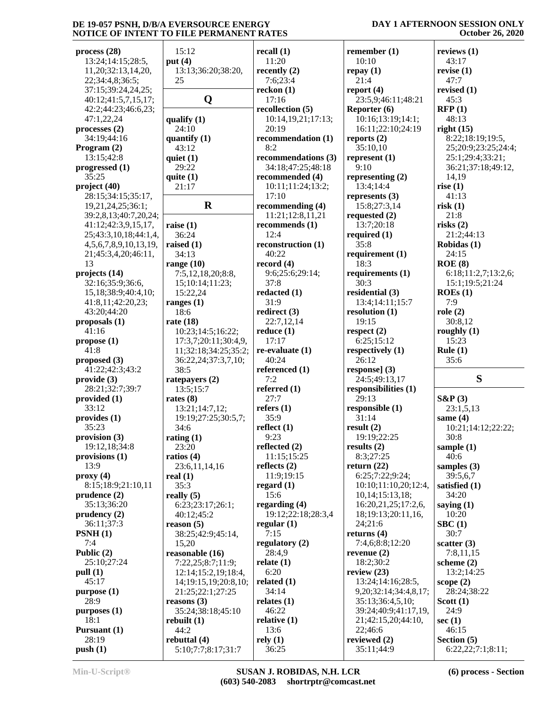#### **DAY 1 AFTERNOON SESSION ONLY October 26, 2020**

| process (28)                  | 15:12                | recall (1)          | remember $(1)$               | reviews $(1)$       |
|-------------------------------|----------------------|---------------------|------------------------------|---------------------|
| 13:24;14:15;28:5,             | put $(4)$            | 11:20               | 10:10                        | 43:17               |
| 11,20;32:13,14,20,            | 13:13;36:20;38:20,   | recently $(2)$      | repay(1)                     | revise $(1)$        |
| 22;34:4,8;36:5;               | 25                   | 7:6;23:4            | 21:4                         | 47:7                |
| 37:15;39:24,24,25;            |                      | reckon(1)           | report $(4)$                 | revised $(1)$       |
| 40:12;41:5,7,15,17;           | Q                    | 17:16               | 23:5,9;46:11;48:21           | 45:3                |
| 42:2;44:23;46:6,23;           |                      | recollection (5)    | Reporter (6)                 | RFP(1)              |
| 47:1,22,24                    | qualify $(1)$        | 10:14,19,21;17:13;  | 10:16;13:19;14:1;            | 48:13               |
| processes(2)                  | 24:10                | 20:19               | 16:11;22:10;24:19            | right(15)           |
| 34:19;44:16                   | quantify $(1)$       | recommendation (1)  | reports $(2)$                | 8:22;18:19;19:5,    |
| Program (2)                   | 43:12                | 8:2                 | 35:10,10                     | 25;20:9;23:25;24:4; |
| 13:15;42:8                    | quiet $(1)$          | recommendations (3) | represent $(1)$              | 25:1;29:4;33:21;    |
| progressed (1)                | 29:22                | 34:18;47:25;48:18   | 9:10                         | 36:21;37:18;49:12,  |
| 35:25                         | quite $(1)$          | recommended (4)     | representing $(2)$           | 14,19               |
| project (40)                  | 21:17                | 10:11;11:24;13:2;   | 13:4;14:4                    | rise $(1)$          |
|                               |                      | 17:10               |                              | 41:13               |
| 28:15;34:15;35:17,            |                      |                     | represents $(3)$             |                     |
| 19,21,24,25;36:1;             | $\bf R$              | recommending $(4)$  | 15:8;27:3,14                 | risk(1)             |
| 39:2,8,13;40:7,20,24;         |                      | 11:21;12:8,11,21    | requested $(2)$              | 21:8                |
| 41:12;42:3,9,15,17,           | raise $(1)$          | recommends (1)      | 13:7:20:18                   | risks $(2)$         |
| 25;43:3,10,18;44:1,4,         | 36:24                | 12:4                | required $(1)$               | 21:2;44:13          |
| 4, 5, 6, 7, 8, 9, 10, 13, 19, | raised $(1)$         | reconstruction (1)  | 35:8                         | Robidas (1)         |
| 21;45:3,4,20;46:11,           | 34:13                | 40:22               | requirement (1)              | 24:15               |
| 13                            | range $(10)$         | record $(4)$        | 18:3                         | ROE(8)              |
| projects (14)                 | 7:5,12,18,20;8:8,    | 9:6;25:6;29:14;     | requirements (1)             | 6:18;11:2,7;13:2,6; |
| 32:16;35:9;36:6,              | 15;10:14;11:23;      | 37:8                | 30:3                         | 15:1;19:5;21:24     |
| 15,18;38:9;40:4,10;           | 15:22,24             | redacted (1)        | residential (3)              | ROEs(1)             |
| 41:8,11;42:20,23;             | ranges $(1)$         | 31:9                | 13:4;14:11;15:7              | 7:9                 |
| 43:20;44:20                   | 18:6                 | redirect (3)        | resolution $(1)$             | role $(2)$          |
| proposals (1)                 | rate $(18)$          | 22:7,12,14          | 19:15                        | 30:8,12             |
| 41:16                         | 10:23;14:5;16:22;    | reduce $(1)$        | respect $(2)$                | roughly $(1)$       |
| propose (1)                   | 17:3,7;20:11;30:4,9, | 17:17               | 6:25;15:12                   | 15:23               |
| 41:8                          | 11;32:18;34:25;35:2; | $re-evaluate (1)$   | respectively (1)             | Rule $(1)$          |
| proposed (3)                  | 36:22,24;37:3,7,10;  | 40:24               | 26:12                        | 35:6                |
| 41:22;42:3;43:2               | 38:5                 | referenced (1)      | response] $(3)$              |                     |
| provide (3)                   | rate payers $(2)$    | 7:2                 | 24:5;49:13,17                | S                   |
| 28:21;32:7;39:7               | 13:5;15:7            | referred $(1)$      | responsibilities (1)         |                     |
| provided (1)                  | rates $(8)$          | 27:7                | 29:13                        | $S\&P(3)$           |
| 33:12                         | 13:21;14:7,12;       | refers $(1)$        | responsible (1)              | 23:1,5,13           |
| provides (1)                  | 19:19;27:25;30:5,7;  | 35:9                | 31:14                        | same $(4)$          |
| 35:23                         | 34:6                 | reflect $(1)$       | result(2)                    | 10:21;14:12;22:22;  |
| provision (3)                 | rating $(1)$         | 9:23                | 19:19;22:25                  | 30:8                |
| 19:12,18;34:8                 | 23:20                | reflected $(2)$     | results $(2)$                | sample $(1)$        |
| provisions (1)                | ratios $(4)$         | 11:15;15:25         | 8:3;27:25                    | 40:6                |
| 13:9                          | 23:6,11,14,16        | reflects $(2)$      | return $(22)$                | samples $(3)$       |
| proxy(4)                      | real $(1)$           | 11:9;19:15          | 6:25;7:22;9:24;              | 39:5,6,7            |
| 8:15;18:9;21:10,11            | 35:3                 | regard $(1)$        | 10:10;11:10,20;12:4,         | satisfied $(1)$     |
| prudence (2)                  | really $(5)$         | 15:6                | 10,14;15:13,18;              | 34:20               |
| 35:13;36:20                   | 6:23;23:17;26:1;     | regarding $(4)$     | 16:20,21,25;17:2,6,          | saying $(1)$        |
| prudency(2)                   | 40:12;45:2           | 19:12;22:18;28:3,4  | 18;19:13;20:11,16,           | 10:20               |
| 36:11;37:3                    | reason $(5)$         | regular $(1)$       | 24;21:6                      | $\rm SBC$ (1)       |
| PSNH(1)                       | 38:25;42:9;45:14,    | 7:15                | returns $(4)$                | 30:7                |
| 7:4                           | 15,20                | regulatory (2)      | 7:4,6;8:8;12:20              | scatter $(3)$       |
| Public (2)                    | reasonable (16)      | 28:4,9              | revenue $(2)$                | 7:8,11,15           |
| 25:10;27:24                   | 7:22,25;8:7;11:9;    | relate $(1)$        | 18:2;30:2                    | scheme $(2)$        |
| pull (1)                      | 12:14;15:2,19;18:4,  | 6:20                | review $(23)$                | 13:2;14:25          |
| 45:17                         | 14;19:15,19;20:8,10; | related (1)         | 13:24;14:16;28:5,            | scope $(2)$         |
| purpose (1)                   | 21:25;22:1;27:25     | 34:14               | 9, 20; 32: 14; 34: 4, 8, 17; | 28:24;38:22         |
| 28:9                          | reasons $(3)$        | relates $(1)$       | 35:13;36:4,5,10;             | Scott $(1)$         |
| purposes (1)                  | 35:24;38:18;45:10    | 46:22               | 39:24;40:9;41:17,19,         | 24:9                |
| 18:1                          | rebuilt $(1)$        | relative (1)        | 21;42:15,20;44:10,           | sec $(1)$           |
| Pursuant (1)                  | 44:2                 | 13:6                | 22;46:6                      | 46:15               |
| 28:19                         | rebuttal (4)         | rely(1)             | reviewed (2)                 | Section (5)         |
|                               |                      |                     | 35:11;44:9                   |                     |
| push(1)                       | 5:10;7:7;8:17;31:7   | 36:25               |                              | 6:22,22;7:1;8:11;   |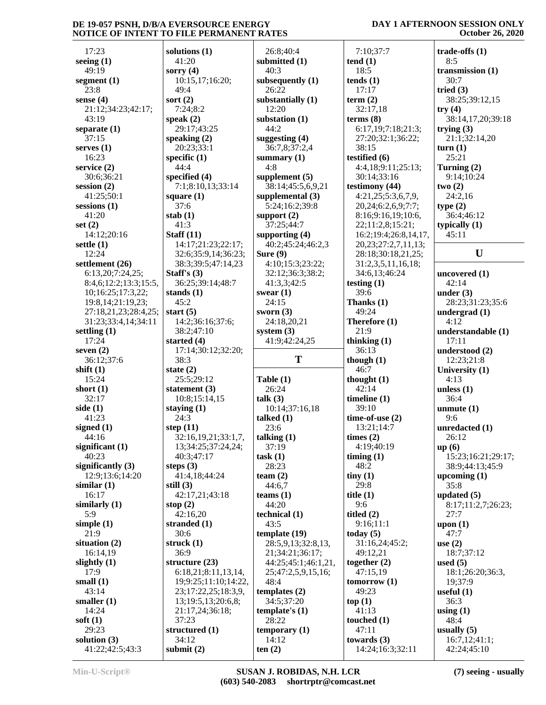#### 17:23 **seeing (1)** 49:19 **segment (1)** 23:8 **sense (4)** 21:12;34:23;42:17; 43:19 **separate (1)** 37:15 **serves (1)** 16:23 **service (2)** 30:6;36:21 **session (2)** 41:25;50:1 **sessions (1)** 41:20 **set (2)** 14:12;20:16 **settle (1)** 12:24 **settlement (26)** 6:13,20;7:24,25; 8:4,6;12:2;13:3;15:5,  $10;16:25;17:3,22;$  s 19:8,14;21:19,23;  $27:18,21,23;28:4,25;$  s 31:23;33:4,14;34:11 **settling (1)** 17:24 **seven (2)** 36:12;37:6 **shift (1)**  $15:24$ **short (1)** 32:17 **side (1)** 41:23 **signed (1)** 44:16 **significant (1)** 40:23 **significantly (3)** 12:9;13:6;14:20 **similar (1)** 16:17 **similarly (1)** 5:9 **simple (1)** 21:9 **situation (2)** 16:14,19 **slightly (1)** 17:9 **small (1)** 43:14 **smaller (1)** 14:24 **soft (1)** 29:23 **solution (3)** 41:22;42:5;43:3

| solutions (1)<br>41:20<br>subm<br>sorry (4)<br>10:15,17;16:20;<br>subse<br>49:4<br>sort (2)<br>subst<br>7:24;8:2<br>speak $(2)$<br>subst<br>29:17;43:25<br>speaking (2)<br>sugge<br>20:23;33:1<br>specific (1)<br>sumr<br>44:4<br>specified (4)<br>supp<br>7:1;8:10,13;33:14<br>square (1)<br>supp<br>37:6<br>stab $(1)$<br>supp<br>41:3<br>Staff $(11)$<br>supp<br>14:17;21:23;22:17;<br>32:6;35:9,14;36:23;<br>Sure<br>38:3;39:5;47:14,23<br>Staff's $(3)$<br>36:25;39:14;48:7<br>stands (1)<br>swea<br>45:2<br>start $(5)$<br>swor.<br>14:2;36:16;37:6;<br>38:2;47:10<br>syste<br>started (4)<br>17:14;30:12;32:20;<br>38:3<br>state $(2)$<br>25:5;29:12<br>Table<br>statement (3)<br>10:8;15:14,15<br>talk (<br>staying $(1)$<br>24:3<br>talke<br>step (11)<br>32:16,19,21;33:1,7,<br>talkiı<br>13;34:25;37:24,24;<br>40:3;47:17<br>task<br>steps $(3)$<br>41:4,18;44:24<br>team<br>still (3)<br>42:17,21;43:18<br>team<br>stop $(2)$<br>42:16,20<br>techr<br>stranded (1)<br>30:6<br>temp<br>struck (1)<br>36:9<br>structure (23)<br>6:18,21;8:11,13,14,<br>19;9:25;11:10;14:22,<br>23;17:22,25;18:3,9,<br>temp<br>13;19:5,13;20:6,8;<br>21:17,24;36:18;<br>temp<br>37:23<br>structured (1)<br>temp |                 |
|----------------------------------------------------------------------------------------------------------------------------------------------------------------------------------------------------------------------------------------------------------------------------------------------------------------------------------------------------------------------------------------------------------------------------------------------------------------------------------------------------------------------------------------------------------------------------------------------------------------------------------------------------------------------------------------------------------------------------------------------------------------------------------------------------------------------------------------------------------------------------------------------------------------------------------------------------------------------------------------------------------------------------------------------------------------------------------------------------------------------------------------------------------------------------------------------------------|-----------------|
|                                                                                                                                                                                                                                                                                                                                                                                                                                                                                                                                                                                                                                                                                                                                                                                                                                                                                                                                                                                                                                                                                                                                                                                                          | 26              |
|                                                                                                                                                                                                                                                                                                                                                                                                                                                                                                                                                                                                                                                                                                                                                                                                                                                                                                                                                                                                                                                                                                                                                                                                          |                 |
|                                                                                                                                                                                                                                                                                                                                                                                                                                                                                                                                                                                                                                                                                                                                                                                                                                                                                                                                                                                                                                                                                                                                                                                                          | 40              |
|                                                                                                                                                                                                                                                                                                                                                                                                                                                                                                                                                                                                                                                                                                                                                                                                                                                                                                                                                                                                                                                                                                                                                                                                          |                 |
|                                                                                                                                                                                                                                                                                                                                                                                                                                                                                                                                                                                                                                                                                                                                                                                                                                                                                                                                                                                                                                                                                                                                                                                                          | 26              |
|                                                                                                                                                                                                                                                                                                                                                                                                                                                                                                                                                                                                                                                                                                                                                                                                                                                                                                                                                                                                                                                                                                                                                                                                          |                 |
|                                                                                                                                                                                                                                                                                                                                                                                                                                                                                                                                                                                                                                                                                                                                                                                                                                                                                                                                                                                                                                                                                                                                                                                                          |                 |
|                                                                                                                                                                                                                                                                                                                                                                                                                                                                                                                                                                                                                                                                                                                                                                                                                                                                                                                                                                                                                                                                                                                                                                                                          | 12              |
|                                                                                                                                                                                                                                                                                                                                                                                                                                                                                                                                                                                                                                                                                                                                                                                                                                                                                                                                                                                                                                                                                                                                                                                                          |                 |
|                                                                                                                                                                                                                                                                                                                                                                                                                                                                                                                                                                                                                                                                                                                                                                                                                                                                                                                                                                                                                                                                                                                                                                                                          | 44 <sub>i</sub> |
|                                                                                                                                                                                                                                                                                                                                                                                                                                                                                                                                                                                                                                                                                                                                                                                                                                                                                                                                                                                                                                                                                                                                                                                                          |                 |
|                                                                                                                                                                                                                                                                                                                                                                                                                                                                                                                                                                                                                                                                                                                                                                                                                                                                                                                                                                                                                                                                                                                                                                                                          |                 |
|                                                                                                                                                                                                                                                                                                                                                                                                                                                                                                                                                                                                                                                                                                                                                                                                                                                                                                                                                                                                                                                                                                                                                                                                          | 36              |
|                                                                                                                                                                                                                                                                                                                                                                                                                                                                                                                                                                                                                                                                                                                                                                                                                                                                                                                                                                                                                                                                                                                                                                                                          |                 |
|                                                                                                                                                                                                                                                                                                                                                                                                                                                                                                                                                                                                                                                                                                                                                                                                                                                                                                                                                                                                                                                                                                                                                                                                          | 4:8             |
|                                                                                                                                                                                                                                                                                                                                                                                                                                                                                                                                                                                                                                                                                                                                                                                                                                                                                                                                                                                                                                                                                                                                                                                                          |                 |
|                                                                                                                                                                                                                                                                                                                                                                                                                                                                                                                                                                                                                                                                                                                                                                                                                                                                                                                                                                                                                                                                                                                                                                                                          | 38              |
|                                                                                                                                                                                                                                                                                                                                                                                                                                                                                                                                                                                                                                                                                                                                                                                                                                                                                                                                                                                                                                                                                                                                                                                                          |                 |
|                                                                                                                                                                                                                                                                                                                                                                                                                                                                                                                                                                                                                                                                                                                                                                                                                                                                                                                                                                                                                                                                                                                                                                                                          |                 |
|                                                                                                                                                                                                                                                                                                                                                                                                                                                                                                                                                                                                                                                                                                                                                                                                                                                                                                                                                                                                                                                                                                                                                                                                          | 5:2             |
|                                                                                                                                                                                                                                                                                                                                                                                                                                                                                                                                                                                                                                                                                                                                                                                                                                                                                                                                                                                                                                                                                                                                                                                                          |                 |
|                                                                                                                                                                                                                                                                                                                                                                                                                                                                                                                                                                                                                                                                                                                                                                                                                                                                                                                                                                                                                                                                                                                                                                                                          | 37 <sub>5</sub> |
|                                                                                                                                                                                                                                                                                                                                                                                                                                                                                                                                                                                                                                                                                                                                                                                                                                                                                                                                                                                                                                                                                                                                                                                                          |                 |
|                                                                                                                                                                                                                                                                                                                                                                                                                                                                                                                                                                                                                                                                                                                                                                                                                                                                                                                                                                                                                                                                                                                                                                                                          |                 |
|                                                                                                                                                                                                                                                                                                                                                                                                                                                                                                                                                                                                                                                                                                                                                                                                                                                                                                                                                                                                                                                                                                                                                                                                          | 40              |
|                                                                                                                                                                                                                                                                                                                                                                                                                                                                                                                                                                                                                                                                                                                                                                                                                                                                                                                                                                                                                                                                                                                                                                                                          |                 |
|                                                                                                                                                                                                                                                                                                                                                                                                                                                                                                                                                                                                                                                                                                                                                                                                                                                                                                                                                                                                                                                                                                                                                                                                          | 4:1             |
|                                                                                                                                                                                                                                                                                                                                                                                                                                                                                                                                                                                                                                                                                                                                                                                                                                                                                                                                                                                                                                                                                                                                                                                                          | 32              |
|                                                                                                                                                                                                                                                                                                                                                                                                                                                                                                                                                                                                                                                                                                                                                                                                                                                                                                                                                                                                                                                                                                                                                                                                          |                 |
|                                                                                                                                                                                                                                                                                                                                                                                                                                                                                                                                                                                                                                                                                                                                                                                                                                                                                                                                                                                                                                                                                                                                                                                                          | 41              |
|                                                                                                                                                                                                                                                                                                                                                                                                                                                                                                                                                                                                                                                                                                                                                                                                                                                                                                                                                                                                                                                                                                                                                                                                          |                 |
|                                                                                                                                                                                                                                                                                                                                                                                                                                                                                                                                                                                                                                                                                                                                                                                                                                                                                                                                                                                                                                                                                                                                                                                                          | 24.             |
|                                                                                                                                                                                                                                                                                                                                                                                                                                                                                                                                                                                                                                                                                                                                                                                                                                                                                                                                                                                                                                                                                                                                                                                                          |                 |
|                                                                                                                                                                                                                                                                                                                                                                                                                                                                                                                                                                                                                                                                                                                                                                                                                                                                                                                                                                                                                                                                                                                                                                                                          | 24:             |
|                                                                                                                                                                                                                                                                                                                                                                                                                                                                                                                                                                                                                                                                                                                                                                                                                                                                                                                                                                                                                                                                                                                                                                                                          |                 |
|                                                                                                                                                                                                                                                                                                                                                                                                                                                                                                                                                                                                                                                                                                                                                                                                                                                                                                                                                                                                                                                                                                                                                                                                          |                 |
|                                                                                                                                                                                                                                                                                                                                                                                                                                                                                                                                                                                                                                                                                                                                                                                                                                                                                                                                                                                                                                                                                                                                                                                                          | 41              |
|                                                                                                                                                                                                                                                                                                                                                                                                                                                                                                                                                                                                                                                                                                                                                                                                                                                                                                                                                                                                                                                                                                                                                                                                          |                 |
|                                                                                                                                                                                                                                                                                                                                                                                                                                                                                                                                                                                                                                                                                                                                                                                                                                                                                                                                                                                                                                                                                                                                                                                                          |                 |
|                                                                                                                                                                                                                                                                                                                                                                                                                                                                                                                                                                                                                                                                                                                                                                                                                                                                                                                                                                                                                                                                                                                                                                                                          |                 |
|                                                                                                                                                                                                                                                                                                                                                                                                                                                                                                                                                                                                                                                                                                                                                                                                                                                                                                                                                                                                                                                                                                                                                                                                          |                 |
|                                                                                                                                                                                                                                                                                                                                                                                                                                                                                                                                                                                                                                                                                                                                                                                                                                                                                                                                                                                                                                                                                                                                                                                                          |                 |
|                                                                                                                                                                                                                                                                                                                                                                                                                                                                                                                                                                                                                                                                                                                                                                                                                                                                                                                                                                                                                                                                                                                                                                                                          | 26              |
|                                                                                                                                                                                                                                                                                                                                                                                                                                                                                                                                                                                                                                                                                                                                                                                                                                                                                                                                                                                                                                                                                                                                                                                                          |                 |
|                                                                                                                                                                                                                                                                                                                                                                                                                                                                                                                                                                                                                                                                                                                                                                                                                                                                                                                                                                                                                                                                                                                                                                                                          | 10              |
|                                                                                                                                                                                                                                                                                                                                                                                                                                                                                                                                                                                                                                                                                                                                                                                                                                                                                                                                                                                                                                                                                                                                                                                                          |                 |
|                                                                                                                                                                                                                                                                                                                                                                                                                                                                                                                                                                                                                                                                                                                                                                                                                                                                                                                                                                                                                                                                                                                                                                                                          |                 |
|                                                                                                                                                                                                                                                                                                                                                                                                                                                                                                                                                                                                                                                                                                                                                                                                                                                                                                                                                                                                                                                                                                                                                                                                          | 23              |
|                                                                                                                                                                                                                                                                                                                                                                                                                                                                                                                                                                                                                                                                                                                                                                                                                                                                                                                                                                                                                                                                                                                                                                                                          |                 |
|                                                                                                                                                                                                                                                                                                                                                                                                                                                                                                                                                                                                                                                                                                                                                                                                                                                                                                                                                                                                                                                                                                                                                                                                          | 37 <sub>1</sub> |
|                                                                                                                                                                                                                                                                                                                                                                                                                                                                                                                                                                                                                                                                                                                                                                                                                                                                                                                                                                                                                                                                                                                                                                                                          |                 |
|                                                                                                                                                                                                                                                                                                                                                                                                                                                                                                                                                                                                                                                                                                                                                                                                                                                                                                                                                                                                                                                                                                                                                                                                          |                 |
|                                                                                                                                                                                                                                                                                                                                                                                                                                                                                                                                                                                                                                                                                                                                                                                                                                                                                                                                                                                                                                                                                                                                                                                                          | 28              |
|                                                                                                                                                                                                                                                                                                                                                                                                                                                                                                                                                                                                                                                                                                                                                                                                                                                                                                                                                                                                                                                                                                                                                                                                          |                 |
|                                                                                                                                                                                                                                                                                                                                                                                                                                                                                                                                                                                                                                                                                                                                                                                                                                                                                                                                                                                                                                                                                                                                                                                                          | 44:             |
|                                                                                                                                                                                                                                                                                                                                                                                                                                                                                                                                                                                                                                                                                                                                                                                                                                                                                                                                                                                                                                                                                                                                                                                                          |                 |
|                                                                                                                                                                                                                                                                                                                                                                                                                                                                                                                                                                                                                                                                                                                                                                                                                                                                                                                                                                                                                                                                                                                                                                                                          | 44:             |
|                                                                                                                                                                                                                                                                                                                                                                                                                                                                                                                                                                                                                                                                                                                                                                                                                                                                                                                                                                                                                                                                                                                                                                                                          |                 |
|                                                                                                                                                                                                                                                                                                                                                                                                                                                                                                                                                                                                                                                                                                                                                                                                                                                                                                                                                                                                                                                                                                                                                                                                          |                 |
|                                                                                                                                                                                                                                                                                                                                                                                                                                                                                                                                                                                                                                                                                                                                                                                                                                                                                                                                                                                                                                                                                                                                                                                                          | 43 <sub>i</sub> |
|                                                                                                                                                                                                                                                                                                                                                                                                                                                                                                                                                                                                                                                                                                                                                                                                                                                                                                                                                                                                                                                                                                                                                                                                          |                 |
|                                                                                                                                                                                                                                                                                                                                                                                                                                                                                                                                                                                                                                                                                                                                                                                                                                                                                                                                                                                                                                                                                                                                                                                                          | 28              |
|                                                                                                                                                                                                                                                                                                                                                                                                                                                                                                                                                                                                                                                                                                                                                                                                                                                                                                                                                                                                                                                                                                                                                                                                          | 21              |
|                                                                                                                                                                                                                                                                                                                                                                                                                                                                                                                                                                                                                                                                                                                                                                                                                                                                                                                                                                                                                                                                                                                                                                                                          | 44 <sub>1</sub> |
|                                                                                                                                                                                                                                                                                                                                                                                                                                                                                                                                                                                                                                                                                                                                                                                                                                                                                                                                                                                                                                                                                                                                                                                                          |                 |
|                                                                                                                                                                                                                                                                                                                                                                                                                                                                                                                                                                                                                                                                                                                                                                                                                                                                                                                                                                                                                                                                                                                                                                                                          | 25 <sub>i</sub> |
|                                                                                                                                                                                                                                                                                                                                                                                                                                                                                                                                                                                                                                                                                                                                                                                                                                                                                                                                                                                                                                                                                                                                                                                                          | 48              |
|                                                                                                                                                                                                                                                                                                                                                                                                                                                                                                                                                                                                                                                                                                                                                                                                                                                                                                                                                                                                                                                                                                                                                                                                          |                 |
|                                                                                                                                                                                                                                                                                                                                                                                                                                                                                                                                                                                                                                                                                                                                                                                                                                                                                                                                                                                                                                                                                                                                                                                                          | 34:             |
|                                                                                                                                                                                                                                                                                                                                                                                                                                                                                                                                                                                                                                                                                                                                                                                                                                                                                                                                                                                                                                                                                                                                                                                                          |                 |
|                                                                                                                                                                                                                                                                                                                                                                                                                                                                                                                                                                                                                                                                                                                                                                                                                                                                                                                                                                                                                                                                                                                                                                                                          |                 |
|                                                                                                                                                                                                                                                                                                                                                                                                                                                                                                                                                                                                                                                                                                                                                                                                                                                                                                                                                                                                                                                                                                                                                                                                          | 28              |
|                                                                                                                                                                                                                                                                                                                                                                                                                                                                                                                                                                                                                                                                                                                                                                                                                                                                                                                                                                                                                                                                                                                                                                                                          |                 |
| 34:12                                                                                                                                                                                                                                                                                                                                                                                                                                                                                                                                                                                                                                                                                                                                                                                                                                                                                                                                                                                                                                                                                                                                                                                                    | 14              |

**submit (2)**

 26:8;40:4 **submitted (1)** 40:3 **subsequently (1)** 26:22 **substantially (1)** 12:20 **substation (1)** 44:2 **suggesting (4)** 36:7,8;37:2,4 **summary (1)** 4:8 **supplement (5)** 38:14;45:5,6,9,21 **supplemental (3)** 5:24;16:2;39:8 **support (2)** 37:25;44:7 **supporting (4)** 40:2;45:24;46:2,3 **Sure (9)** 4:10;15:3;23:22; 32:12;36:3;38:2; 41:3,3;42:5 **swear (1)** 24:15 **sworn (3)** 24:18,20,21 **system (3)** 41:9;42:24,25 **Table (1)** 26:24 **talk (3)** 10:14;37:16,18 **talked (1)** 23:6 **talking (1)** 37:19 **task (1)** 28:23 **team (2)** 44:6,7 **teams (1)** 44:20 **technical (1)** 43:5 **template (19)** 28:5,9,13;32:8,13, 21;34:21;36:17; 44:25;45:1;46:1,21, 25;47:2,5,9,15,16; 48:4 **templates (2)** 34:5;37:20 **template's (1)** 28:22 **temporary (1)** 14:12 **ten (2)**

#### $\bf{T}$   $\qquad$   $\qquad$   $\bf{though (1)}$  7:10;37:7 **tend (1)** 18:5 **tends (1)** 17:17 **term (2)** 32:17,18 **terms (8)** 6:17,19;7:18;21:3; 27:20;32:1;36:22; 38:15 **testified (6)** 4:4,18;9:11;25:13; 30:14;33:16 **testimony (44)** 4:21,25;5:3,6,7,9, 20,24;6:2,6,9;7:7; 8:16;9:16,19;10:6, 22;11:2,8;15:21; 16:2;19:4;26:8,14,17, 20,23;27:2,7,11,13; 28:18;30:18,21,25; 31:2,3,5,11,16,18; 34:6,13;46:24 **testing (1)** 39:6 **Thanks (1)** 49:24 **Therefore (1)** 21:9 **thinking (1)** 36:13 46:7 **thought (1)** 42:14 **timeline (1)** 39:10 **time-of-use (2)** 13:21;14:7 **times (2)** 4:19;40:19 **timing (1)** 48:2 **tiny (1)** 29:8 **title (1)** 9:6 **titled (2)** 9:16;11:1 **today (5)** 31:16,24;45:2; 49:12,21 **together (2)** 47:15,19 **tomorrow (1)** 49:23 **top (1)** 41:13 **touched (1)** 47:11 **towards (3)** 14:24;16:3;32:11

**DAY 1 AFTERNOON SESSION ONLY October 26, 2020**

**trade-offs (1)** 8:5 **transmission (1)** 30:7 **tried (3)** 38:25;39:12,15 **try (4)** 38:14,17,20;39:18 **trying (3)** 21:1;32:14,20 **turn (1)** 25:21 **Turning (2)** 9:14;10:24 **two (2)** 24:2,16 **type (2)** 36:4;46:12 **typically (1)** 45:11 **U uncovered (1)** 42:14 **under (3)** 28:23;31:23;35:6 **undergrad (1)** 4:12 **understandable (1)** 17:11 **understood (2)** 12:23;21:8 **University (1)** 4:13 **unless (1)** 36:4 **unmute (1)** 9:6 **unredacted (1)** 26:12 **up (6)** 15:23;16:21;29:17; 38:9;44:13;45:9 **upcoming (1)** 35:8 **updated (5)** 8:17;11:2,7;26:23; 27:7 **upon (1)** 47:7 **use (2)** 18:7;37:12 **used (5)** 18:1;26:20;36:3, 19;37:9 **useful (1)** 36:3 **using (1)** 48:4 **usually (5)** 16:7,12;41:1; 42:24;45:10